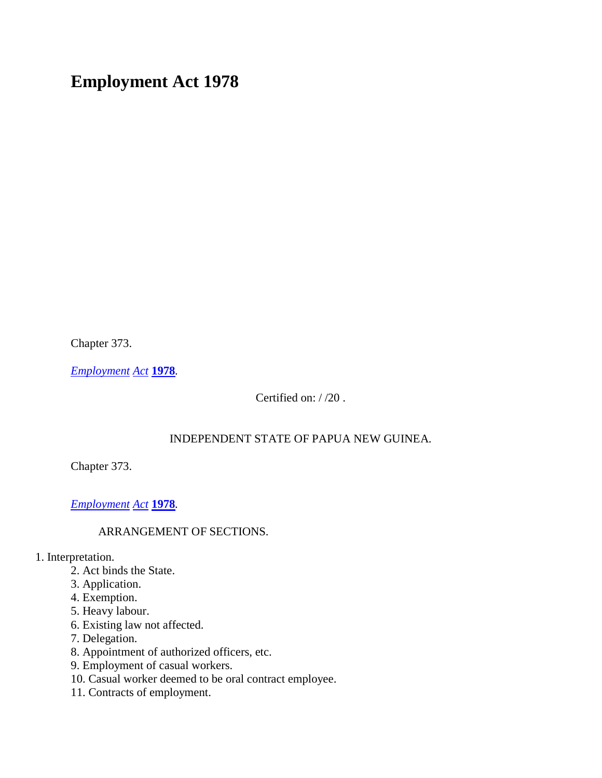# **Employment Act 1978**

Chapter 373.

*[Employment](http://www.paclii.org/pg/legis/consol_act/ea1978149/) [Act](http://www.paclii.org/pg/legis/consol_act/ea1978149/)* **[1978](http://www.paclii.org/pg/legis/consol_act/ea1978149/)***.*

Certified on: / /20 .

### INDEPENDENT STATE OF PAPUA NEW GUINEA.

Chapter 373.

*[Employment](http://www.paclii.org/pg/legis/consol_act/ea1978149/) [Act](http://www.paclii.org/pg/legis/consol_act/ea1978149/)* **[1978](http://www.paclii.org/pg/legis/consol_act/ea1978149/)***.*

### ARRANGEMENT OF SECTIONS.

1. Interpretation.

- 2. Act binds the State.
- 3. Application.
- 4. Exemption.
- 5. Heavy labour.
- 6. Existing law not affected.
- 7. Delegation.
- 8. Appointment of authorized officers, etc.
- 9. Employment of casual workers.
- 10. Casual worker deemed to be oral contract employee.
- 11. Contracts of employment.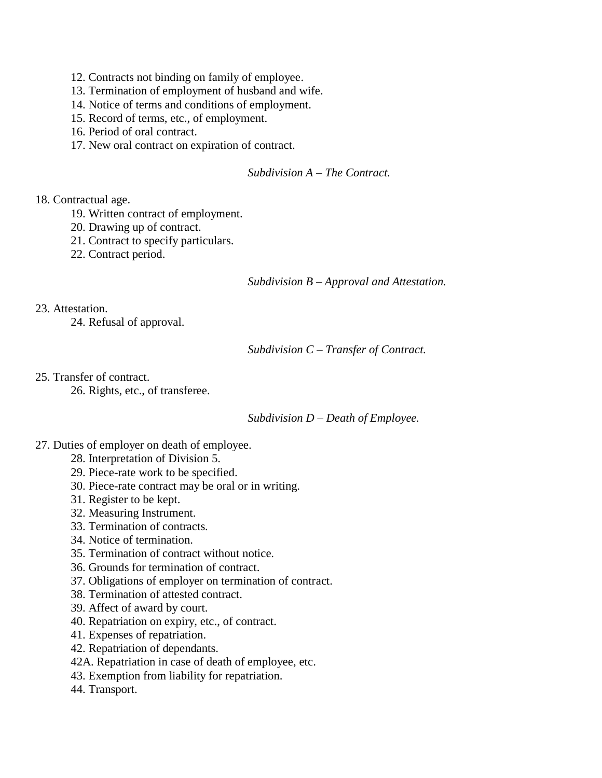- 12. Contracts not binding on family of employee.
- 13. Termination of employment of husband and wife.
- 14. Notice of terms and conditions of employment.
- 15. Record of terms, etc., of employment.
- 16. Period of oral contract.
- 17. New oral contract on expiration of contract.

#### *Subdivision A – The Contract.*

#### 18. Contractual age.

- 19. Written contract of employment.
- 20. Drawing up of contract.
- 21. Contract to specify particulars.
- 22. Contract period.

#### *Subdivision B – Approval and Attestation.*

23. Attestation.

24. Refusal of approval.

*Subdivision C – Transfer of Contract.*

25. Transfer of contract.

26. Rights, etc., of transferee.

*Subdivision D – Death of Employee.*

- 27. Duties of employer on death of employee.
	- 28. Interpretation of Division 5.
	- 29. Piece-rate work to be specified.
	- 30. Piece-rate contract may be oral or in writing.
	- 31. Register to be kept.
	- 32. Measuring Instrument.
	- 33. Termination of contracts.
	- 34. Notice of termination.
	- 35. Termination of contract without notice.
	- 36. Grounds for termination of contract.
	- 37. Obligations of employer on termination of contract.
	- 38. Termination of attested contract.
	- 39. Affect of award by court.
	- 40. Repatriation on expiry, etc., of contract.
	- 41. Expenses of repatriation.
	- 42. Repatriation of dependants.
	- 42A. Repatriation in case of death of employee, etc.
	- 43. Exemption from liability for repatriation.
	- 44. Transport.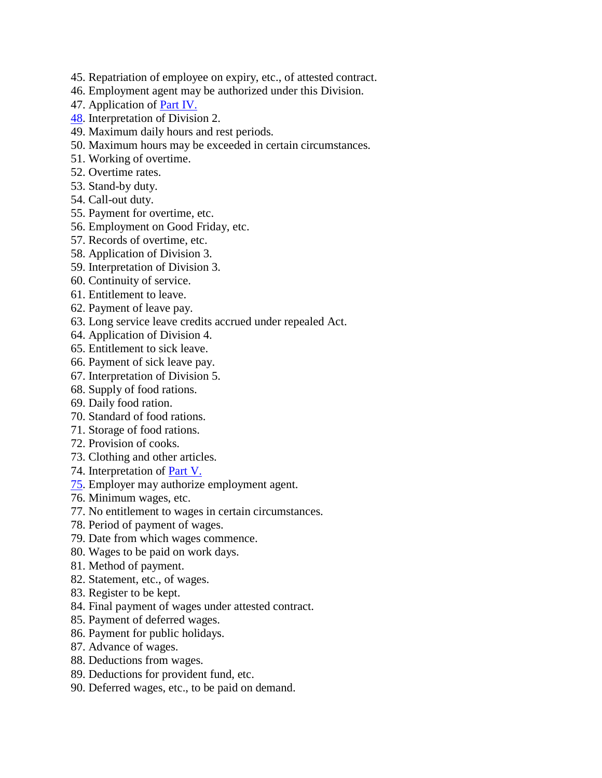- 45. Repatriation of employee on expiry, etc., of attested contract.
- 46. Employment agent may be authorized under this Division.
- 47. Application of [Part IV.](http://www.paclii.org/pg/legis/consol_act/ea1978149/index.html#p4)
- [48.](http://www.paclii.org/pg/legis/consol_act/ea1978149/index.html#p48) Interpretation of Division 2.
- 49. Maximum daily hours and rest periods.
- 50. Maximum hours may be exceeded in certain circumstances.
- 51. Working of overtime.
- 52. Overtime rates.
- 53. Stand-by duty.
- 54. Call-out duty.
- 55. Payment for overtime, etc.
- 56. Employment on Good Friday, etc.
- 57. Records of overtime, etc.
- 58. Application of Division 3.
- 59. Interpretation of Division 3.
- 60. Continuity of service.
- 61. Entitlement to leave.
- 62. Payment of leave pay.
- 63. Long service leave credits accrued under repealed Act.
- 64. Application of Division 4.
- 65. Entitlement to sick leave.
- 66. Payment of sick leave pay.
- 67. Interpretation of Division 5.
- 68. Supply of food rations.
- 69. Daily food ration.
- 70. Standard of food rations.
- 71. Storage of food rations.
- 72. Provision of cooks.
- 73. Clothing and other articles.
- 74. Interpretation of [Part V.](http://www.paclii.org/pg/legis/consol_act/ea1978149/index.html#p5)
- [75.](http://www.paclii.org/pg/legis/consol_act/ea1978149/index.html#p75) Employer may authorize employment agent.
- 76. Minimum wages, etc.
- 77. No entitlement to wages in certain circumstances.
- 78. Period of payment of wages.
- 79. Date from which wages commence.
- 80. Wages to be paid on work days.
- 81. Method of payment.
- 82. Statement, etc., of wages.
- 83. Register to be kept.
- 84. Final payment of wages under attested contract.
- 85. Payment of deferred wages.
- 86. Payment for public holidays.
- 87. Advance of wages.
- 88. Deductions from wages.
- 89. Deductions for provident fund, etc.
- 90. Deferred wages, etc., to be paid on demand.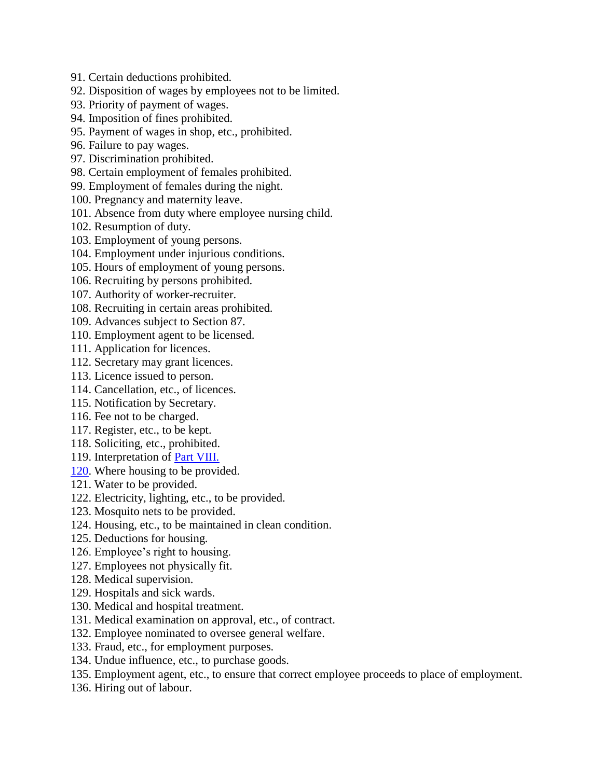- 91. Certain deductions prohibited.
- 92. Disposition of wages by employees not to be limited.
- 93. Priority of payment of wages.
- 94. Imposition of fines prohibited.
- 95. Payment of wages in shop, etc., prohibited.
- 96. Failure to pay wages.
- 97. Discrimination prohibited.
- 98. Certain employment of females prohibited.
- 99. Employment of females during the night.
- 100. Pregnancy and maternity leave.
- 101. Absence from duty where employee nursing child.
- 102. Resumption of duty.
- 103. Employment of young persons.
- 104. Employment under injurious conditions.
- 105. Hours of employment of young persons.
- 106. Recruiting by persons prohibited.
- 107. Authority of worker-recruiter.
- 108. Recruiting in certain areas prohibited.
- 109. Advances subject to Section 87.
- 110. Employment agent to be licensed.
- 111. Application for licences.
- 112. Secretary may grant licences.
- 113. Licence issued to person.
- 114. Cancellation, etc., of licences.
- 115. Notification by Secretary.
- 116. Fee not to be charged.
- 117. Register, etc., to be kept.
- 118. Soliciting, etc., prohibited.
- 119. Interpretation of [Part VIII.](http://www.paclii.org/pg/legis/consol_act/ea1978149/index.html#p8)
- [120.](http://www.paclii.org/pg/legis/consol_act/ea1978149/index.html#p120) Where housing to be provided.
- 121. Water to be provided.
- 122. Electricity, lighting, etc., to be provided.
- 123. Mosquito nets to be provided.
- 124. Housing, etc., to be maintained in clean condition.
- 125. Deductions for housing.
- 126. Employee's right to housing.
- 127. Employees not physically fit.
- 128. Medical supervision.
- 129. Hospitals and sick wards.
- 130. Medical and hospital treatment.
- 131. Medical examination on approval, etc., of contract.
- 132. Employee nominated to oversee general welfare.
- 133. Fraud, etc., for employment purposes.
- 134. Undue influence, etc., to purchase goods.
- 135. Employment agent, etc., to ensure that correct employee proceeds to place of employment.
- 136. Hiring out of labour.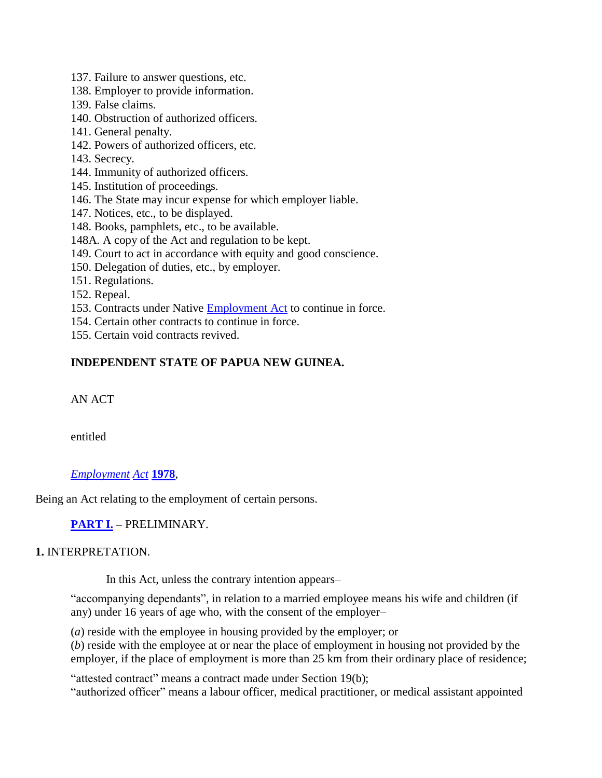- 137. Failure to answer questions, etc.
- 138. Employer to provide information.
- 139. False claims.
- 140. Obstruction of authorized officers.
- 141. General penalty.
- 142. Powers of authorized officers, etc.
- 143. Secrecy.
- 144. Immunity of authorized officers.
- 145. Institution of proceedings.
- 146. The State may incur expense for which employer liable.
- 147. Notices, etc., to be displayed.
- 148. Books, pamphlets, etc., to be available.
- 148A. A copy of the Act and regulation to be kept.
- 149. Court to act in accordance with equity and good conscience.
- 150. Delegation of duties, etc., by employer.
- 151. Regulations.
- 152. Repeal.
- 153. Contracts under Native **Employment Act** to continue in force.
- 154. Certain other contracts to continue in force.
- 155. Certain void contracts revived.

# **INDEPENDENT STATE OF PAPUA NEW GUINEA.**

AN ACT

entitled

### *[Employment](http://www.paclii.org/pg/legis/consol_act/ea1978149/) [Act](http://www.paclii.org/pg/legis/consol_act/ea1978149/)* **[1978](http://www.paclii.org/pg/legis/consol_act/ea1978149/)***,*

Being an Act relating to the employment of certain persons.

**[PART I.](http://www.paclii.org/pg/legis/consol_act/ea1978149/index.html#p1) –** PRELIMINARY.

### **1.** INTERPRETATION.

In this Act, unless the contrary intention appears–

"accompanying dependants", in relation to a married employee means his wife and children (if any) under 16 years of age who, with the consent of the employer–

(*a*) reside with the employee in housing provided by the employer; or

(*b*) reside with the employee at or near the place of employment in housing not provided by the employer, if the place of employment is more than 25 km from their ordinary place of residence;

"attested contract" means a contract made under Section 19(b);

"authorized officer" means a labour officer, medical practitioner, or medical assistant appointed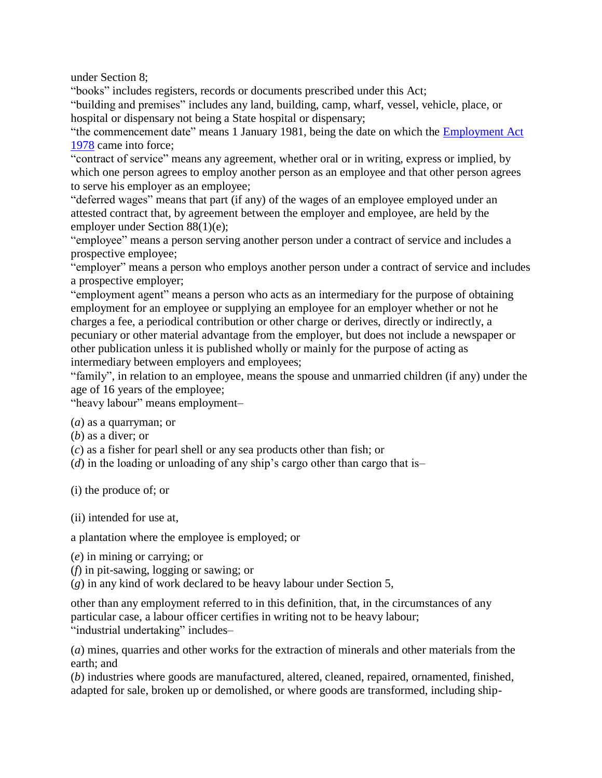under Section 8;

"books" includes registers, records or documents prescribed under this Act; "building and premises" includes any land, building, camp, wharf, vessel, vehicle, place, or hospital or dispensary not being a State hospital or dispensary;

"the commencement date" means 1 January 1981, being the date on which the [Employment Act](http://www.paclii.org/pg/legis/consol_act/ea1978149/) [1978](http://www.paclii.org/pg/legis/consol_act/ea1978149/) came into force;

"contract of service" means any agreement, whether oral or in writing, express or implied, by which one person agrees to employ another person as an employee and that other person agrees to serve his employer as an employee;

"deferred wages" means that part (if any) of the wages of an employee employed under an attested contract that, by agreement between the employer and employee, are held by the employer under Section 88(1)(e);

"employee" means a person serving another person under a contract of service and includes a prospective employee;

"employer" means a person who employs another person under a contract of service and includes a prospective employer;

"employment agent" means a person who acts as an intermediary for the purpose of obtaining employment for an employee or supplying an employee for an employer whether or not he charges a fee, a periodical contribution or other charge or derives, directly or indirectly, a pecuniary or other material advantage from the employer, but does not include a newspaper or other publication unless it is published wholly or mainly for the purpose of acting as intermediary between employers and employees;

"family", in relation to an employee, means the spouse and unmarried children (if any) under the age of 16 years of the employee;

"heavy labour" means employment–

(*a*) as a quarryman; or

(*b*) as a diver; or

(*c*) as a fisher for pearl shell or any sea products other than fish; or

(*d*) in the loading or unloading of any ship's cargo other than cargo that is–

(i) the produce of; or

(ii) intended for use at,

a plantation where the employee is employed; or

(*e*) in mining or carrying; or

(*f*) in pit-sawing, logging or sawing; or

(*g*) in any kind of work declared to be heavy labour under Section 5,

other than any employment referred to in this definition, that, in the circumstances of any particular case, a labour officer certifies in writing not to be heavy labour; "industrial undertaking" includes-

(*a*) mines, quarries and other works for the extraction of minerals and other materials from the earth; and

(*b*) industries where goods are manufactured, altered, cleaned, repaired, ornamented, finished, adapted for sale, broken up or demolished, or where goods are transformed, including ship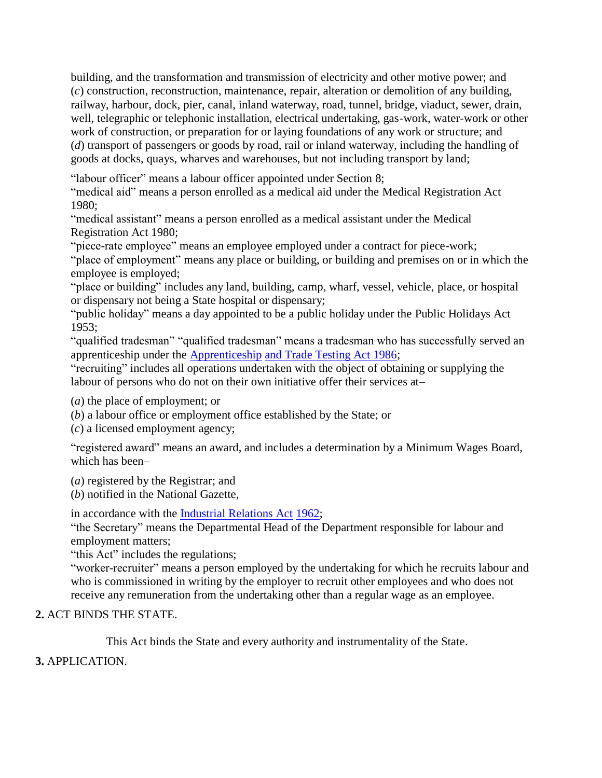building, and the transformation and transmission of electricity and other motive power; and (*c*) construction, reconstruction, maintenance, repair, alteration or demolition of any building, railway, harbour, dock, pier, canal, inland waterway, road, tunnel, bridge, viaduct, sewer, drain, well, telegraphic or telephonic installation, electrical undertaking, gas-work, water-work or other work of construction, or preparation for or laying foundations of any work or structure; and (*d*) transport of passengers or goods by road, rail or inland waterway, including the handling of goods at docks, quays, wharves and warehouses, but not including transport by land;

"labour officer" means a labour officer appointed under Section 8;

"medical aid" means a person enrolled as a medical aid under the Medical Registration Act 1980;

"medical assistant" means a person enrolled as a medical assistant under the Medical Registration Act 1980;

"piece-rate employee" means an employee employed under a contract for piece-work;

"place of employment" means any place or building, or building and premises on or in which the employee is employed;

"place or building" includes any land, building, camp, wharf, vessel, vehicle, place, or hospital or dispensary not being a State hospital or dispensary;

"public holiday" means a day appointed to be a public holiday under the Public Holidays Act 1953;

"qualified tradesman" "qualified tradesman" means a tradesman who has successfully served an apprenticeship under the [Apprenticeship](http://www.paclii.org/pg/legis/consol_act/aatta1986312/) [and Trade Testing Act 1986;](http://www.paclii.org/pg/legis/consol_act/aatta1986312/)

"recruiting" includes all operations undertaken with the object of obtaining or supplying the labour of persons who do not on their own initiative offer their services at–

(*a*) the place of employment; or

(*b*) a labour office or employment office established by the State; or

(*c*) a licensed employment agency;

"registered award" means an award, and includes a determination by a Minimum Wages Board, which has been–

(*a*) registered by the Registrar; and

(*b*) notified in the National Gazette,

in accordance with the [Industrial Relations Act](http://www.paclii.org/pg/legis/consol_act/ira1962242/) [1962;](http://www.paclii.org/pg/legis/consol_act/ira1962242/)

"the Secretary" means the Departmental Head of the Department responsible for labour and employment matters;

"this Act" includes the regulations;

"worker-recruiter" means a person employed by the undertaking for which he recruits labour and who is commissioned in writing by the employer to recruit other employees and who does not receive any remuneration from the undertaking other than a regular wage as an employee.

#### **2.** ACT BINDS THE STATE.

This Act binds the State and every authority and instrumentality of the State.

**3.** APPLICATION.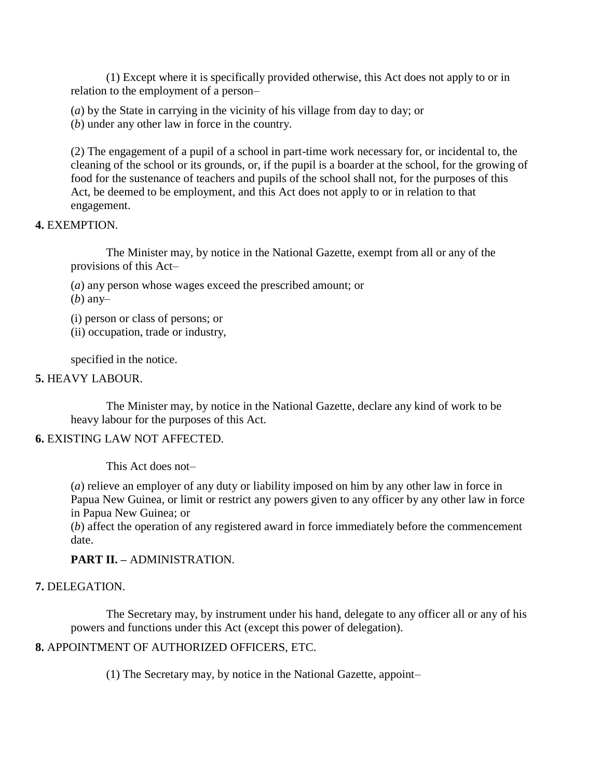(1) Except where it is specifically provided otherwise, this Act does not apply to or in relation to the employment of a person–

(*a*) by the State in carrying in the vicinity of his village from day to day; or

(*b*) under any other law in force in the country.

(2) The engagement of a pupil of a school in part-time work necessary for, or incidental to, the cleaning of the school or its grounds, or, if the pupil is a boarder at the school, for the growing of food for the sustenance of teachers and pupils of the school shall not, for the purposes of this Act, be deemed to be employment, and this Act does not apply to or in relation to that engagement.

#### **4.** EXEMPTION.

The Minister may, by notice in the National Gazette, exempt from all or any of the provisions of this Act–

(*a*) any person whose wages exceed the prescribed amount; or

(*b*) any–

- (i) person or class of persons; or
- (ii) occupation, trade or industry,

specified in the notice.

#### **5.** HEAVY LABOUR.

The Minister may, by notice in the National Gazette, declare any kind of work to be heavy labour for the purposes of this Act.

#### **6.** EXISTING LAW NOT AFFECTED.

This Act does not–

(*a*) relieve an employer of any duty or liability imposed on him by any other law in force in Papua New Guinea, or limit or restrict any powers given to any officer by any other law in force in Papua New Guinea; or

(*b*) affect the operation of any registered award in force immediately before the commencement date.

### **PART II. –** ADMINISTRATION.

### **7.** DELEGATION.

The Secretary may, by instrument under his hand, delegate to any officer all or any of his powers and functions under this Act (except this power of delegation).

### **8.** APPOINTMENT OF AUTHORIZED OFFICERS, ETC.

(1) The Secretary may, by notice in the National Gazette, appoint–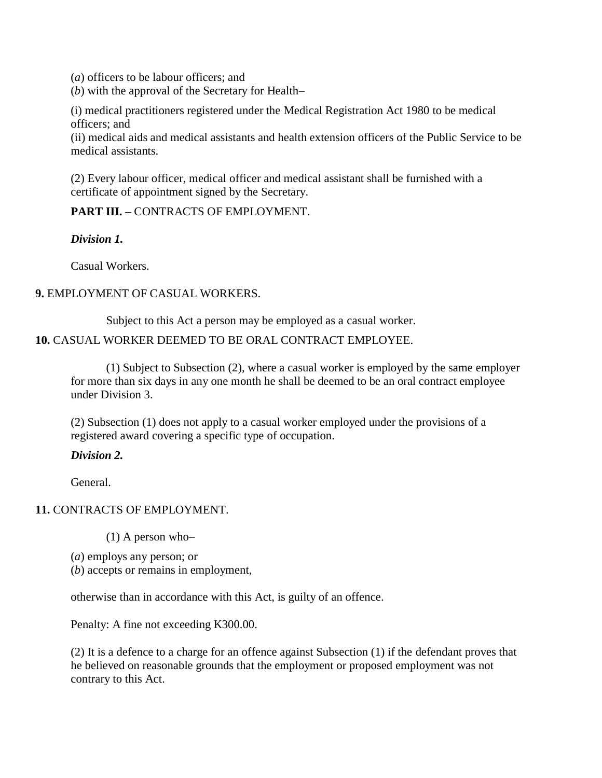(*a*) officers to be labour officers; and

(*b*) with the approval of the Secretary for Health–

(i) medical practitioners registered under the Medical Registration Act 1980 to be medical officers; and

(ii) medical aids and medical assistants and health extension officers of the Public Service to be medical assistants.

(2) Every labour officer, medical officer and medical assistant shall be furnished with a certificate of appointment signed by the Secretary.

**PART III. –** CONTRACTS OF EMPLOYMENT.

*Division 1.*

Casual Workers.

#### **9.** EMPLOYMENT OF CASUAL WORKERS.

Subject to this Act a person may be employed as a casual worker.

#### **10.** CASUAL WORKER DEEMED TO BE ORAL CONTRACT EMPLOYEE.

(1) Subject to Subsection (2), where a casual worker is employed by the same employer for more than six days in any one month he shall be deemed to be an oral contract employee under Division 3.

(2) Subsection (1) does not apply to a casual worker employed under the provisions of a registered award covering a specific type of occupation.

#### *Division 2.*

General.

#### **11.** CONTRACTS OF EMPLOYMENT.

(1) A person who–

- (*a*) employs any person; or
- (*b*) accepts or remains in employment,

otherwise than in accordance with this Act, is guilty of an offence.

Penalty: A fine not exceeding K300.00.

(2) It is a defence to a charge for an offence against Subsection (1) if the defendant proves that he believed on reasonable grounds that the employment or proposed employment was not contrary to this Act.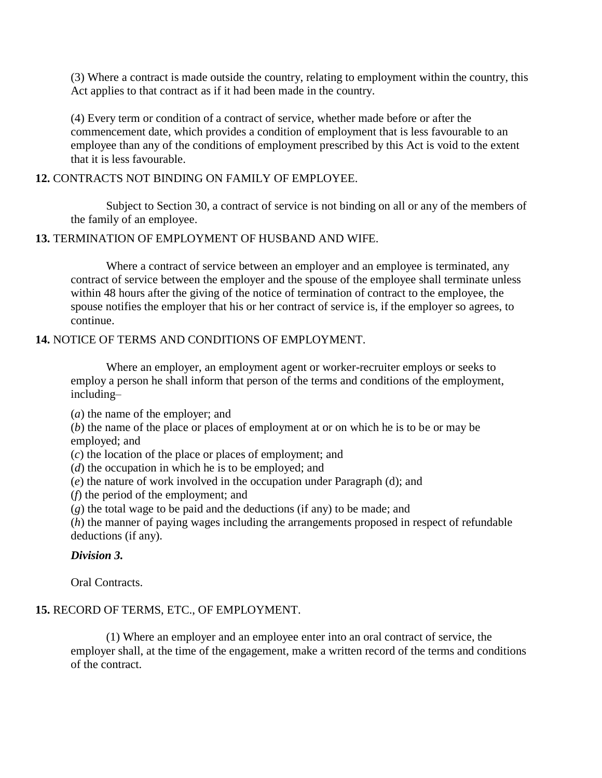(3) Where a contract is made outside the country, relating to employment within the country, this Act applies to that contract as if it had been made in the country.

(4) Every term or condition of a contract of service, whether made before or after the commencement date, which provides a condition of employment that is less favourable to an employee than any of the conditions of employment prescribed by this Act is void to the extent that it is less favourable.

#### **12.** CONTRACTS NOT BINDING ON FAMILY OF EMPLOYEE.

Subject to Section 30, a contract of service is not binding on all or any of the members of the family of an employee.

#### **13.** TERMINATION OF EMPLOYMENT OF HUSBAND AND WIFE.

Where a contract of service between an employer and an employee is terminated, any contract of service between the employer and the spouse of the employee shall terminate unless within 48 hours after the giving of the notice of termination of contract to the employee, the spouse notifies the employer that his or her contract of service is, if the employer so agrees, to continue.

#### **14.** NOTICE OF TERMS AND CONDITIONS OF EMPLOYMENT.

Where an employer, an employment agent or worker-recruiter employs or seeks to employ a person he shall inform that person of the terms and conditions of the employment, including–

(*a*) the name of the employer; and

(*b*) the name of the place or places of employment at or on which he is to be or may be employed; and

(*c*) the location of the place or places of employment; and

(*d*) the occupation in which he is to be employed; and

(*e*) the nature of work involved in the occupation under Paragraph (d); and

(*f*) the period of the employment; and

(*g*) the total wage to be paid and the deductions (if any) to be made; and

(*h*) the manner of paying wages including the arrangements proposed in respect of refundable deductions (if any).

#### *Division 3.*

Oral Contracts.

# **15.** RECORD OF TERMS, ETC., OF EMPLOYMENT.

(1) Where an employer and an employee enter into an oral contract of service, the employer shall, at the time of the engagement, make a written record of the terms and conditions of the contract.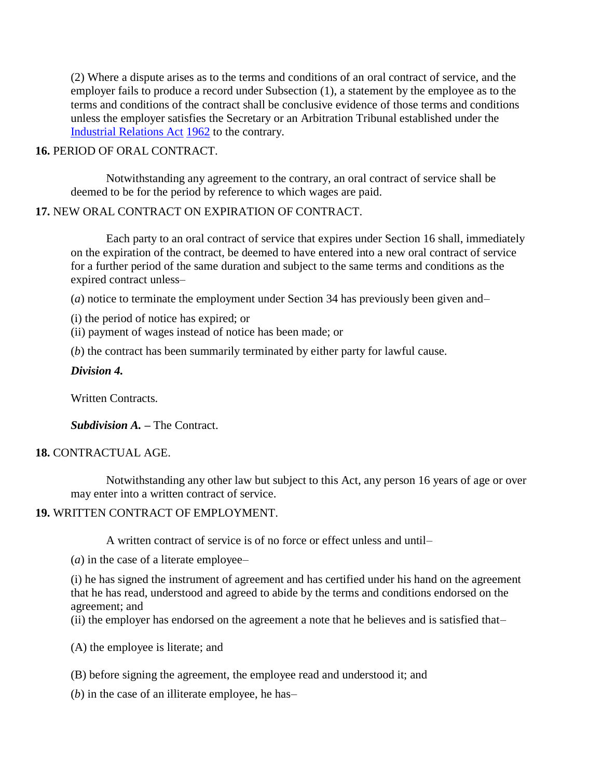(2) Where a dispute arises as to the terms and conditions of an oral contract of service, and the employer fails to produce a record under Subsection (1), a statement by the employee as to the terms and conditions of the contract shall be conclusive evidence of those terms and conditions unless the employer satisfies the Secretary or an Arbitration Tribunal established under the [Industrial Relations Act](http://www.paclii.org/pg/legis/consol_act/ira1962242/) [1962](http://www.paclii.org/pg/legis/consol_act/ira1962242/) to the contrary.

#### **16.** PERIOD OF ORAL CONTRACT.

Notwithstanding any agreement to the contrary, an oral contract of service shall be deemed to be for the period by reference to which wages are paid.

### **17.** NEW ORAL CONTRACT ON EXPIRATION OF CONTRACT.

Each party to an oral contract of service that expires under Section 16 shall, immediately on the expiration of the contract, be deemed to have entered into a new oral contract of service for a further period of the same duration and subject to the same terms and conditions as the expired contract unless–

(*a*) notice to terminate the employment under Section 34 has previously been given and–

(i) the period of notice has expired; or

(ii) payment of wages instead of notice has been made; or

(*b*) the contract has been summarily terminated by either party for lawful cause.

### *Division 4.*

Written Contracts.

*Subdivision A. –* The Contract.

### **18.** CONTRACTUAL AGE.

Notwithstanding any other law but subject to this Act, any person 16 years of age or over may enter into a written contract of service.

### **19.** WRITTEN CONTRACT OF EMPLOYMENT.

A written contract of service is of no force or effect unless and until–

(*a*) in the case of a literate employee–

(i) he has signed the instrument of agreement and has certified under his hand on the agreement that he has read, understood and agreed to abide by the terms and conditions endorsed on the agreement; and

(ii) the employer has endorsed on the agreement a note that he believes and is satisfied that–

(A) the employee is literate; and

(B) before signing the agreement, the employee read and understood it; and

(*b*) in the case of an illiterate employee, he has–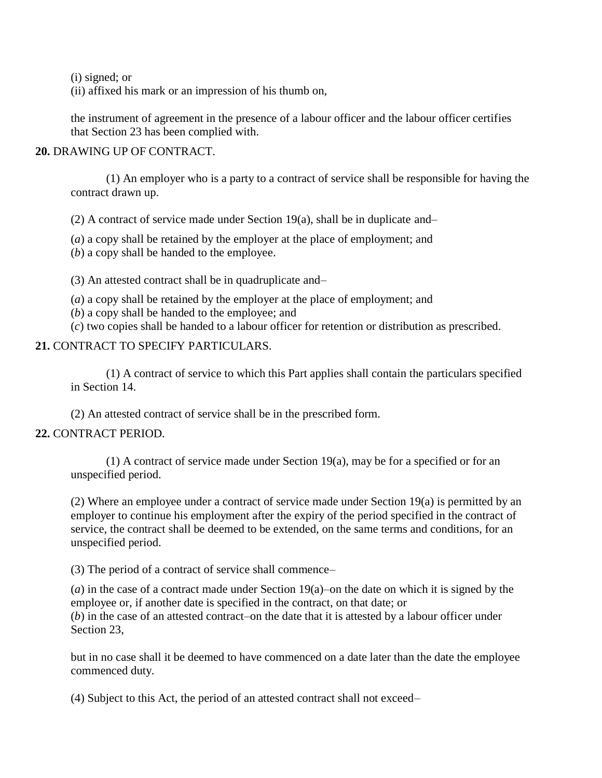(i) signed; or

(ii) affixed his mark or an impression of his thumb on,

the instrument of agreement in the presence of a labour officer and the labour officer certifies that Section 23 has been complied with.

#### **20.** DRAWING UP OF CONTRACT.

(1) An employer who is a party to a contract of service shall be responsible for having the contract drawn up.

(2) A contract of service made under Section 19(a), shall be in duplicate and–

(*a*) a copy shall be retained by the employer at the place of employment; and

(*b*) a copy shall be handed to the employee.

(3) An attested contract shall be in quadruplicate and–

(*a*) a copy shall be retained by the employer at the place of employment; and

(*b*) a copy shall be handed to the employee; and

(*c*) two copies shall be handed to a labour officer for retention or distribution as prescribed.

#### **21.** CONTRACT TO SPECIFY PARTICULARS.

(1) A contract of service to which this Part applies shall contain the particulars specified in Section 14.

(2) An attested contract of service shall be in the prescribed form.

### **22.** CONTRACT PERIOD.

(1) A contract of service made under Section 19(a), may be for a specified or for an unspecified period.

(2) Where an employee under a contract of service made under Section 19(a) is permitted by an employer to continue his employment after the expiry of the period specified in the contract of service, the contract shall be deemed to be extended, on the same terms and conditions, for an unspecified period.

(3) The period of a contract of service shall commence–

(*a*) in the case of a contract made under Section 19(a)–on the date on which it is signed by the employee or, if another date is specified in the contract, on that date; or (*b*) in the case of an attested contract–on the date that it is attested by a labour officer under Section 23,

but in no case shall it be deemed to have commenced on a date later than the date the employee commenced duty.

(4) Subject to this Act, the period of an attested contract shall not exceed–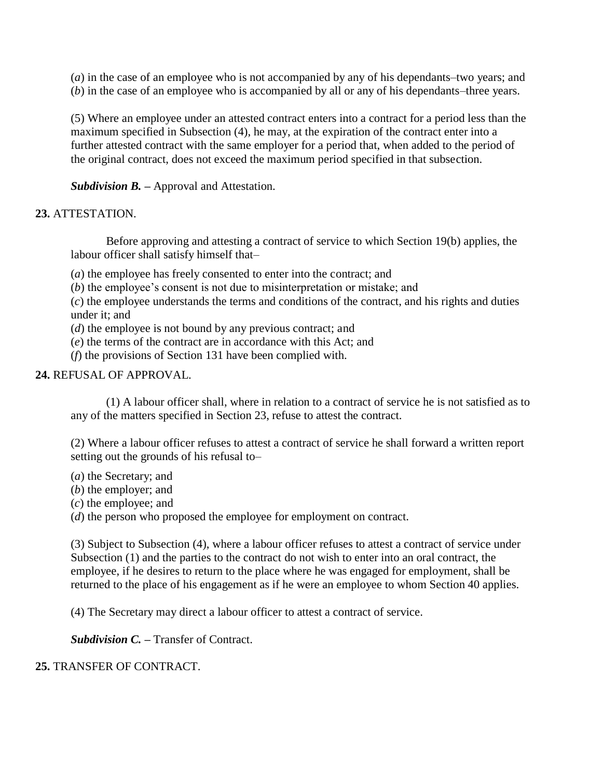(*a*) in the case of an employee who is not accompanied by any of his dependants–two years; and (*b*) in the case of an employee who is accompanied by all or any of his dependants–three years.

(5) Where an employee under an attested contract enters into a contract for a period less than the maximum specified in Subsection (4), he may, at the expiration of the contract enter into a further attested contract with the same employer for a period that, when added to the period of the original contract, does not exceed the maximum period specified in that subsection.

*Subdivision B. –* Approval and Attestation.

### **23.** ATTESTATION.

Before approving and attesting a contract of service to which Section 19(b) applies, the labour officer shall satisfy himself that–

(*a*) the employee has freely consented to enter into the contract; and

(*b*) the employee's consent is not due to misinterpretation or mistake; and

(*c*) the employee understands the terms and conditions of the contract, and his rights and duties under it; and

(*d*) the employee is not bound by any previous contract; and

(*e*) the terms of the contract are in accordance with this Act; and

(*f*) the provisions of Section 131 have been complied with.

#### **24.** REFUSAL OF APPROVAL.

(1) A labour officer shall, where in relation to a contract of service he is not satisfied as to any of the matters specified in Section 23, refuse to attest the contract.

(2) Where a labour officer refuses to attest a contract of service he shall forward a written report setting out the grounds of his refusal to–

- (*a*) the Secretary; and
- (*b*) the employer; and
- (*c*) the employee; and

(*d*) the person who proposed the employee for employment on contract.

(3) Subject to Subsection (4), where a labour officer refuses to attest a contract of service under Subsection (1) and the parties to the contract do not wish to enter into an oral contract, the employee, if he desires to return to the place where he was engaged for employment, shall be returned to the place of his engagement as if he were an employee to whom Section 40 applies.

(4) The Secretary may direct a labour officer to attest a contract of service.

*Subdivision C. –* Transfer of Contract.

### **25.** TRANSFER OF CONTRACT.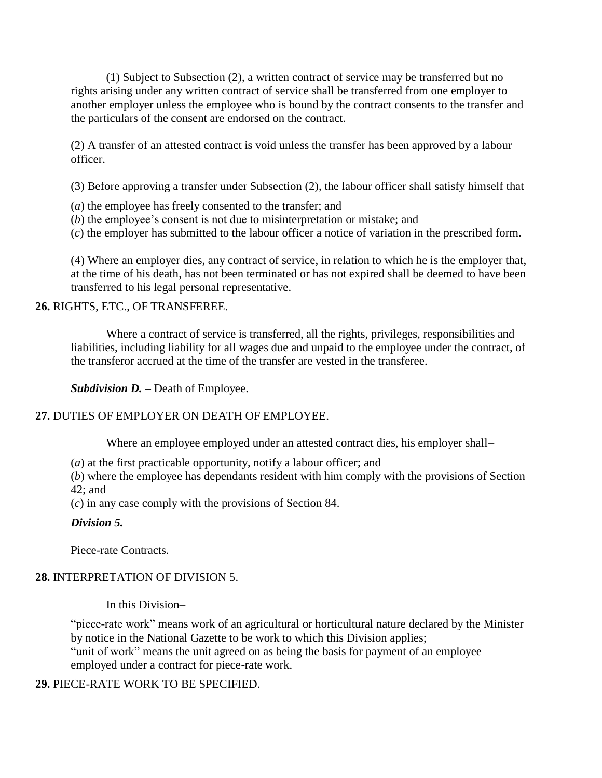(1) Subject to Subsection (2), a written contract of service may be transferred but no rights arising under any written contract of service shall be transferred from one employer to another employer unless the employee who is bound by the contract consents to the transfer and the particulars of the consent are endorsed on the contract.

(2) A transfer of an attested contract is void unless the transfer has been approved by a labour officer.

(3) Before approving a transfer under Subsection (2), the labour officer shall satisfy himself that–

- (*a*) the employee has freely consented to the transfer; and
- (*b*) the employee's consent is not due to misinterpretation or mistake; and
- (*c*) the employer has submitted to the labour officer a notice of variation in the prescribed form.

(4) Where an employer dies, any contract of service, in relation to which he is the employer that, at the time of his death, has not been terminated or has not expired shall be deemed to have been transferred to his legal personal representative.

#### **26.** RIGHTS, ETC., OF TRANSFEREE.

Where a contract of service is transferred, all the rights, privileges, responsibilities and liabilities, including liability for all wages due and unpaid to the employee under the contract, of the transferor accrued at the time of the transfer are vested in the transferee.

*Subdivision D. –* Death of Employee.

### **27.** DUTIES OF EMPLOYER ON DEATH OF EMPLOYEE.

Where an employee employed under an attested contract dies, his employer shall-

(*a*) at the first practicable opportunity, notify a labour officer; and

(*b*) where the employee has dependants resident with him comply with the provisions of Section 42; and

(*c*) in any case comply with the provisions of Section 84.

### *Division 5.*

Piece-rate Contracts.

### **28.** INTERPRETATION OF DIVISION 5.

In this Division–

"piece-rate work" means work of an agricultural or horticultural nature declared by the Minister by notice in the National Gazette to be work to which this Division applies; "unit of work" means the unit agreed on as being the basis for payment of an employee employed under a contract for piece-rate work.

#### **29.** PIECE-RATE WORK TO BE SPECIFIED.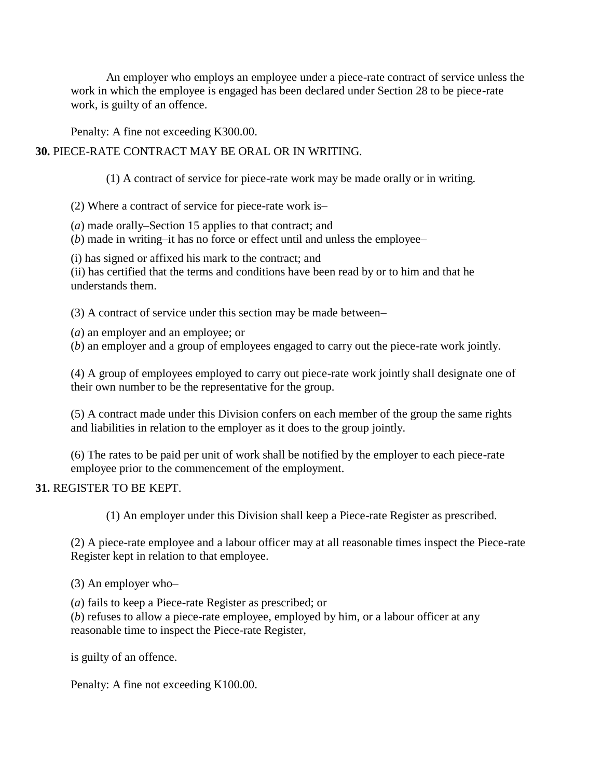An employer who employs an employee under a piece-rate contract of service unless the work in which the employee is engaged has been declared under Section 28 to be piece-rate work, is guilty of an offence.

Penalty: A fine not exceeding K300.00.

### **30.** PIECE-RATE CONTRACT MAY BE ORAL OR IN WRITING.

(1) A contract of service for piece-rate work may be made orally or in writing.

(2) Where a contract of service for piece-rate work is–

- (*a*) made orally–Section 15 applies to that contract; and
- (*b*) made in writing–it has no force or effect until and unless the employee–

(i) has signed or affixed his mark to the contract; and

(ii) has certified that the terms and conditions have been read by or to him and that he understands them.

(3) A contract of service under this section may be made between–

(*a*) an employer and an employee; or

(*b*) an employer and a group of employees engaged to carry out the piece-rate work jointly.

(4) A group of employees employed to carry out piece-rate work jointly shall designate one of their own number to be the representative for the group.

(5) A contract made under this Division confers on each member of the group the same rights and liabilities in relation to the employer as it does to the group jointly.

(6) The rates to be paid per unit of work shall be notified by the employer to each piece-rate employee prior to the commencement of the employment.

### **31.** REGISTER TO BE KEPT.

(1) An employer under this Division shall keep a Piece-rate Register as prescribed.

(2) A piece-rate employee and a labour officer may at all reasonable times inspect the Piece-rate Register kept in relation to that employee.

(3) An employer who–

(*a*) fails to keep a Piece-rate Register as prescribed; or (*b*) refuses to allow a piece-rate employee, employed by him, or a labour officer at any reasonable time to inspect the Piece-rate Register,

is guilty of an offence.

Penalty: A fine not exceeding K100.00.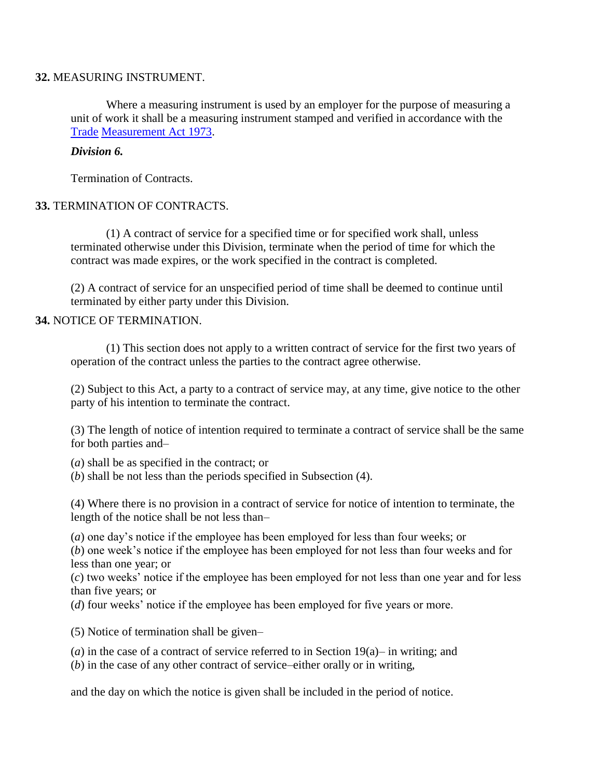#### **32.** MEASURING INSTRUMENT.

Where a measuring instrument is used by an employer for the purpose of measuring a unit of work it shall be a measuring instrument stamped and verified in accordance with the [Trade](http://www.paclii.org/pg/legis/consol_act/tma1973187/) [Measurement Act 1973.](http://www.paclii.org/pg/legis/consol_act/tma1973187/)

#### *Division 6.*

Termination of Contracts.

#### **33.** TERMINATION OF CONTRACTS.

(1) A contract of service for a specified time or for specified work shall, unless terminated otherwise under this Division, terminate when the period of time for which the contract was made expires, or the work specified in the contract is completed.

(2) A contract of service for an unspecified period of time shall be deemed to continue until terminated by either party under this Division.

#### **34.** NOTICE OF TERMINATION.

(1) This section does not apply to a written contract of service for the first two years of operation of the contract unless the parties to the contract agree otherwise.

(2) Subject to this Act, a party to a contract of service may, at any time, give notice to the other party of his intention to terminate the contract.

(3) The length of notice of intention required to terminate a contract of service shall be the same for both parties and–

(*a*) shall be as specified in the contract; or

(*b*) shall be not less than the periods specified in Subsection (4).

(4) Where there is no provision in a contract of service for notice of intention to terminate, the length of the notice shall be not less than–

(*a*) one day's notice if the employee has been employed for less than four weeks; or

(*b*) one week's notice if the employee has been employed for not less than four weeks and for less than one year; or

(*c*) two weeks' notice if the employee has been employed for not less than one year and for less than five years; or

(*d*) four weeks' notice if the employee has been employed for five years or more.

(5) Notice of termination shall be given–

(*a*) in the case of a contract of service referred to in Section 19(a)– in writing; and

(*b*) in the case of any other contract of service–either orally or in writing,

and the day on which the notice is given shall be included in the period of notice.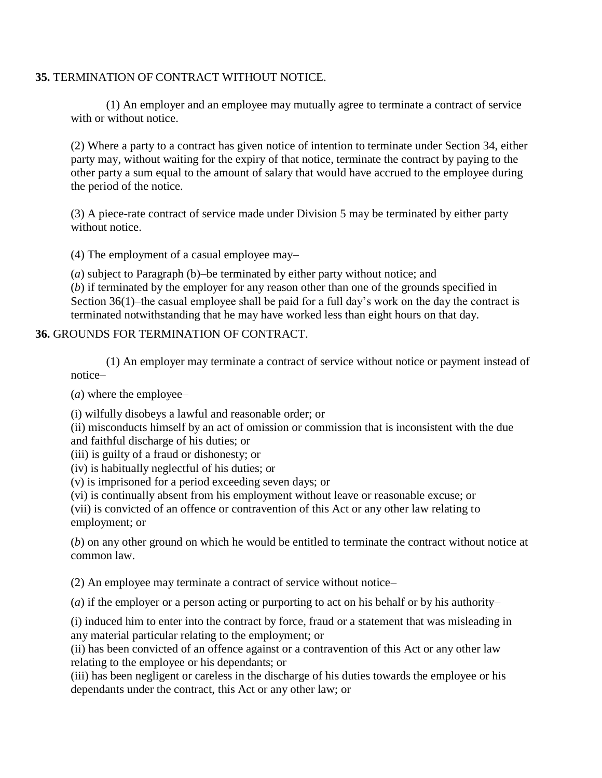#### **35.** TERMINATION OF CONTRACT WITHOUT NOTICE.

(1) An employer and an employee may mutually agree to terminate a contract of service with or without notice.

(2) Where a party to a contract has given notice of intention to terminate under Section 34, either party may, without waiting for the expiry of that notice, terminate the contract by paying to the other party a sum equal to the amount of salary that would have accrued to the employee during the period of the notice.

(3) A piece-rate contract of service made under Division 5 may be terminated by either party without notice.

(4) The employment of a casual employee may–

(*a*) subject to Paragraph (b)–be terminated by either party without notice; and (*b*) if terminated by the employer for any reason other than one of the grounds specified in Section 36(1)–the casual employee shall be paid for a full day's work on the day the contract is terminated notwithstanding that he may have worked less than eight hours on that day.

#### **36.** GROUNDS FOR TERMINATION OF CONTRACT.

(1) An employer may terminate a contract of service without notice or payment instead of notice–

(*a*) where the employee–

(i) wilfully disobeys a lawful and reasonable order; or

(ii) misconducts himself by an act of omission or commission that is inconsistent with the due and faithful discharge of his duties; or

(iii) is guilty of a fraud or dishonesty; or

(iv) is habitually neglectful of his duties; or

(v) is imprisoned for a period exceeding seven days; or

(vi) is continually absent from his employment without leave or reasonable excuse; or

(vii) is convicted of an offence or contravention of this Act or any other law relating to employment; or

(*b*) on any other ground on which he would be entitled to terminate the contract without notice at common law.

(2) An employee may terminate a contract of service without notice–

(*a*) if the employer or a person acting or purporting to act on his behalf or by his authority–

(i) induced him to enter into the contract by force, fraud or a statement that was misleading in any material particular relating to the employment; or

(ii) has been convicted of an offence against or a contravention of this Act or any other law relating to the employee or his dependants; or

(iii) has been negligent or careless in the discharge of his duties towards the employee or his dependants under the contract, this Act or any other law; or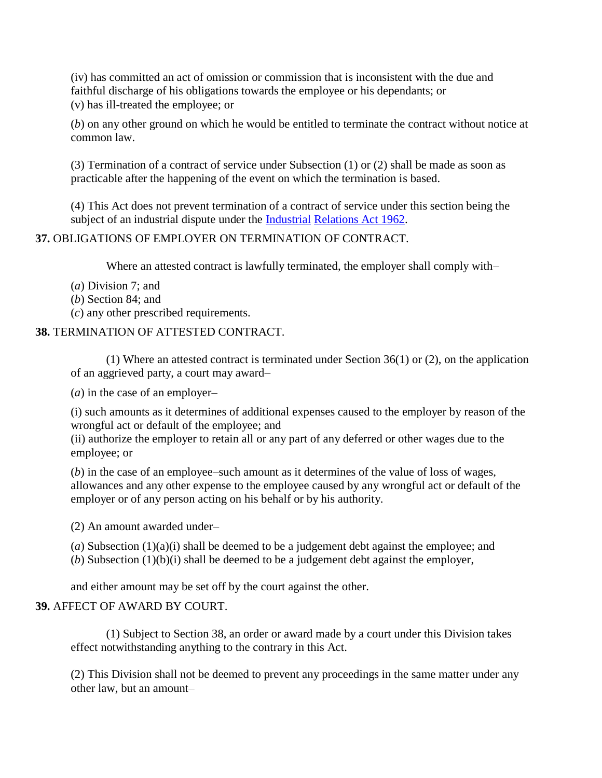(iv) has committed an act of omission or commission that is inconsistent with the due and faithful discharge of his obligations towards the employee or his dependants; or (v) has ill-treated the employee; or

(*b*) on any other ground on which he would be entitled to terminate the contract without notice at common law.

(3) Termination of a contract of service under Subsection (1) or (2) shall be made as soon as practicable after the happening of the event on which the termination is based.

(4) This Act does not prevent termination of a contract of service under this section being the subject of an industrial dispute under the [Industrial](http://www.paclii.org/pg/legis/consol_act/ira1962242/) [Relations Act 1962.](http://www.paclii.org/pg/legis/consol_act/ira1962242/)

# **37.** OBLIGATIONS OF EMPLOYER ON TERMINATION OF CONTRACT.

Where an attested contract is lawfully terminated, the employer shall comply with–

- (*a*) Division 7; and
- (*b*) Section 84; and
- (*c*) any other prescribed requirements.

#### **38.** TERMINATION OF ATTESTED CONTRACT.

(1) Where an attested contract is terminated under Section 36(1) or (2), on the application of an aggrieved party, a court may award–

(*a*) in the case of an employer–

(i) such amounts as it determines of additional expenses caused to the employer by reason of the wrongful act or default of the employee; and

(ii) authorize the employer to retain all or any part of any deferred or other wages due to the employee; or

(*b*) in the case of an employee–such amount as it determines of the value of loss of wages, allowances and any other expense to the employee caused by any wrongful act or default of the employer or of any person acting on his behalf or by his authority.

(2) An amount awarded under–

(*a*) Subsection (1)(a)(i) shall be deemed to be a judgement debt against the employee; and

(*b*) Subsection (1)(b)(i) shall be deemed to be a judgement debt against the employer,

and either amount may be set off by the court against the other.

### **39.** AFFECT OF AWARD BY COURT.

(1) Subject to Section 38, an order or award made by a court under this Division takes effect notwithstanding anything to the contrary in this Act.

(2) This Division shall not be deemed to prevent any proceedings in the same matter under any other law, but an amount–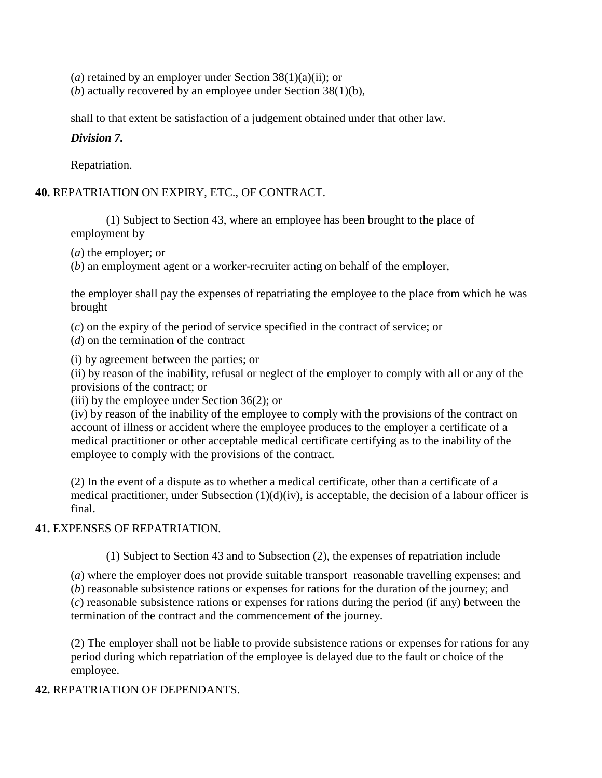(*a*) retained by an employer under Section 38(1)(a)(ii); or

(*b*) actually recovered by an employee under Section 38(1)(b),

shall to that extent be satisfaction of a judgement obtained under that other law.

*Division 7.*

Repatriation.

### **40.** REPATRIATION ON EXPIRY, ETC., OF CONTRACT.

(1) Subject to Section 43, where an employee has been brought to the place of employment by–

(*a*) the employer; or

(*b*) an employment agent or a worker-recruiter acting on behalf of the employer,

the employer shall pay the expenses of repatriating the employee to the place from which he was brought–

(*c*) on the expiry of the period of service specified in the contract of service; or

(*d*) on the termination of the contract–

(i) by agreement between the parties; or

(ii) by reason of the inability, refusal or neglect of the employer to comply with all or any of the provisions of the contract; or

(iii) by the employee under Section  $36(2)$ ; or

(iv) by reason of the inability of the employee to comply with the provisions of the contract on account of illness or accident where the employee produces to the employer a certificate of a medical practitioner or other acceptable medical certificate certifying as to the inability of the employee to comply with the provisions of the contract.

(2) In the event of a dispute as to whether a medical certificate, other than a certificate of a medical practitioner, under Subsection  $(1)(d)(iv)$ , is acceptable, the decision of a labour officer is final.

### **41.** EXPENSES OF REPATRIATION.

(1) Subject to Section 43 and to Subsection (2), the expenses of repatriation include–

(*a*) where the employer does not provide suitable transport–reasonable travelling expenses; and

(*b*) reasonable subsistence rations or expenses for rations for the duration of the journey; and (*c*) reasonable subsistence rations or expenses for rations during the period (if any) between the termination of the contract and the commencement of the journey.

(2) The employer shall not be liable to provide subsistence rations or expenses for rations for any period during which repatriation of the employee is delayed due to the fault or choice of the employee.

### **42.** REPATRIATION OF DEPENDANTS.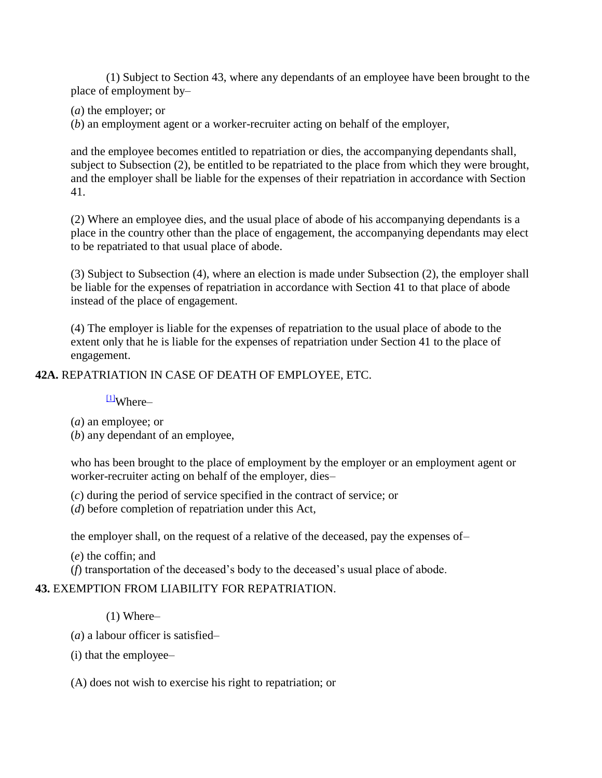(1) Subject to Section 43, where any dependants of an employee have been brought to the place of employment by–

(*a*) the employer; or

(*b*) an employment agent or a worker-recruiter acting on behalf of the employer,

and the employee becomes entitled to repatriation or dies, the accompanying dependants shall, subject to Subsection (2), be entitled to be repatriated to the place from which they were brought, and the employer shall be liable for the expenses of their repatriation in accordance with Section 41.

(2) Where an employee dies, and the usual place of abode of his accompanying dependants is a place in the country other than the place of engagement, the accompanying dependants may elect to be repatriated to that usual place of abode.

(3) Subject to Subsection (4), where an election is made under Subsection (2), the employer shall be liable for the expenses of repatriation in accordance with Section 41 to that place of abode instead of the place of engagement.

(4) The employer is liable for the expenses of repatriation to the usual place of abode to the extent only that he is liable for the expenses of repatriation under Section 41 to the place of engagement.

#### **42A.** REPATRIATION IN CASE OF DEATH OF EMPLOYEE, ETC.

 $\frac{11}{11}$ Where–

(*a*) an employee; or

(*b*) any dependant of an employee,

who has been brought to the place of employment by the employer or an employment agent or worker-recruiter acting on behalf of the employer, dies–

(*c*) during the period of service specified in the contract of service; or

(*d*) before completion of repatriation under this Act,

the employer shall, on the request of a relative of the deceased, pay the expenses of–

(*e*) the coffin; and

(*f*) transportation of the deceased's body to the deceased's usual place of abode.

#### **43.** EXEMPTION FROM LIABILITY FOR REPATRIATION.

(1) Where–

(*a*) a labour officer is satisfied–

(i) that the employee–

(A) does not wish to exercise his right to repatriation; or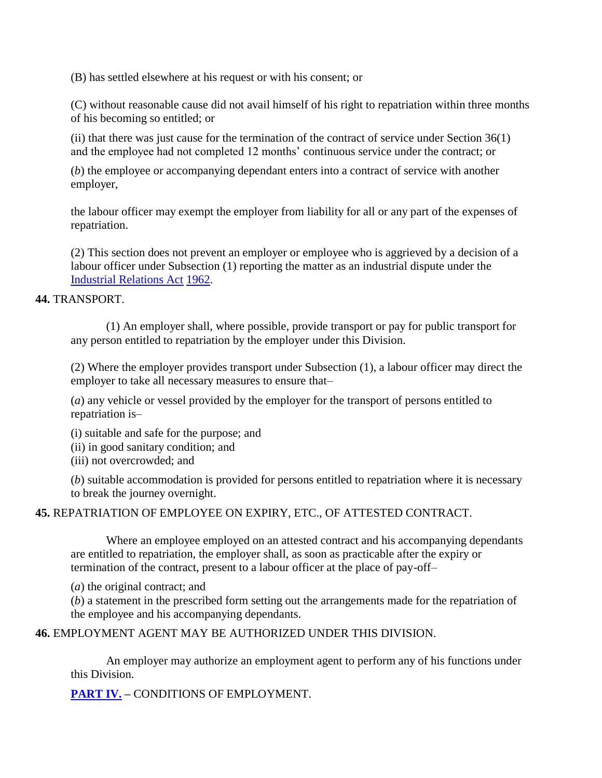(B) has settled elsewhere at his request or with his consent; or

(C) without reasonable cause did not avail himself of his right to repatriation within three months of his becoming so entitled; or

(ii) that there was just cause for the termination of the contract of service under Section 36(1) and the employee had not completed 12 months' continuous service under the contract; or

(*b*) the employee or accompanying dependant enters into a contract of service with another employer,

the labour officer may exempt the employer from liability for all or any part of the expenses of repatriation.

(2) This section does not prevent an employer or employee who is aggrieved by a decision of a labour officer under Subsection (1) reporting the matter as an industrial dispute under the [Industrial Relations Act](http://www.paclii.org/pg/legis/consol_act/ira1962242/) [1962.](http://www.paclii.org/pg/legis/consol_act/ira1962242/)

### **44.** TRANSPORT.

(1) An employer shall, where possible, provide transport or pay for public transport for any person entitled to repatriation by the employer under this Division.

(2) Where the employer provides transport under Subsection (1), a labour officer may direct the employer to take all necessary measures to ensure that–

(*a*) any vehicle or vessel provided by the employer for the transport of persons entitled to repatriation is–

(i) suitable and safe for the purpose; and

(ii) in good sanitary condition; and

(iii) not overcrowded; and

(*b*) suitable accommodation is provided for persons entitled to repatriation where it is necessary to break the journey overnight.

### **45.** REPATRIATION OF EMPLOYEE ON EXPIRY, ETC., OF ATTESTED CONTRACT.

Where an employee employed on an attested contract and his accompanying dependants are entitled to repatriation, the employer shall, as soon as practicable after the expiry or termination of the contract, present to a labour officer at the place of pay-off–

(*a*) the original contract; and

(*b*) a statement in the prescribed form setting out the arrangements made for the repatriation of the employee and his accompanying dependants.

**46.** EMPLOYMENT AGENT MAY BE AUTHORIZED UNDER THIS DIVISION.

An employer may authorize an employment agent to perform any of his functions under this Division.

**[PART IV.](http://www.paclii.org/pg/legis/consol_act/ira1962242/index.html#p4) –** CONDITIONS OF EMPLOYMENT.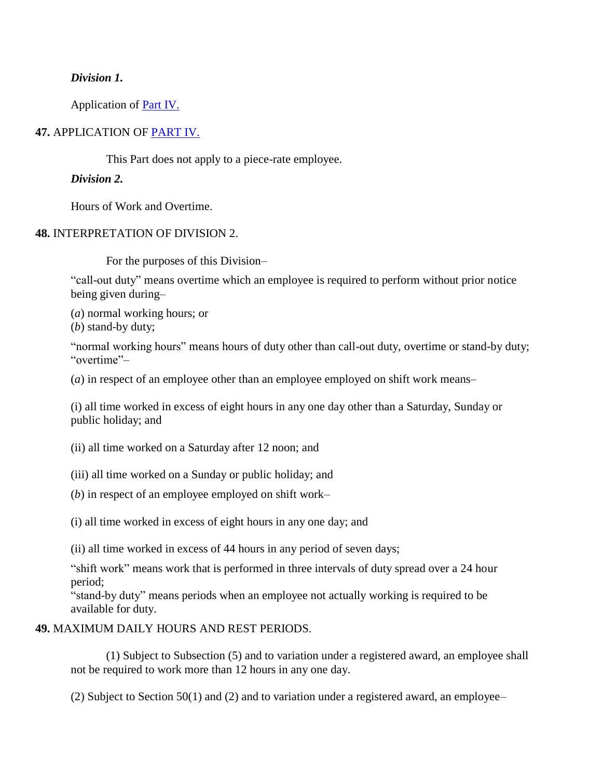#### *Division 1.*

Application of [Part IV.](http://www.paclii.org/pg/legis/consol_act/ira1962242/index.html#p4)

### **47.** APPLICATION OF [PART IV.](http://www.paclii.org/pg/legis/consol_act/ira1962242/index.html#p4)

This Part does not apply to a piece-rate employee.

#### *Division 2.*

Hours of Work and Overtime.

#### **48.** INTERPRETATION OF DIVISION 2.

For the purposes of this Division–

"call-out duty" means overtime which an employee is required to perform without prior notice being given during–

(*a*) normal working hours; or

(*b*) stand-by duty;

"normal working hours" means hours of duty other than call-out duty, overtime or stand-by duty; "overtime"–

(*a*) in respect of an employee other than an employee employed on shift work means–

(i) all time worked in excess of eight hours in any one day other than a Saturday, Sunday or public holiday; and

(ii) all time worked on a Saturday after 12 noon; and

(iii) all time worked on a Sunday or public holiday; and

(*b*) in respect of an employee employed on shift work–

(i) all time worked in excess of eight hours in any one day; and

(ii) all time worked in excess of 44 hours in any period of seven days;

"shift work" means work that is performed in three intervals of duty spread over a 24 hour period;

"stand-by duty" means periods when an employee not actually working is required to be available for duty.

#### **49.** MAXIMUM DAILY HOURS AND REST PERIODS.

(1) Subject to Subsection (5) and to variation under a registered award, an employee shall not be required to work more than 12 hours in any one day.

(2) Subject to Section 50(1) and (2) and to variation under a registered award, an employee–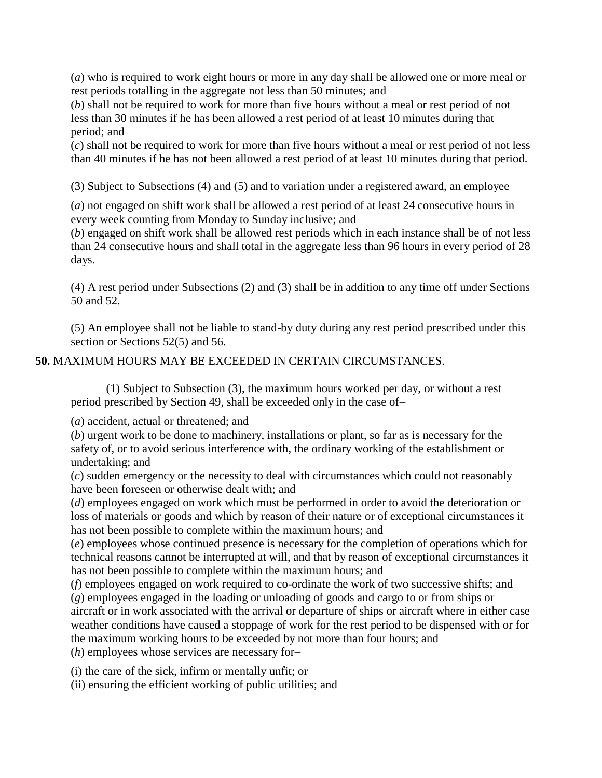(*a*) who is required to work eight hours or more in any day shall be allowed one or more meal or rest periods totalling in the aggregate not less than 50 minutes; and

(*b*) shall not be required to work for more than five hours without a meal or rest period of not less than 30 minutes if he has been allowed a rest period of at least 10 minutes during that period; and

(*c*) shall not be required to work for more than five hours without a meal or rest period of not less than 40 minutes if he has not been allowed a rest period of at least 10 minutes during that period.

(3) Subject to Subsections (4) and (5) and to variation under a registered award, an employee–

(*a*) not engaged on shift work shall be allowed a rest period of at least 24 consecutive hours in every week counting from Monday to Sunday inclusive; and

(*b*) engaged on shift work shall be allowed rest periods which in each instance shall be of not less than 24 consecutive hours and shall total in the aggregate less than 96 hours in every period of 28 days.

(4) A rest period under Subsections (2) and (3) shall be in addition to any time off under Sections 50 and 52.

(5) An employee shall not be liable to stand-by duty during any rest period prescribed under this section or Sections 52(5) and 56.

# **50.** MAXIMUM HOURS MAY BE EXCEEDED IN CERTAIN CIRCUMSTANCES.

(1) Subject to Subsection (3), the maximum hours worked per day, or without a rest period prescribed by Section 49, shall be exceeded only in the case of–

(*a*) accident, actual or threatened; and

(*b*) urgent work to be done to machinery, installations or plant, so far as is necessary for the safety of, or to avoid serious interference with, the ordinary working of the establishment or undertaking; and

(*c*) sudden emergency or the necessity to deal with circumstances which could not reasonably have been foreseen or otherwise dealt with; and

(*d*) employees engaged on work which must be performed in order to avoid the deterioration or loss of materials or goods and which by reason of their nature or of exceptional circumstances it has not been possible to complete within the maximum hours; and

(*e*) employees whose continued presence is necessary for the completion of operations which for technical reasons cannot be interrupted at will, and that by reason of exceptional circumstances it has not been possible to complete within the maximum hours; and

(*f*) employees engaged on work required to co-ordinate the work of two successive shifts; and (*g*) employees engaged in the loading or unloading of goods and cargo to or from ships or

aircraft or in work associated with the arrival or departure of ships or aircraft where in either case weather conditions have caused a stoppage of work for the rest period to be dispensed with or for the maximum working hours to be exceeded by not more than four hours; and

(*h*) employees whose services are necessary for–

(i) the care of the sick, infirm or mentally unfit; or

(ii) ensuring the efficient working of public utilities; and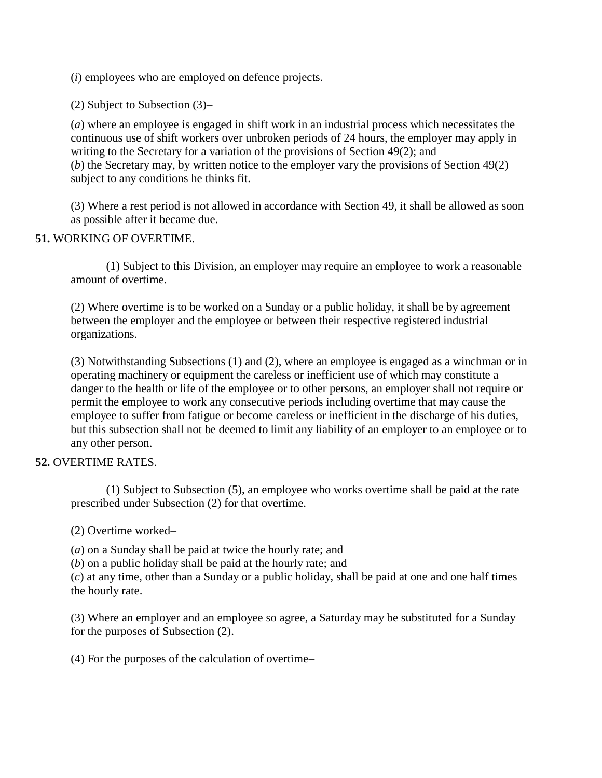(*i*) employees who are employed on defence projects.

(2) Subject to Subsection (3)–

(*a*) where an employee is engaged in shift work in an industrial process which necessitates the continuous use of shift workers over unbroken periods of 24 hours, the employer may apply in writing to the Secretary for a variation of the provisions of Section 49(2); and (*b*) the Secretary may, by written notice to the employer vary the provisions of Section 49(2) subject to any conditions he thinks fit.

(3) Where a rest period is not allowed in accordance with Section 49, it shall be allowed as soon as possible after it became due.

#### **51.** WORKING OF OVERTIME.

(1) Subject to this Division, an employer may require an employee to work a reasonable amount of overtime.

(2) Where overtime is to be worked on a Sunday or a public holiday, it shall be by agreement between the employer and the employee or between their respective registered industrial organizations.

(3) Notwithstanding Subsections (1) and (2), where an employee is engaged as a winchman or in operating machinery or equipment the careless or inefficient use of which may constitute a danger to the health or life of the employee or to other persons, an employer shall not require or permit the employee to work any consecutive periods including overtime that may cause the employee to suffer from fatigue or become careless or inefficient in the discharge of his duties, but this subsection shall not be deemed to limit any liability of an employer to an employee or to any other person.

### **52.** OVERTIME RATES.

(1) Subject to Subsection (5), an employee who works overtime shall be paid at the rate prescribed under Subsection (2) for that overtime.

(2) Overtime worked–

(*a*) on a Sunday shall be paid at twice the hourly rate; and

(*b*) on a public holiday shall be paid at the hourly rate; and

(*c*) at any time, other than a Sunday or a public holiday, shall be paid at one and one half times the hourly rate.

(3) Where an employer and an employee so agree, a Saturday may be substituted for a Sunday for the purposes of Subsection (2).

(4) For the purposes of the calculation of overtime–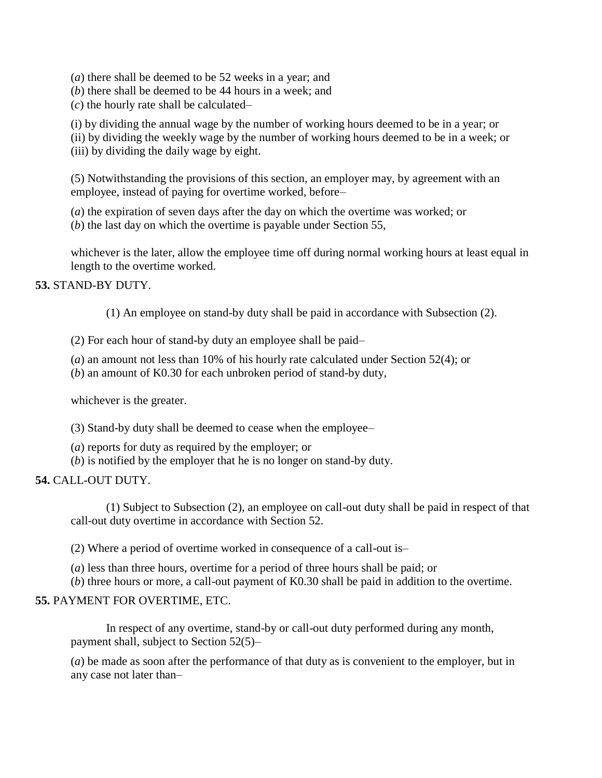(*a*) there shall be deemed to be 52 weeks in a year; and

(*b*) there shall be deemed to be 44 hours in a week; and

(*c*) the hourly rate shall be calculated–

(i) by dividing the annual wage by the number of working hours deemed to be in a year; or

(ii) by dividing the weekly wage by the number of working hours deemed to be in a week; or (iii) by dividing the daily wage by eight.

(5) Notwithstanding the provisions of this section, an employer may, by agreement with an employee, instead of paying for overtime worked, before–

(*a*) the expiration of seven days after the day on which the overtime was worked; or

(*b*) the last day on which the overtime is payable under Section 55,

whichever is the later, allow the employee time off during normal working hours at least equal in length to the overtime worked.

#### **53.** STAND-BY DUTY.

(1) An employee on stand-by duty shall be paid in accordance with Subsection (2).

(2) For each hour of stand-by duty an employee shall be paid–

(*a*) an amount not less than 10% of his hourly rate calculated under Section 52(4); or

(*b*) an amount of K0.30 for each unbroken period of stand-by duty,

whichever is the greater.

(3) Stand-by duty shall be deemed to cease when the employee–

- (*a*) reports for duty as required by the employer; or
- (*b*) is notified by the employer that he is no longer on stand-by duty.

### **54.** CALL-OUT DUTY.

(1) Subject to Subsection (2), an employee on call-out duty shall be paid in respect of that call-out duty overtime in accordance with Section 52.

(2) Where a period of overtime worked in consequence of a call-out is–

(*a*) less than three hours, overtime for a period of three hours shall be paid; or

(*b*) three hours or more, a call-out payment of K0.30 shall be paid in addition to the overtime.

### **55.** PAYMENT FOR OVERTIME, ETC.

In respect of any overtime, stand-by or call-out duty performed during any month, payment shall, subject to Section 52(5)–

(*a*) be made as soon after the performance of that duty as is convenient to the employer, but in any case not later than–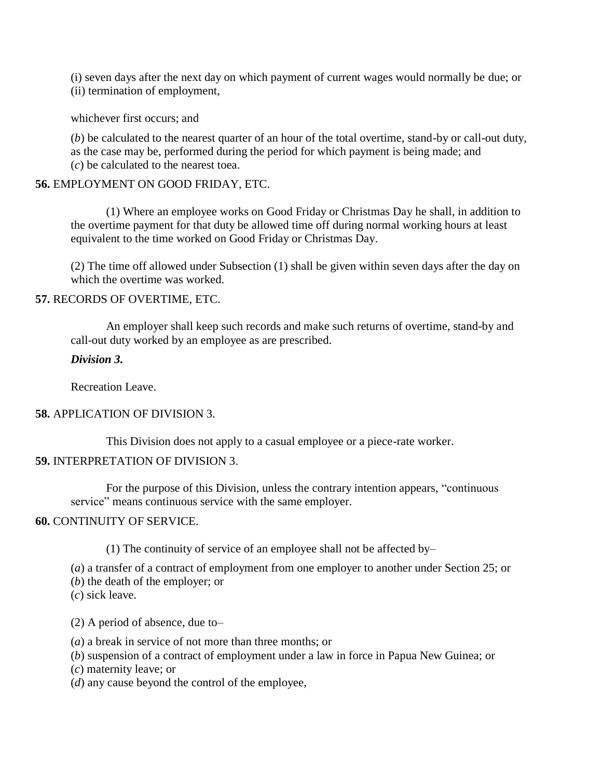(i) seven days after the next day on which payment of current wages would normally be due; or (ii) termination of employment,

whichever first occurs; and

(*b*) be calculated to the nearest quarter of an hour of the total overtime, stand-by or call-out duty, as the case may be, performed during the period for which payment is being made; and (*c*) be calculated to the nearest toea.

#### **56.** EMPLOYMENT ON GOOD FRIDAY, ETC.

(1) Where an employee works on Good Friday or Christmas Day he shall, in addition to the overtime payment for that duty be allowed time off during normal working hours at least equivalent to the time worked on Good Friday or Christmas Day.

(2) The time off allowed under Subsection (1) shall be given within seven days after the day on which the overtime was worked.

#### **57.** RECORDS OF OVERTIME, ETC.

An employer shall keep such records and make such returns of overtime, stand-by and call-out duty worked by an employee as are prescribed.

#### *Division 3.*

Recreation Leave.

### **58.** APPLICATION OF DIVISION 3.

This Division does not apply to a casual employee or a piece-rate worker.

### **59.** INTERPRETATION OF DIVISION 3.

For the purpose of this Division, unless the contrary intention appears, "continuous service" means continuous service with the same employer.

#### **60.** CONTINUITY OF SERVICE.

(1) The continuity of service of an employee shall not be affected by–

(*a*) a transfer of a contract of employment from one employer to another under Section 25; or

(*b*) the death of the employer; or

(*c*) sick leave.

(2) A period of absence, due to–

(*a*) a break in service of not more than three months; or

(*b*) suspension of a contract of employment under a law in force in Papua New Guinea; or

(*c*) maternity leave; or

(*d*) any cause beyond the control of the employee,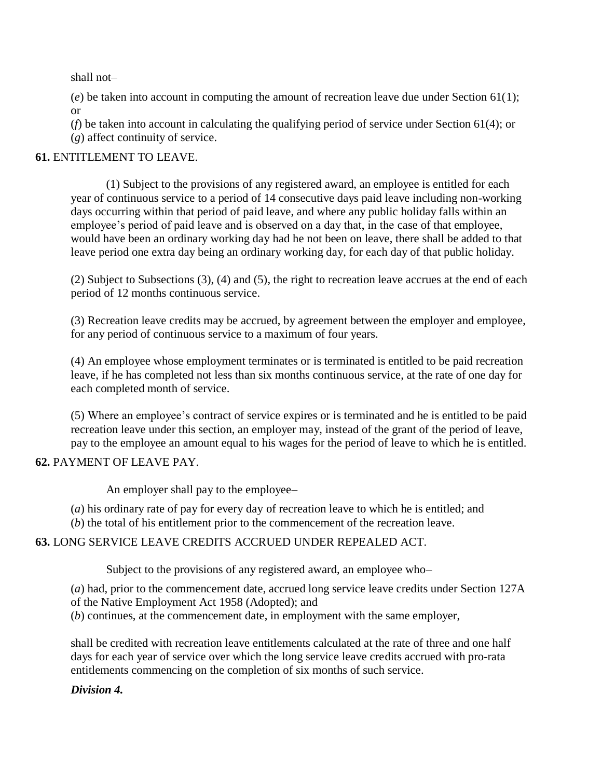shall not–

(*e*) be taken into account in computing the amount of recreation leave due under Section 61(1); or

(*f*) be taken into account in calculating the qualifying period of service under Section 61(4); or (*g*) affect continuity of service.

### **61.** ENTITLEMENT TO LEAVE.

(1) Subject to the provisions of any registered award, an employee is entitled for each year of continuous service to a period of 14 consecutive days paid leave including non-working days occurring within that period of paid leave, and where any public holiday falls within an employee's period of paid leave and is observed on a day that, in the case of that employee, would have been an ordinary working day had he not been on leave, there shall be added to that leave period one extra day being an ordinary working day, for each day of that public holiday.

(2) Subject to Subsections (3), (4) and (5), the right to recreation leave accrues at the end of each period of 12 months continuous service.

(3) Recreation leave credits may be accrued, by agreement between the employer and employee, for any period of continuous service to a maximum of four years.

(4) An employee whose employment terminates or is terminated is entitled to be paid recreation leave, if he has completed not less than six months continuous service, at the rate of one day for each completed month of service.

(5) Where an employee's contract of service expires or is terminated and he is entitled to be paid recreation leave under this section, an employer may, instead of the grant of the period of leave, pay to the employee an amount equal to his wages for the period of leave to which he is entitled.

### **62.** PAYMENT OF LEAVE PAY.

An employer shall pay to the employee–

- (*a*) his ordinary rate of pay for every day of recreation leave to which he is entitled; and
- (*b*) the total of his entitlement prior to the commencement of the recreation leave.

# **63.** LONG SERVICE LEAVE CREDITS ACCRUED UNDER REPEALED ACT.

Subject to the provisions of any registered award, an employee who–

(*a*) had, prior to the commencement date, accrued long service leave credits under Section 127A

of the Native Employment Act 1958 (Adopted); and

(*b*) continues, at the commencement date, in employment with the same employer,

shall be credited with recreation leave entitlements calculated at the rate of three and one half days for each year of service over which the long service leave credits accrued with pro-rata entitlements commencing on the completion of six months of such service.

### *Division 4.*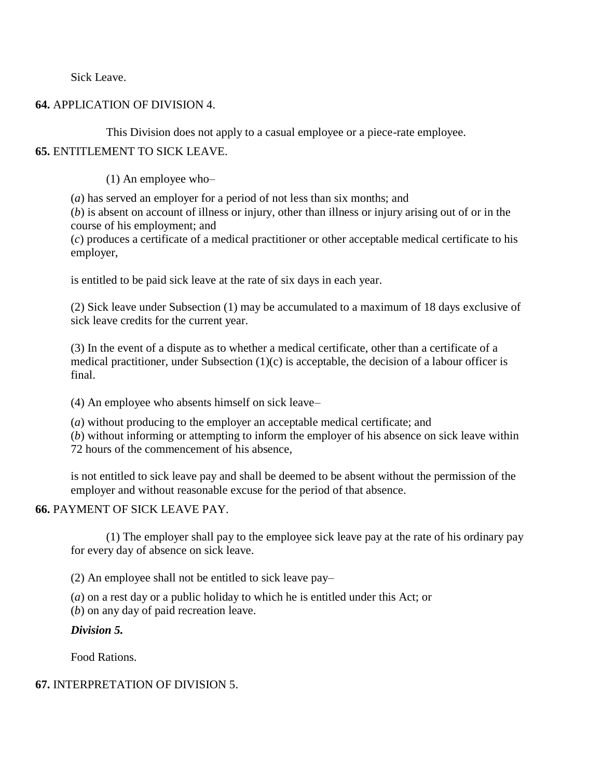Sick Leave.

#### **64.** APPLICATION OF DIVISION 4.

This Division does not apply to a casual employee or a piece-rate employee.

### **65.** ENTITLEMENT TO SICK LEAVE.

(1) An employee who–

(*a*) has served an employer for a period of not less than six months; and

(*b*) is absent on account of illness or injury, other than illness or injury arising out of or in the course of his employment; and

(*c*) produces a certificate of a medical practitioner or other acceptable medical certificate to his employer,

is entitled to be paid sick leave at the rate of six days in each year.

(2) Sick leave under Subsection (1) may be accumulated to a maximum of 18 days exclusive of sick leave credits for the current year.

(3) In the event of a dispute as to whether a medical certificate, other than a certificate of a medical practitioner, under Subsection (1)(c) is acceptable, the decision of a labour officer is final.

(4) An employee who absents himself on sick leave–

(*a*) without producing to the employer an acceptable medical certificate; and

(*b*) without informing or attempting to inform the employer of his absence on sick leave within 72 hours of the commencement of his absence,

is not entitled to sick leave pay and shall be deemed to be absent without the permission of the employer and without reasonable excuse for the period of that absence.

#### **66.** PAYMENT OF SICK LEAVE PAY.

(1) The employer shall pay to the employee sick leave pay at the rate of his ordinary pay for every day of absence on sick leave.

(2) An employee shall not be entitled to sick leave pay–

(*a*) on a rest day or a public holiday to which he is entitled under this Act; or

(*b*) on any day of paid recreation leave.

### *Division 5.*

Food Rations.

#### **67.** INTERPRETATION OF DIVISION 5.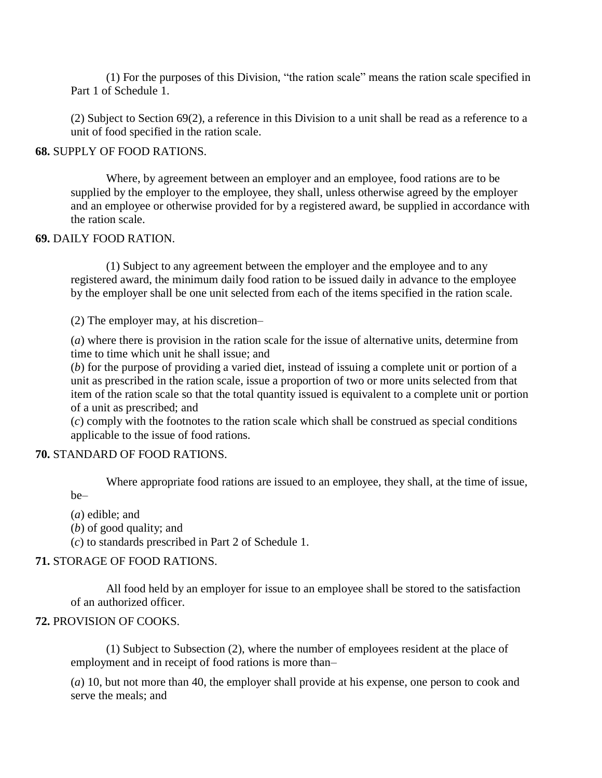(1) For the purposes of this Division, "the ration scale" means the ration scale specified in Part 1 of Schedule 1.

(2) Subject to Section 69(2), a reference in this Division to a unit shall be read as a reference to a unit of food specified in the ration scale.

#### **68.** SUPPLY OF FOOD RATIONS.

Where, by agreement between an employer and an employee, food rations are to be supplied by the employer to the employee, they shall, unless otherwise agreed by the employer and an employee or otherwise provided for by a registered award, be supplied in accordance with the ration scale.

#### **69.** DAILY FOOD RATION.

(1) Subject to any agreement between the employer and the employee and to any registered award, the minimum daily food ration to be issued daily in advance to the employee by the employer shall be one unit selected from each of the items specified in the ration scale.

(2) The employer may, at his discretion–

(*a*) where there is provision in the ration scale for the issue of alternative units, determine from time to time which unit he shall issue; and

(*b*) for the purpose of providing a varied diet, instead of issuing a complete unit or portion of a unit as prescribed in the ration scale, issue a proportion of two or more units selected from that item of the ration scale so that the total quantity issued is equivalent to a complete unit or portion of a unit as prescribed; and

(*c*) comply with the footnotes to the ration scale which shall be construed as special conditions applicable to the issue of food rations.

#### **70.** STANDARD OF FOOD RATIONS.

Where appropriate food rations are issued to an employee, they shall, at the time of issue, be–

(*a*) edible; and

(*b*) of good quality; and

(*c*) to standards prescribed in Part 2 of Schedule 1.

#### **71.** STORAGE OF FOOD RATIONS.

All food held by an employer for issue to an employee shall be stored to the satisfaction of an authorized officer.

#### **72.** PROVISION OF COOKS.

(1) Subject to Subsection (2), where the number of employees resident at the place of employment and in receipt of food rations is more than–

(*a*) 10, but not more than 40, the employer shall provide at his expense, one person to cook and serve the meals; and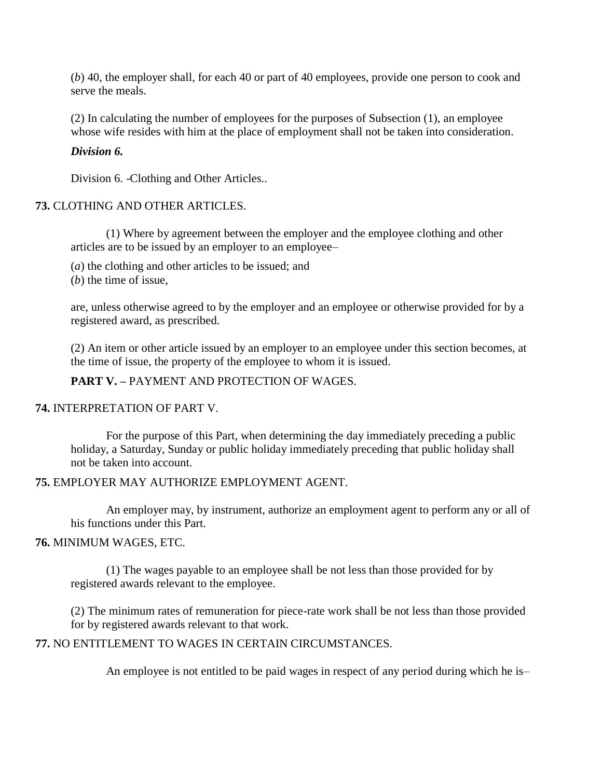(*b*) 40, the employer shall, for each 40 or part of 40 employees, provide one person to cook and serve the meals.

(2) In calculating the number of employees for the purposes of Subsection (1), an employee whose wife resides with him at the place of employment shall not be taken into consideration.

#### *Division 6.*

Division 6. -Clothing and Other Articles..

#### **73.** CLOTHING AND OTHER ARTICLES.

(1) Where by agreement between the employer and the employee clothing and other articles are to be issued by an employer to an employee–

(*a*) the clothing and other articles to be issued; and

(*b*) the time of issue,

are, unless otherwise agreed to by the employer and an employee or otherwise provided for by a registered award, as prescribed.

(2) An item or other article issued by an employer to an employee under this section becomes, at the time of issue, the property of the employee to whom it is issued.

#### **PART V. –** PAYMENT AND PROTECTION OF WAGES.

#### **74.** INTERPRETATION OF PART V.

For the purpose of this Part, when determining the day immediately preceding a public holiday, a Saturday, Sunday or public holiday immediately preceding that public holiday shall not be taken into account.

#### **75.** EMPLOYER MAY AUTHORIZE EMPLOYMENT AGENT.

An employer may, by instrument, authorize an employment agent to perform any or all of his functions under this Part.

#### **76.** MINIMUM WAGES, ETC.

(1) The wages payable to an employee shall be not less than those provided for by registered awards relevant to the employee.

(2) The minimum rates of remuneration for piece-rate work shall be not less than those provided for by registered awards relevant to that work.

# **77.** NO ENTITLEMENT TO WAGES IN CERTAIN CIRCUMSTANCES.

An employee is not entitled to be paid wages in respect of any period during which he is–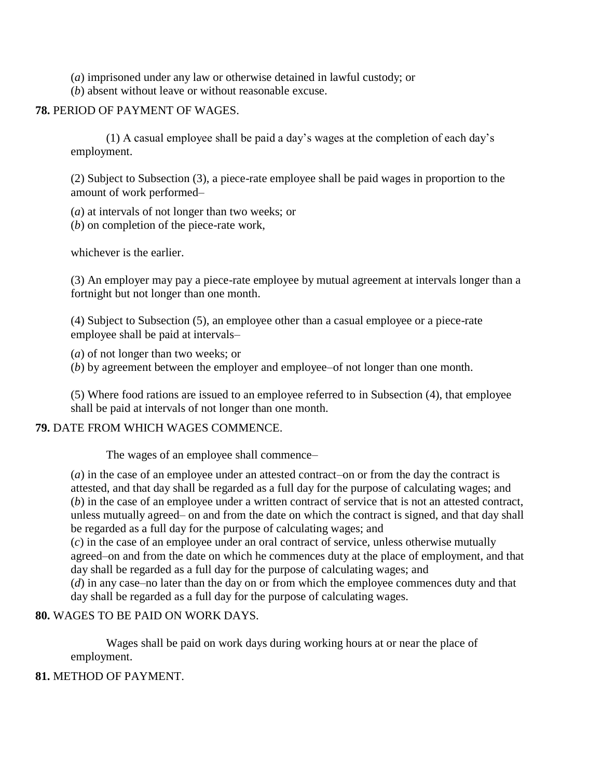(*a*) imprisoned under any law or otherwise detained in lawful custody; or

(*b*) absent without leave or without reasonable excuse.

### **78.** PERIOD OF PAYMENT OF WAGES.

(1) A casual employee shall be paid a day's wages at the completion of each day's employment.

(2) Subject to Subsection (3), a piece-rate employee shall be paid wages in proportion to the amount of work performed–

(*a*) at intervals of not longer than two weeks; or

(*b*) on completion of the piece-rate work,

whichever is the earlier.

(3) An employer may pay a piece-rate employee by mutual agreement at intervals longer than a fortnight but not longer than one month.

(4) Subject to Subsection (5), an employee other than a casual employee or a piece-rate employee shall be paid at intervals–

(*a*) of not longer than two weeks; or

(*b*) by agreement between the employer and employee–of not longer than one month.

(5) Where food rations are issued to an employee referred to in Subsection (4), that employee shall be paid at intervals of not longer than one month.

#### **79.** DATE FROM WHICH WAGES COMMENCE.

The wages of an employee shall commence–

(*a*) in the case of an employee under an attested contract–on or from the day the contract is attested, and that day shall be regarded as a full day for the purpose of calculating wages; and (*b*) in the case of an employee under a written contract of service that is not an attested contract, unless mutually agreed– on and from the date on which the contract is signed, and that day shall be regarded as a full day for the purpose of calculating wages; and

(*c*) in the case of an employee under an oral contract of service, unless otherwise mutually agreed–on and from the date on which he commences duty at the place of employment, and that day shall be regarded as a full day for the purpose of calculating wages; and

(*d*) in any case–no later than the day on or from which the employee commences duty and that day shall be regarded as a full day for the purpose of calculating wages.

### **80.** WAGES TO BE PAID ON WORK DAYS.

Wages shall be paid on work days during working hours at or near the place of employment.

### **81.** METHOD OF PAYMENT.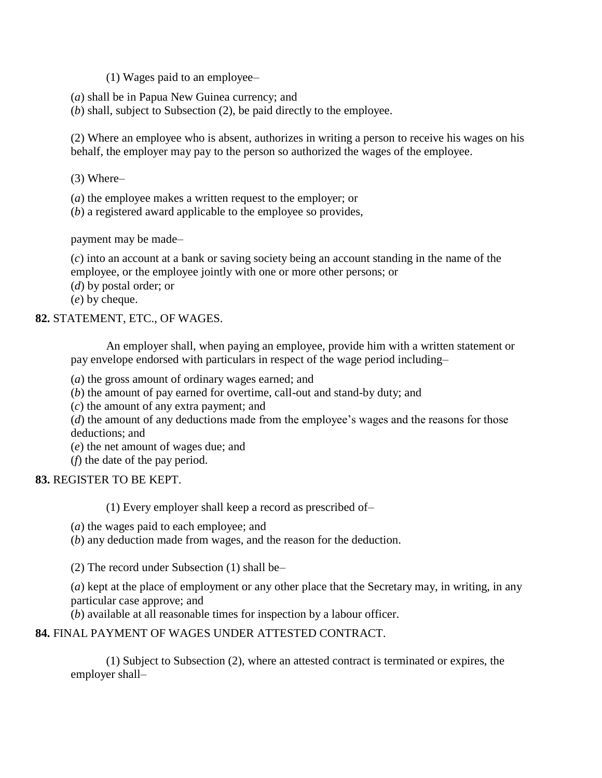- (1) Wages paid to an employee–
- (*a*) shall be in Papua New Guinea currency; and
- (*b*) shall, subject to Subsection (2), be paid directly to the employee.

(2) Where an employee who is absent, authorizes in writing a person to receive his wages on his behalf, the employer may pay to the person so authorized the wages of the employee.

- (3) Where–
- (*a*) the employee makes a written request to the employer; or
- (*b*) a registered award applicable to the employee so provides,

payment may be made–

(*c*) into an account at a bank or saving society being an account standing in the name of the employee, or the employee jointly with one or more other persons; or

(*d*) by postal order; or

(*e*) by cheque.

#### **82.** STATEMENT, ETC., OF WAGES.

An employer shall, when paying an employee, provide him with a written statement or pay envelope endorsed with particulars in respect of the wage period including–

- (*a*) the gross amount of ordinary wages earned; and
- (*b*) the amount of pay earned for overtime, call-out and stand-by duty; and
- (*c*) the amount of any extra payment; and

(*d*) the amount of any deductions made from the employee's wages and the reasons for those deductions; and

- (*e*) the net amount of wages due; and
- (*f*) the date of the pay period.

### **83.** REGISTER TO BE KEPT.

(1) Every employer shall keep a record as prescribed of–

- (*a*) the wages paid to each employee; and
- (*b*) any deduction made from wages, and the reason for the deduction.

(2) The record under Subsection (1) shall be–

(*a*) kept at the place of employment or any other place that the Secretary may, in writing, in any particular case approve; and

(*b*) available at all reasonable times for inspection by a labour officer.

### **84.** FINAL PAYMENT OF WAGES UNDER ATTESTED CONTRACT.

(1) Subject to Subsection (2), where an attested contract is terminated or expires, the employer shall–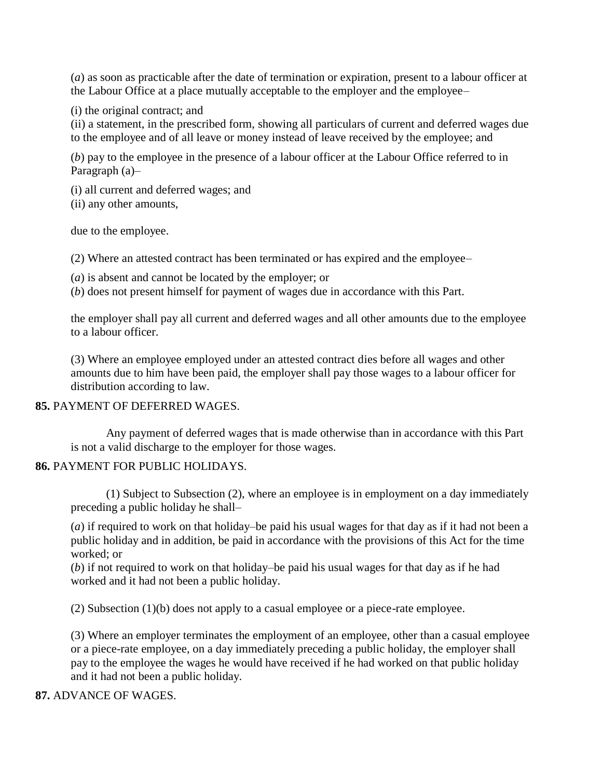(*a*) as soon as practicable after the date of termination or expiration, present to a labour officer at the Labour Office at a place mutually acceptable to the employer and the employee–

(i) the original contract; and

(ii) a statement, in the prescribed form, showing all particulars of current and deferred wages due to the employee and of all leave or money instead of leave received by the employee; and

(*b*) pay to the employee in the presence of a labour officer at the Labour Office referred to in Paragraph (a)–

(i) all current and deferred wages; and

(ii) any other amounts,

due to the employee.

(2) Where an attested contract has been terminated or has expired and the employee–

(*a*) is absent and cannot be located by the employer; or

(*b*) does not present himself for payment of wages due in accordance with this Part.

the employer shall pay all current and deferred wages and all other amounts due to the employee to a labour officer.

(3) Where an employee employed under an attested contract dies before all wages and other amounts due to him have been paid, the employer shall pay those wages to a labour officer for distribution according to law.

#### **85.** PAYMENT OF DEFERRED WAGES.

Any payment of deferred wages that is made otherwise than in accordance with this Part is not a valid discharge to the employer for those wages.

#### **86.** PAYMENT FOR PUBLIC HOLIDAYS.

(1) Subject to Subsection (2), where an employee is in employment on a day immediately preceding a public holiday he shall–

(*a*) if required to work on that holiday–be paid his usual wages for that day as if it had not been a public holiday and in addition, be paid in accordance with the provisions of this Act for the time worked; or

(*b*) if not required to work on that holiday–be paid his usual wages for that day as if he had worked and it had not been a public holiday.

(2) Subsection (1)(b) does not apply to a casual employee or a piece-rate employee.

(3) Where an employer terminates the employment of an employee, other than a casual employee or a piece-rate employee, on a day immediately preceding a public holiday, the employer shall pay to the employee the wages he would have received if he had worked on that public holiday and it had not been a public holiday.

#### **87.** ADVANCE OF WAGES.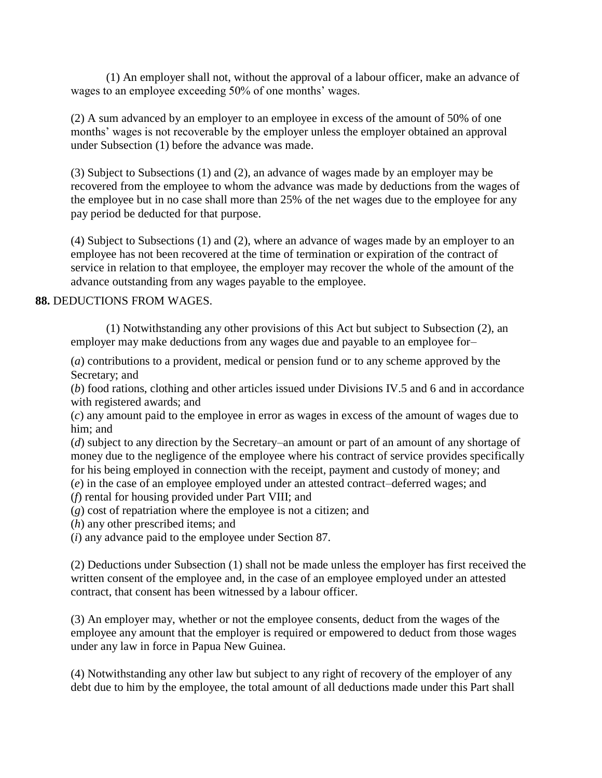(1) An employer shall not, without the approval of a labour officer, make an advance of wages to an employee exceeding 50% of one months' wages.

(2) A sum advanced by an employer to an employee in excess of the amount of 50% of one months' wages is not recoverable by the employer unless the employer obtained an approval under Subsection (1) before the advance was made.

(3) Subject to Subsections (1) and (2), an advance of wages made by an employer may be recovered from the employee to whom the advance was made by deductions from the wages of the employee but in no case shall more than 25% of the net wages due to the employee for any pay period be deducted for that purpose.

(4) Subject to Subsections (1) and (2), where an advance of wages made by an employer to an employee has not been recovered at the time of termination or expiration of the contract of service in relation to that employee, the employer may recover the whole of the amount of the advance outstanding from any wages payable to the employee.

#### **88.** DEDUCTIONS FROM WAGES.

(1) Notwithstanding any other provisions of this Act but subject to Subsection (2), an employer may make deductions from any wages due and payable to an employee for–

(*a*) contributions to a provident, medical or pension fund or to any scheme approved by the Secretary; and

(*b*) food rations, clothing and other articles issued under Divisions IV.5 and 6 and in accordance with registered awards; and

(*c*) any amount paid to the employee in error as wages in excess of the amount of wages due to him; and

(*d*) subject to any direction by the Secretary–an amount or part of an amount of any shortage of money due to the negligence of the employee where his contract of service provides specifically for his being employed in connection with the receipt, payment and custody of money; and

(*e*) in the case of an employee employed under an attested contract–deferred wages; and

(*f*) rental for housing provided under Part VIII; and

(*g*) cost of repatriation where the employee is not a citizen; and

(*h*) any other prescribed items; and

(*i*) any advance paid to the employee under Section 87.

(2) Deductions under Subsection (1) shall not be made unless the employer has first received the written consent of the employee and, in the case of an employee employed under an attested contract, that consent has been witnessed by a labour officer.

(3) An employer may, whether or not the employee consents, deduct from the wages of the employee any amount that the employer is required or empowered to deduct from those wages under any law in force in Papua New Guinea.

(4) Notwithstanding any other law but subject to any right of recovery of the employer of any debt due to him by the employee, the total amount of all deductions made under this Part shall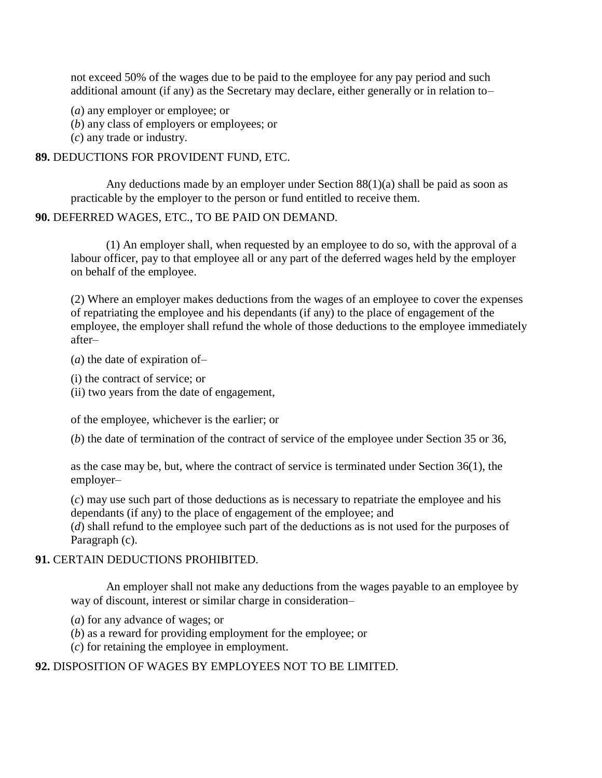not exceed 50% of the wages due to be paid to the employee for any pay period and such additional amount (if any) as the Secretary may declare, either generally or in relation to–

(*a*) any employer or employee; or

(*b*) any class of employers or employees; or

(*c*) any trade or industry.

#### **89.** DEDUCTIONS FOR PROVIDENT FUND, ETC.

Any deductions made by an employer under Section 88(1)(a) shall be paid as soon as practicable by the employer to the person or fund entitled to receive them.

#### **90.** DEFERRED WAGES, ETC., TO BE PAID ON DEMAND.

(1) An employer shall, when requested by an employee to do so, with the approval of a labour officer, pay to that employee all or any part of the deferred wages held by the employer on behalf of the employee.

(2) Where an employer makes deductions from the wages of an employee to cover the expenses of repatriating the employee and his dependants (if any) to the place of engagement of the employee, the employer shall refund the whole of those deductions to the employee immediately after–

(*a*) the date of expiration of–

(i) the contract of service; or

(ii) two years from the date of engagement,

of the employee, whichever is the earlier; or

(*b*) the date of termination of the contract of service of the employee under Section 35 or 36,

as the case may be, but, where the contract of service is terminated under Section 36(1), the employer–

(*c*) may use such part of those deductions as is necessary to repatriate the employee and his dependants (if any) to the place of engagement of the employee; and

(*d*) shall refund to the employee such part of the deductions as is not used for the purposes of Paragraph (c).

#### **91.** CERTAIN DEDUCTIONS PROHIBITED.

An employer shall not make any deductions from the wages payable to an employee by way of discount, interest or similar charge in consideration–

- (*a*) for any advance of wages; or
- (*b*) as a reward for providing employment for the employee; or
- (*c*) for retaining the employee in employment.

#### **92.** DISPOSITION OF WAGES BY EMPLOYEES NOT TO BE LIMITED.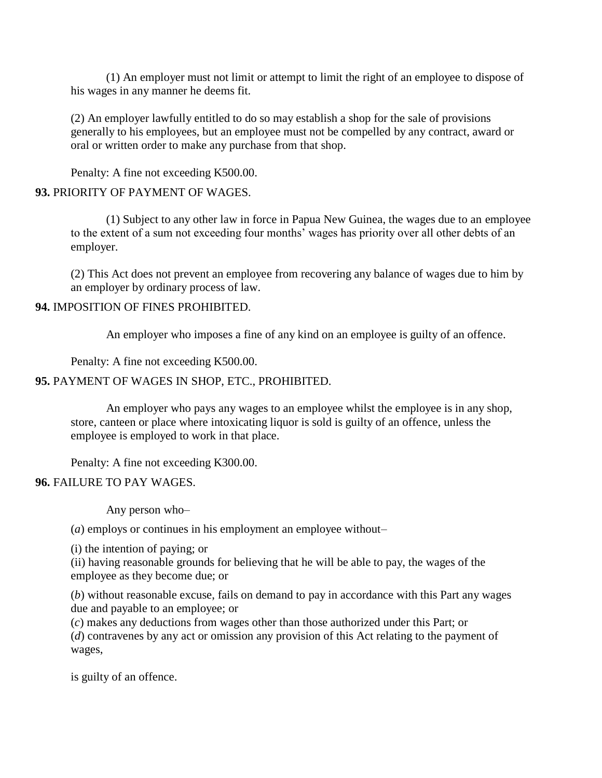(1) An employer must not limit or attempt to limit the right of an employee to dispose of his wages in any manner he deems fit.

(2) An employer lawfully entitled to do so may establish a shop for the sale of provisions generally to his employees, but an employee must not be compelled by any contract, award or oral or written order to make any purchase from that shop.

Penalty: A fine not exceeding K500.00.

# **93.** PRIORITY OF PAYMENT OF WAGES.

(1) Subject to any other law in force in Papua New Guinea, the wages due to an employee to the extent of a sum not exceeding four months' wages has priority over all other debts of an employer.

(2) This Act does not prevent an employee from recovering any balance of wages due to him by an employer by ordinary process of law.

#### **94.** IMPOSITION OF FINES PROHIBITED.

An employer who imposes a fine of any kind on an employee is guilty of an offence.

Penalty: A fine not exceeding K500.00.

#### **95.** PAYMENT OF WAGES IN SHOP, ETC., PROHIBITED.

An employer who pays any wages to an employee whilst the employee is in any shop, store, canteen or place where intoxicating liquor is sold is guilty of an offence, unless the employee is employed to work in that place.

Penalty: A fine not exceeding K300.00.

### **96.** FAILURE TO PAY WAGES.

Any person who–

(*a*) employs or continues in his employment an employee without–

(i) the intention of paying; or

(ii) having reasonable grounds for believing that he will be able to pay, the wages of the employee as they become due; or

(*b*) without reasonable excuse, fails on demand to pay in accordance with this Part any wages due and payable to an employee; or

(*c*) makes any deductions from wages other than those authorized under this Part; or

(*d*) contravenes by any act or omission any provision of this Act relating to the payment of wages,

is guilty of an offence.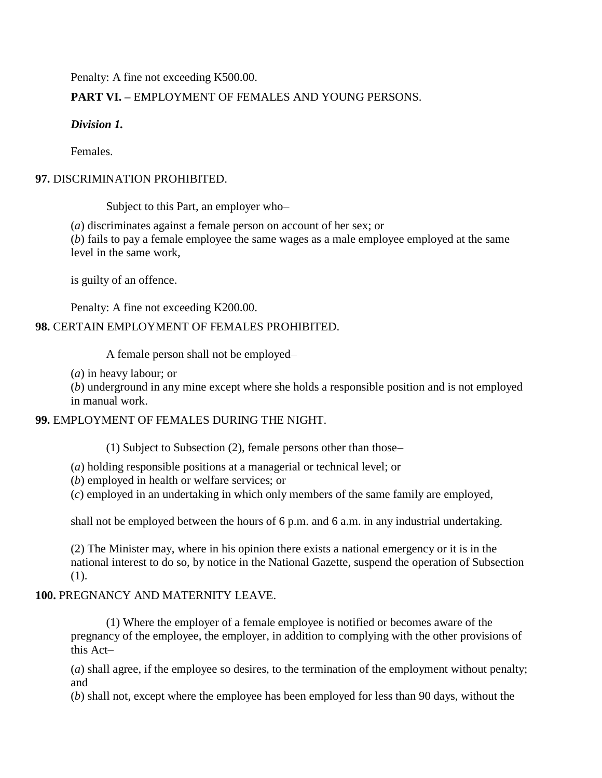Penalty: A fine not exceeding K500.00.

# **PART VI. –** EMPLOYMENT OF FEMALES AND YOUNG PERSONS.

# *Division 1.*

Females.

### **97.** DISCRIMINATION PROHIBITED.

Subject to this Part, an employer who–

(*a*) discriminates against a female person on account of her sex; or (*b*) fails to pay a female employee the same wages as a male employee employed at the same level in the same work,

is guilty of an offence.

Penalty: A fine not exceeding K200.00.

# **98.** CERTAIN EMPLOYMENT OF FEMALES PROHIBITED.

A female person shall not be employed–

(*a*) in heavy labour; or

(*b*) underground in any mine except where she holds a responsible position and is not employed in manual work.

# **99.** EMPLOYMENT OF FEMALES DURING THE NIGHT.

(1) Subject to Subsection (2), female persons other than those–

(*a*) holding responsible positions at a managerial or technical level; or

(*b*) employed in health or welfare services; or

(*c*) employed in an undertaking in which only members of the same family are employed,

shall not be employed between the hours of 6 p.m. and 6 a.m. in any industrial undertaking.

(2) The Minister may, where in his opinion there exists a national emergency or it is in the national interest to do so, by notice in the National Gazette, suspend the operation of Subsection (1).

# **100.** PREGNANCY AND MATERNITY LEAVE.

(1) Where the employer of a female employee is notified or becomes aware of the pregnancy of the employee, the employer, in addition to complying with the other provisions of this Act–

(*a*) shall agree, if the employee so desires, to the termination of the employment without penalty; and

(*b*) shall not, except where the employee has been employed for less than 90 days, without the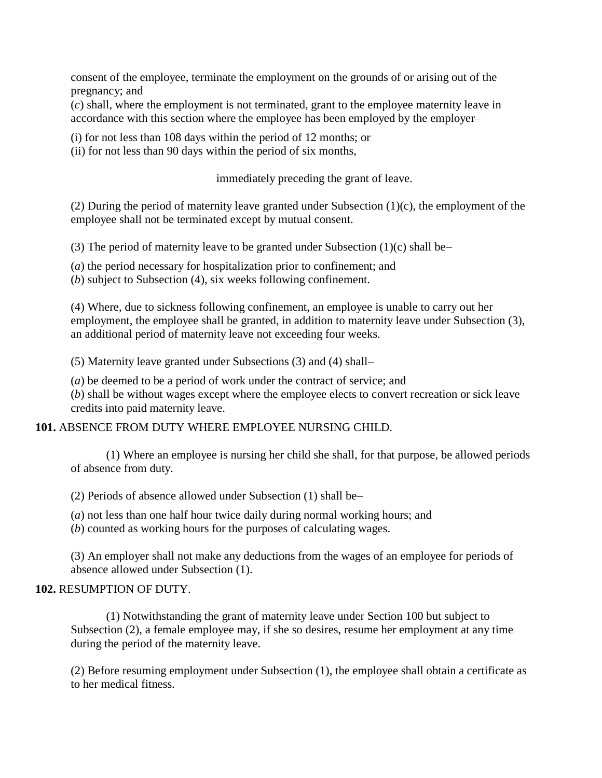consent of the employee, terminate the employment on the grounds of or arising out of the pregnancy; and

(*c*) shall, where the employment is not terminated, grant to the employee maternity leave in accordance with this section where the employee has been employed by the employer–

(i) for not less than 108 days within the period of 12 months; or

(ii) for not less than 90 days within the period of six months,

immediately preceding the grant of leave.

(2) During the period of maternity leave granted under Subsection (1)(c), the employment of the employee shall not be terminated except by mutual consent.

(3) The period of maternity leave to be granted under Subsection  $(1)(c)$  shall be–

(*a*) the period necessary for hospitalization prior to confinement; and

(*b*) subject to Subsection (4), six weeks following confinement.

(4) Where, due to sickness following confinement, an employee is unable to carry out her employment, the employee shall be granted, in addition to maternity leave under Subsection (3), an additional period of maternity leave not exceeding four weeks.

(5) Maternity leave granted under Subsections (3) and (4) shall–

(*a*) be deemed to be a period of work under the contract of service; and

(*b*) shall be without wages except where the employee elects to convert recreation or sick leave credits into paid maternity leave.

### **101.** ABSENCE FROM DUTY WHERE EMPLOYEE NURSING CHILD.

(1) Where an employee is nursing her child she shall, for that purpose, be allowed periods of absence from duty.

(2) Periods of absence allowed under Subsection (1) shall be–

(*a*) not less than one half hour twice daily during normal working hours; and

(*b*) counted as working hours for the purposes of calculating wages.

(3) An employer shall not make any deductions from the wages of an employee for periods of absence allowed under Subsection (1).

### **102.** RESUMPTION OF DUTY.

(1) Notwithstanding the grant of maternity leave under Section 100 but subject to Subsection (2), a female employee may, if she so desires, resume her employment at any time during the period of the maternity leave.

(2) Before resuming employment under Subsection (1), the employee shall obtain a certificate as to her medical fitness.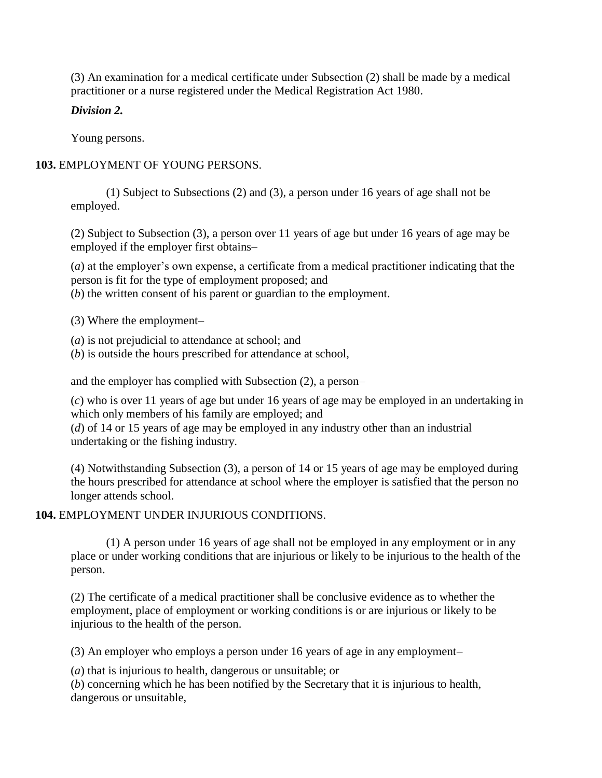(3) An examination for a medical certificate under Subsection (2) shall be made by a medical practitioner or a nurse registered under the Medical Registration Act 1980.

### *Division 2.*

Young persons.

# **103.** EMPLOYMENT OF YOUNG PERSONS.

(1) Subject to Subsections (2) and (3), a person under 16 years of age shall not be employed.

(2) Subject to Subsection (3), a person over 11 years of age but under 16 years of age may be employed if the employer first obtains–

(*a*) at the employer's own expense, a certificate from a medical practitioner indicating that the person is fit for the type of employment proposed; and

(*b*) the written consent of his parent or guardian to the employment.

(3) Where the employment–

(*a*) is not prejudicial to attendance at school; and

(*b*) is outside the hours prescribed for attendance at school,

and the employer has complied with Subsection (2), a person–

(*c*) who is over 11 years of age but under 16 years of age may be employed in an undertaking in which only members of his family are employed; and

(*d*) of 14 or 15 years of age may be employed in any industry other than an industrial undertaking or the fishing industry.

(4) Notwithstanding Subsection (3), a person of 14 or 15 years of age may be employed during the hours prescribed for attendance at school where the employer is satisfied that the person no longer attends school.

# **104.** EMPLOYMENT UNDER INJURIOUS CONDITIONS.

(1) A person under 16 years of age shall not be employed in any employment or in any place or under working conditions that are injurious or likely to be injurious to the health of the person.

(2) The certificate of a medical practitioner shall be conclusive evidence as to whether the employment, place of employment or working conditions is or are injurious or likely to be injurious to the health of the person.

(3) An employer who employs a person under 16 years of age in any employment–

(*a*) that is injurious to health, dangerous or unsuitable; or

(*b*) concerning which he has been notified by the Secretary that it is injurious to health, dangerous or unsuitable,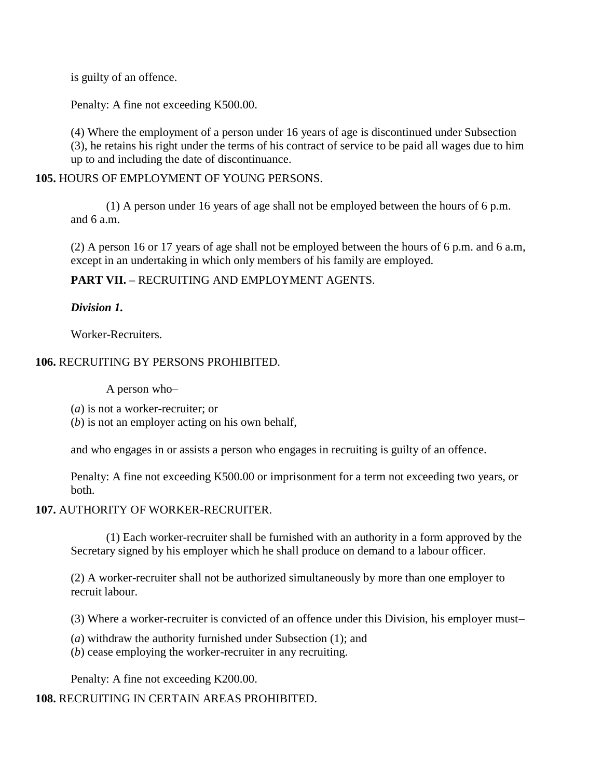is guilty of an offence.

Penalty: A fine not exceeding K500.00.

(4) Where the employment of a person under 16 years of age is discontinued under Subsection (3), he retains his right under the terms of his contract of service to be paid all wages due to him up to and including the date of discontinuance.

#### **105.** HOURS OF EMPLOYMENT OF YOUNG PERSONS.

(1) A person under 16 years of age shall not be employed between the hours of 6 p.m. and 6 a.m.

(2) A person 16 or 17 years of age shall not be employed between the hours of 6 p.m. and 6 a.m, except in an undertaking in which only members of his family are employed.

#### **PART VII. –** RECRUITING AND EMPLOYMENT AGENTS.

### *Division 1.*

Worker-Recruiters.

### **106.** RECRUITING BY PERSONS PROHIBITED.

A person who–

(*a*) is not a worker-recruiter; or

(*b*) is not an employer acting on his own behalf,

and who engages in or assists a person who engages in recruiting is guilty of an offence.

Penalty: A fine not exceeding K500.00 or imprisonment for a term not exceeding two years, or both.

#### **107.** AUTHORITY OF WORKER-RECRUITER.

(1) Each worker-recruiter shall be furnished with an authority in a form approved by the Secretary signed by his employer which he shall produce on demand to a labour officer.

(2) A worker-recruiter shall not be authorized simultaneously by more than one employer to recruit labour.

(3) Where a worker-recruiter is convicted of an offence under this Division, his employer must–

(*a*) withdraw the authority furnished under Subsection (1); and

(*b*) cease employing the worker-recruiter in any recruiting.

Penalty: A fine not exceeding K200.00.

# **108.** RECRUITING IN CERTAIN AREAS PROHIBITED.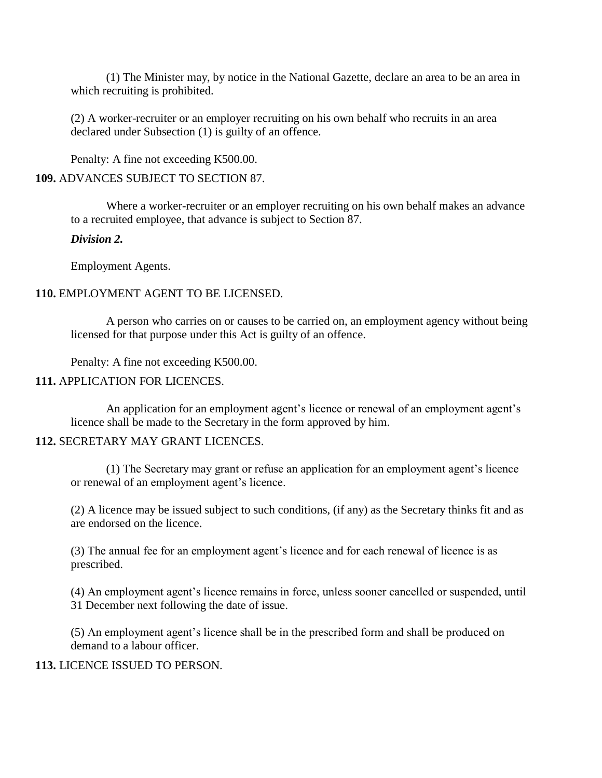(1) The Minister may, by notice in the National Gazette, declare an area to be an area in which recruiting is prohibited.

(2) A worker-recruiter or an employer recruiting on his own behalf who recruits in an area declared under Subsection (1) is guilty of an offence.

Penalty: A fine not exceeding K500.00.

#### **109.** ADVANCES SUBJECT TO SECTION 87.

Where a worker-recruiter or an employer recruiting on his own behalf makes an advance to a recruited employee, that advance is subject to Section 87.

#### *Division 2.*

Employment Agents.

#### **110.** EMPLOYMENT AGENT TO BE LICENSED.

A person who carries on or causes to be carried on, an employment agency without being licensed for that purpose under this Act is guilty of an offence.

Penalty: A fine not exceeding K500.00.

#### **111.** APPLICATION FOR LICENCES.

An application for an employment agent's licence or renewal of an employment agent's licence shall be made to the Secretary in the form approved by him.

#### **112.** SECRETARY MAY GRANT LICENCES.

(1) The Secretary may grant or refuse an application for an employment agent's licence or renewal of an employment agent's licence.

(2) A licence may be issued subject to such conditions, (if any) as the Secretary thinks fit and as are endorsed on the licence.

(3) The annual fee for an employment agent's licence and for each renewal of licence is as prescribed.

(4) An employment agent's licence remains in force, unless sooner cancelled or suspended, until 31 December next following the date of issue.

(5) An employment agent's licence shall be in the prescribed form and shall be produced on demand to a labour officer.

#### **113.** LICENCE ISSUED TO PERSON.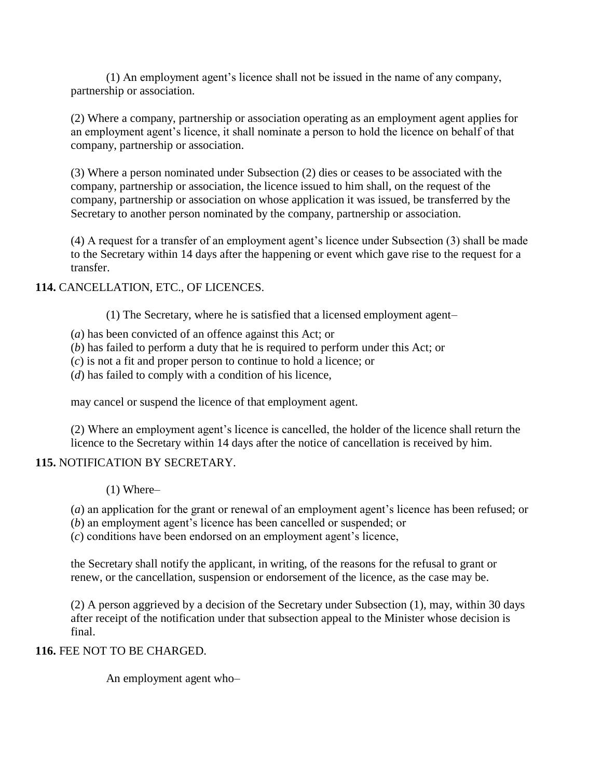(1) An employment agent's licence shall not be issued in the name of any company, partnership or association.

(2) Where a company, partnership or association operating as an employment agent applies for an employment agent's licence, it shall nominate a person to hold the licence on behalf of that company, partnership or association.

(3) Where a person nominated under Subsection (2) dies or ceases to be associated with the company, partnership or association, the licence issued to him shall, on the request of the company, partnership or association on whose application it was issued, be transferred by the Secretary to another person nominated by the company, partnership or association.

(4) A request for a transfer of an employment agent's licence under Subsection (3) shall be made to the Secretary within 14 days after the happening or event which gave rise to the request for a transfer.

### **114.** CANCELLATION, ETC., OF LICENCES.

(1) The Secretary, where he is satisfied that a licensed employment agent–

- (*a*) has been convicted of an offence against this Act; or
- (*b*) has failed to perform a duty that he is required to perform under this Act; or
- (*c*) is not a fit and proper person to continue to hold a licence; or
- (*d*) has failed to comply with a condition of his licence,

may cancel or suspend the licence of that employment agent.

(2) Where an employment agent's licence is cancelled, the holder of the licence shall return the licence to the Secretary within 14 days after the notice of cancellation is received by him.

# **115.** NOTIFICATION BY SECRETARY.

(1) Where–

(*a*) an application for the grant or renewal of an employment agent's licence has been refused; or

(*b*) an employment agent's licence has been cancelled or suspended; or

(*c*) conditions have been endorsed on an employment agent's licence,

the Secretary shall notify the applicant, in writing, of the reasons for the refusal to grant or renew, or the cancellation, suspension or endorsement of the licence, as the case may be.

(2) A person aggrieved by a decision of the Secretary under Subsection (1), may, within 30 days after receipt of the notification under that subsection appeal to the Minister whose decision is final.

# **116.** FEE NOT TO BE CHARGED.

An employment agent who–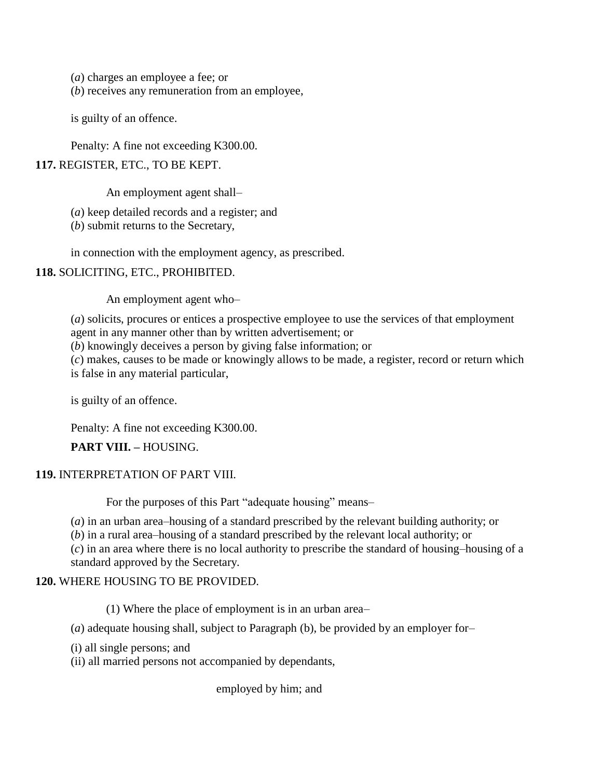(*a*) charges an employee a fee; or

(*b*) receives any remuneration from an employee,

is guilty of an offence.

Penalty: A fine not exceeding K300.00.

#### **117.** REGISTER, ETC., TO BE KEPT.

An employment agent shall–

(*a*) keep detailed records and a register; and

(*b*) submit returns to the Secretary,

in connection with the employment agency, as prescribed.

#### **118.** SOLICITING, ETC., PROHIBITED.

An employment agent who–

(*a*) solicits, procures or entices a prospective employee to use the services of that employment agent in any manner other than by written advertisement; or

(*b*) knowingly deceives a person by giving false information; or

(*c*) makes, causes to be made or knowingly allows to be made, a register, record or return which is false in any material particular,

is guilty of an offence.

Penalty: A fine not exceeding K300.00.

**PART VIII. –** HOUSING.

#### **119.** INTERPRETATION OF PART VIII.

For the purposes of this Part "adequate housing" means–

(*a*) in an urban area–housing of a standard prescribed by the relevant building authority; or

(*b*) in a rural area–housing of a standard prescribed by the relevant local authority; or

(*c*) in an area where there is no local authority to prescribe the standard of housing–housing of a standard approved by the Secretary.

### **120.** WHERE HOUSING TO BE PROVIDED.

(1) Where the place of employment is in an urban area–

(*a*) adequate housing shall, subject to Paragraph (b), be provided by an employer for–

(i) all single persons; and

(ii) all married persons not accompanied by dependants,

employed by him; and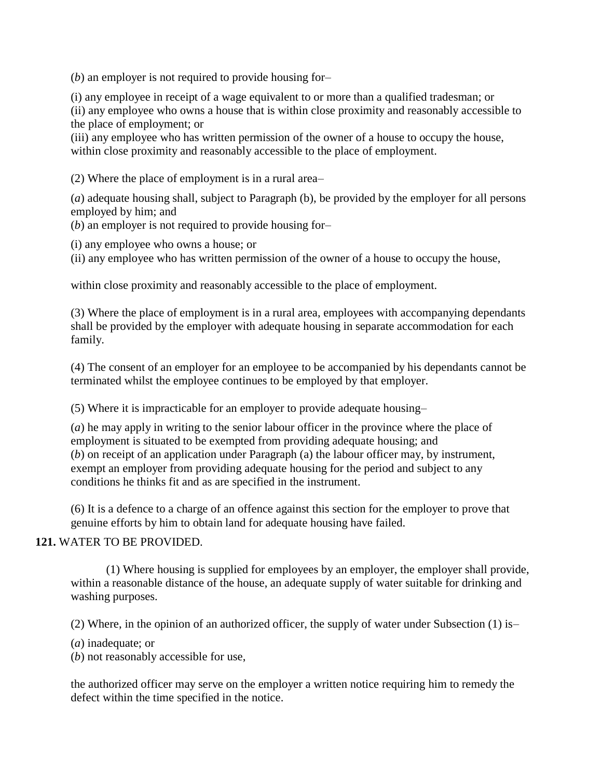(*b*) an employer is not required to provide housing for–

(i) any employee in receipt of a wage equivalent to or more than a qualified tradesman; or

(ii) any employee who owns a house that is within close proximity and reasonably accessible to the place of employment; or

(iii) any employee who has written permission of the owner of a house to occupy the house, within close proximity and reasonably accessible to the place of employment.

(2) Where the place of employment is in a rural area–

(*a*) adequate housing shall, subject to Paragraph (b), be provided by the employer for all persons employed by him; and

(*b*) an employer is not required to provide housing for–

(i) any employee who owns a house; or

(ii) any employee who has written permission of the owner of a house to occupy the house,

within close proximity and reasonably accessible to the place of employment.

(3) Where the place of employment is in a rural area, employees with accompanying dependants shall be provided by the employer with adequate housing in separate accommodation for each family.

(4) The consent of an employer for an employee to be accompanied by his dependants cannot be terminated whilst the employee continues to be employed by that employer.

(5) Where it is impracticable for an employer to provide adequate housing–

(*a*) he may apply in writing to the senior labour officer in the province where the place of employment is situated to be exempted from providing adequate housing; and (*b*) on receipt of an application under Paragraph (a) the labour officer may, by instrument, exempt an employer from providing adequate housing for the period and subject to any conditions he thinks fit and as are specified in the instrument.

(6) It is a defence to a charge of an offence against this section for the employer to prove that genuine efforts by him to obtain land for adequate housing have failed.

### **121.** WATER TO BE PROVIDED.

(1) Where housing is supplied for employees by an employer, the employer shall provide, within a reasonable distance of the house, an adequate supply of water suitable for drinking and washing purposes.

(2) Where, in the opinion of an authorized officer, the supply of water under Subsection (1) is–

(*a*) inadequate; or

(*b*) not reasonably accessible for use,

the authorized officer may serve on the employer a written notice requiring him to remedy the defect within the time specified in the notice.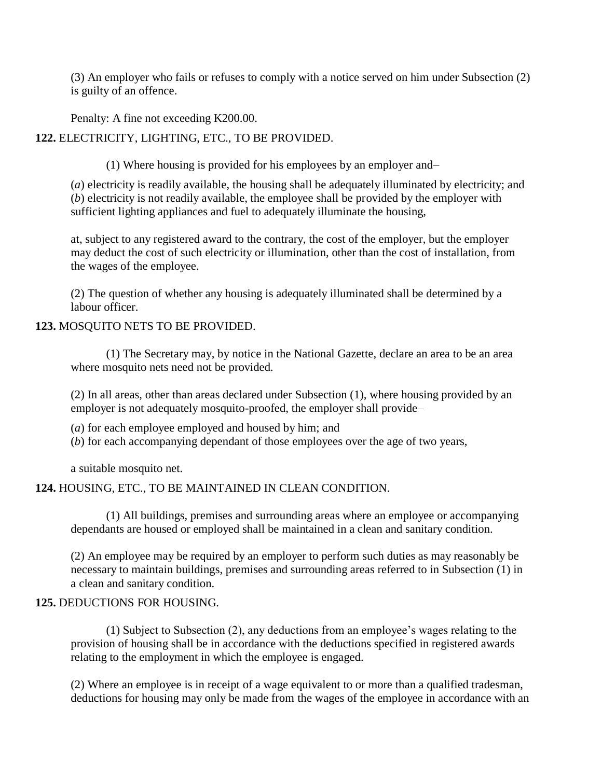(3) An employer who fails or refuses to comply with a notice served on him under Subsection (2) is guilty of an offence.

Penalty: A fine not exceeding K200.00.

**122.** ELECTRICITY, LIGHTING, ETC., TO BE PROVIDED.

(1) Where housing is provided for his employees by an employer and–

(*a*) electricity is readily available, the housing shall be adequately illuminated by electricity; and (*b*) electricity is not readily available, the employee shall be provided by the employer with sufficient lighting appliances and fuel to adequately illuminate the housing,

at, subject to any registered award to the contrary, the cost of the employer, but the employer may deduct the cost of such electricity or illumination, other than the cost of installation, from the wages of the employee.

(2) The question of whether any housing is adequately illuminated shall be determined by a labour officer.

# **123.** MOSQUITO NETS TO BE PROVIDED.

(1) The Secretary may, by notice in the National Gazette, declare an area to be an area where mosquito nets need not be provided.

(2) In all areas, other than areas declared under Subsection (1), where housing provided by an employer is not adequately mosquito-proofed, the employer shall provide–

(*a*) for each employee employed and housed by him; and

(*b*) for each accompanying dependant of those employees over the age of two years,

a suitable mosquito net.

# **124.** HOUSING, ETC., TO BE MAINTAINED IN CLEAN CONDITION.

(1) All buildings, premises and surrounding areas where an employee or accompanying dependants are housed or employed shall be maintained in a clean and sanitary condition.

(2) An employee may be required by an employer to perform such duties as may reasonably be necessary to maintain buildings, premises and surrounding areas referred to in Subsection (1) in a clean and sanitary condition.

# **125.** DEDUCTIONS FOR HOUSING.

(1) Subject to Subsection (2), any deductions from an employee's wages relating to the provision of housing shall be in accordance with the deductions specified in registered awards relating to the employment in which the employee is engaged.

(2) Where an employee is in receipt of a wage equivalent to or more than a qualified tradesman, deductions for housing may only be made from the wages of the employee in accordance with an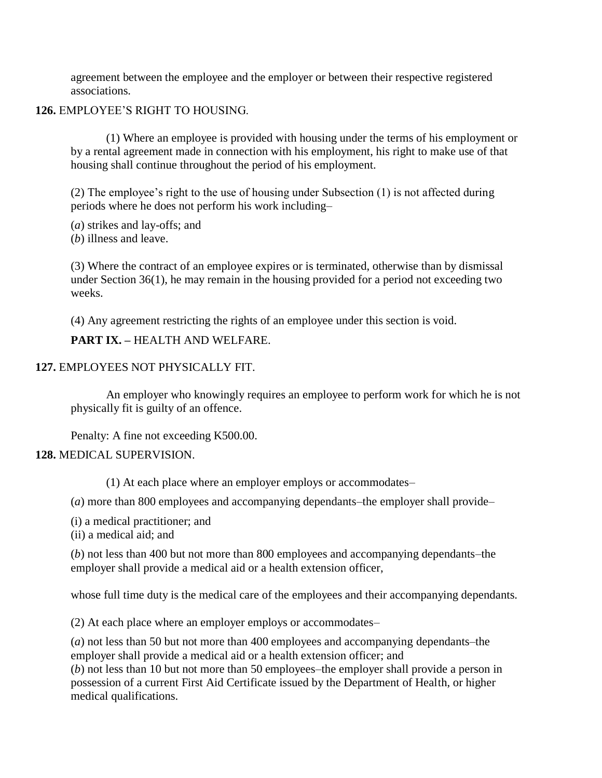agreement between the employee and the employer or between their respective registered associations.

**126.** EMPLOYEE'S RIGHT TO HOUSING.

(1) Where an employee is provided with housing under the terms of his employment or by a rental agreement made in connection with his employment, his right to make use of that housing shall continue throughout the period of his employment.

(2) The employee's right to the use of housing under Subsection (1) is not affected during periods where he does not perform his work including–

(*a*) strikes and lay-offs; and

(*b*) illness and leave.

(3) Where the contract of an employee expires or is terminated, otherwise than by dismissal under Section 36(1), he may remain in the housing provided for a period not exceeding two weeks.

(4) Any agreement restricting the rights of an employee under this section is void.

**PART IX. –** HEALTH AND WELFARE.

#### **127.** EMPLOYEES NOT PHYSICALLY FIT.

An employer who knowingly requires an employee to perform work for which he is not physically fit is guilty of an offence.

Penalty: A fine not exceeding K500.00.

#### **128.** MEDICAL SUPERVISION.

(1) At each place where an employer employs or accommodates–

(*a*) more than 800 employees and accompanying dependants–the employer shall provide–

(i) a medical practitioner; and

(ii) a medical aid; and

(*b*) not less than 400 but not more than 800 employees and accompanying dependants–the employer shall provide a medical aid or a health extension officer,

whose full time duty is the medical care of the employees and their accompanying dependants.

(2) At each place where an employer employs or accommodates–

(*a*) not less than 50 but not more than 400 employees and accompanying dependants–the employer shall provide a medical aid or a health extension officer; and

(*b*) not less than 10 but not more than 50 employees–the employer shall provide a person in possession of a current First Aid Certificate issued by the Department of Health, or higher medical qualifications.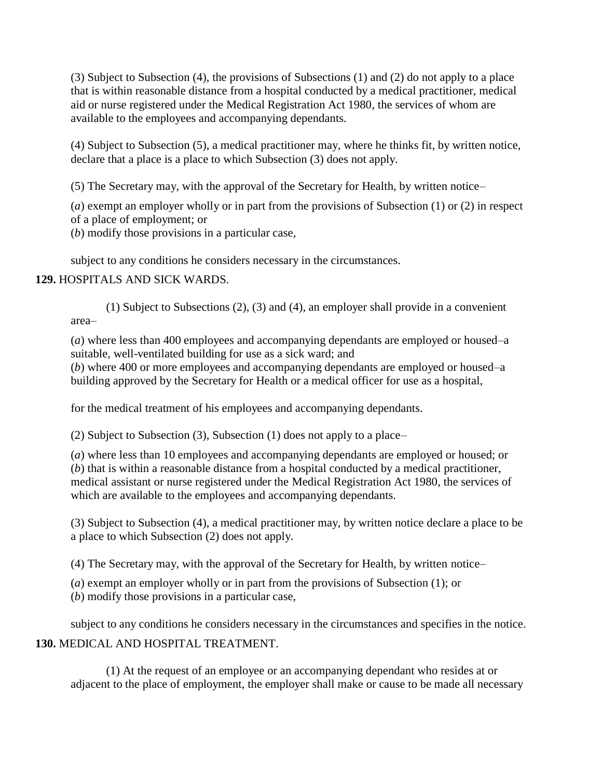(3) Subject to Subsection (4), the provisions of Subsections (1) and (2) do not apply to a place that is within reasonable distance from a hospital conducted by a medical practitioner, medical aid or nurse registered under the Medical Registration Act 1980, the services of whom are available to the employees and accompanying dependants.

(4) Subject to Subsection (5), a medical practitioner may, where he thinks fit, by written notice, declare that a place is a place to which Subsection (3) does not apply.

(5) The Secretary may, with the approval of the Secretary for Health, by written notice–

(*a*) exempt an employer wholly or in part from the provisions of Subsection (1) or (2) in respect of a place of employment; or

(*b*) modify those provisions in a particular case,

subject to any conditions he considers necessary in the circumstances.

#### **129.** HOSPITALS AND SICK WARDS.

(1) Subject to Subsections (2), (3) and (4), an employer shall provide in a convenient area–

(*a*) where less than 400 employees and accompanying dependants are employed or housed–a suitable, well-ventilated building for use as a sick ward; and

(*b*) where 400 or more employees and accompanying dependants are employed or housed–a building approved by the Secretary for Health or a medical officer for use as a hospital,

for the medical treatment of his employees and accompanying dependants.

(2) Subject to Subsection (3), Subsection (1) does not apply to a place–

(*a*) where less than 10 employees and accompanying dependants are employed or housed; or (*b*) that is within a reasonable distance from a hospital conducted by a medical practitioner, medical assistant or nurse registered under the Medical Registration Act 1980, the services of which are available to the employees and accompanying dependants.

(3) Subject to Subsection (4), a medical practitioner may, by written notice declare a place to be a place to which Subsection (2) does not apply.

(4) The Secretary may, with the approval of the Secretary for Health, by written notice–

(*a*) exempt an employer wholly or in part from the provisions of Subsection (1); or

(*b*) modify those provisions in a particular case,

subject to any conditions he considers necessary in the circumstances and specifies in the notice.

**130.** MEDICAL AND HOSPITAL TREATMENT.

(1) At the request of an employee or an accompanying dependant who resides at or adjacent to the place of employment, the employer shall make or cause to be made all necessary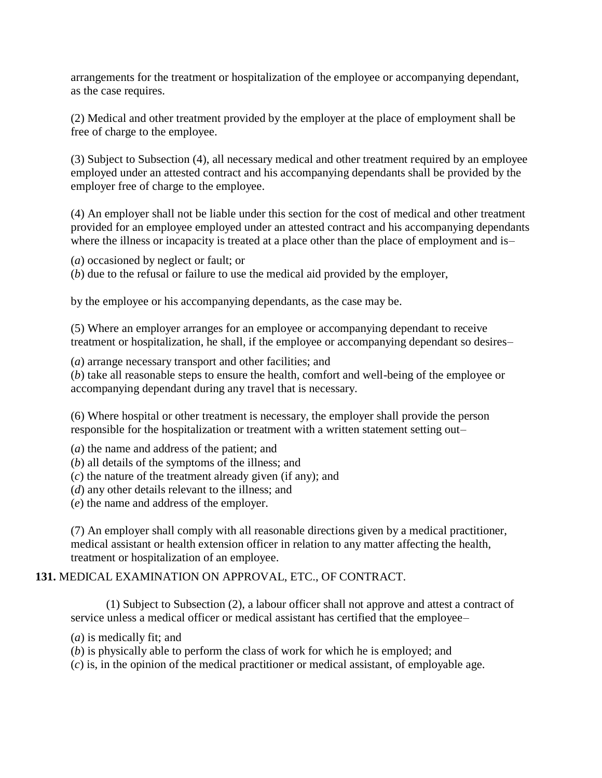arrangements for the treatment or hospitalization of the employee or accompanying dependant, as the case requires.

(2) Medical and other treatment provided by the employer at the place of employment shall be free of charge to the employee.

(3) Subject to Subsection (4), all necessary medical and other treatment required by an employee employed under an attested contract and his accompanying dependants shall be provided by the employer free of charge to the employee.

(4) An employer shall not be liable under this section for the cost of medical and other treatment provided for an employee employed under an attested contract and his accompanying dependants where the illness or incapacity is treated at a place other than the place of employment and is-

(*a*) occasioned by neglect or fault; or

(*b*) due to the refusal or failure to use the medical aid provided by the employer,

by the employee or his accompanying dependants, as the case may be.

(5) Where an employer arranges for an employee or accompanying dependant to receive treatment or hospitalization, he shall, if the employee or accompanying dependant so desires–

(*a*) arrange necessary transport and other facilities; and

(*b*) take all reasonable steps to ensure the health, comfort and well-being of the employee or accompanying dependant during any travel that is necessary.

(6) Where hospital or other treatment is necessary, the employer shall provide the person responsible for the hospitalization or treatment with a written statement setting out–

- (*a*) the name and address of the patient; and
- (*b*) all details of the symptoms of the illness; and
- (*c*) the nature of the treatment already given (if any); and
- (*d*) any other details relevant to the illness; and
- (*e*) the name and address of the employer.

(7) An employer shall comply with all reasonable directions given by a medical practitioner, medical assistant or health extension officer in relation to any matter affecting the health, treatment or hospitalization of an employee.

### **131.** MEDICAL EXAMINATION ON APPROVAL, ETC., OF CONTRACT.

(1) Subject to Subsection (2), a labour officer shall not approve and attest a contract of service unless a medical officer or medical assistant has certified that the employee–

(*a*) is medically fit; and

(*b*) is physically able to perform the class of work for which he is employed; and

(*c*) is, in the opinion of the medical practitioner or medical assistant, of employable age.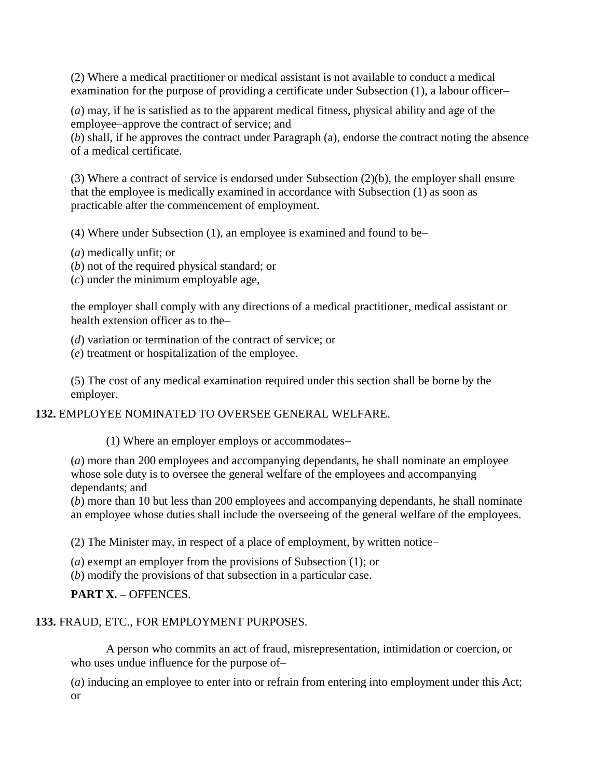(2) Where a medical practitioner or medical assistant is not available to conduct a medical examination for the purpose of providing a certificate under Subsection (1), a labour officer–

(*a*) may, if he is satisfied as to the apparent medical fitness, physical ability and age of the employee–approve the contract of service; and

(*b*) shall, if he approves the contract under Paragraph (a), endorse the contract noting the absence of a medical certificate.

(3) Where a contract of service is endorsed under Subsection (2)(b), the employer shall ensure that the employee is medically examined in accordance with Subsection (1) as soon as practicable after the commencement of employment.

(4) Where under Subsection (1), an employee is examined and found to be–

- (*a*) medically unfit; or
- (*b*) not of the required physical standard; or

(*c*) under the minimum employable age,

the employer shall comply with any directions of a medical practitioner, medical assistant or health extension officer as to the–

(*d*) variation or termination of the contract of service; or

(*e*) treatment or hospitalization of the employee.

(5) The cost of any medical examination required under this section shall be borne by the employer.

### **132.** EMPLOYEE NOMINATED TO OVERSEE GENERAL WELFARE.

(1) Where an employer employs or accommodates–

(*a*) more than 200 employees and accompanying dependants, he shall nominate an employee whose sole duty is to oversee the general welfare of the employees and accompanying dependants; and

(*b*) more than 10 but less than 200 employees and accompanying dependants, he shall nominate an employee whose duties shall include the overseeing of the general welfare of the employees.

(2) The Minister may, in respect of a place of employment, by written notice–

(*a*) exempt an employer from the provisions of Subsection (1); or

(*b*) modify the provisions of that subsection in a particular case.

**PART X. –** OFFENCES.

# **133.** FRAUD, ETC., FOR EMPLOYMENT PURPOSES.

A person who commits an act of fraud, misrepresentation, intimidation or coercion, or who uses undue influence for the purpose of–

(*a*) inducing an employee to enter into or refrain from entering into employment under this Act; or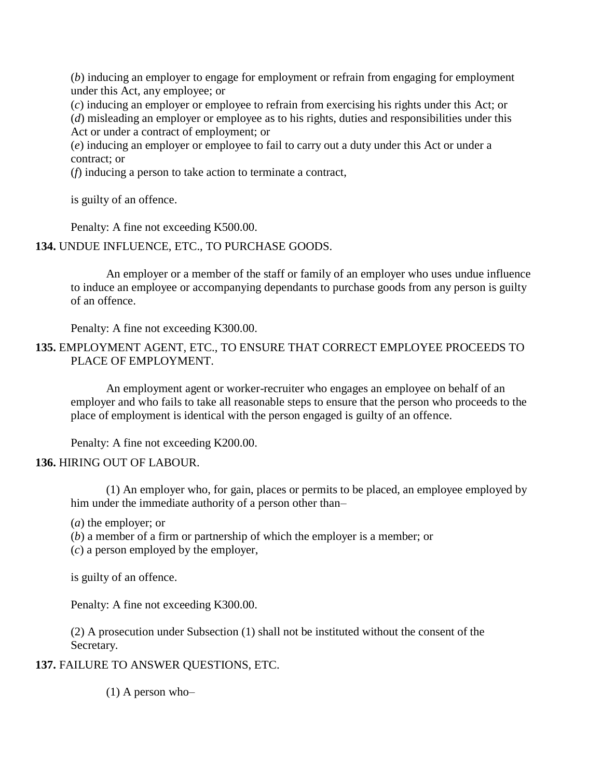(*b*) inducing an employer to engage for employment or refrain from engaging for employment under this Act, any employee; or

(*c*) inducing an employer or employee to refrain from exercising his rights under this Act; or

(*d*) misleading an employer or employee as to his rights, duties and responsibilities under this Act or under a contract of employment; or

(*e*) inducing an employer or employee to fail to carry out a duty under this Act or under a contract; or

(*f*) inducing a person to take action to terminate a contract,

is guilty of an offence.

Penalty: A fine not exceeding K500.00.

**134.** UNDUE INFLUENCE, ETC., TO PURCHASE GOODS.

An employer or a member of the staff or family of an employer who uses undue influence to induce an employee or accompanying dependants to purchase goods from any person is guilty of an offence.

Penalty: A fine not exceeding K300.00.

### **135.** EMPLOYMENT AGENT, ETC., TO ENSURE THAT CORRECT EMPLOYEE PROCEEDS TO PLACE OF EMPLOYMENT.

An employment agent or worker-recruiter who engages an employee on behalf of an employer and who fails to take all reasonable steps to ensure that the person who proceeds to the place of employment is identical with the person engaged is guilty of an offence.

Penalty: A fine not exceeding K200.00.

#### **136.** HIRING OUT OF LABOUR.

(1) An employer who, for gain, places or permits to be placed, an employee employed by him under the immediate authority of a person other than–

(*a*) the employer; or

(*b*) a member of a firm or partnership of which the employer is a member; or

(*c*) a person employed by the employer,

is guilty of an offence.

Penalty: A fine not exceeding K300.00.

(2) A prosecution under Subsection (1) shall not be instituted without the consent of the Secretary.

**137.** FAILURE TO ANSWER QUESTIONS, ETC.

 $(1)$  A person who-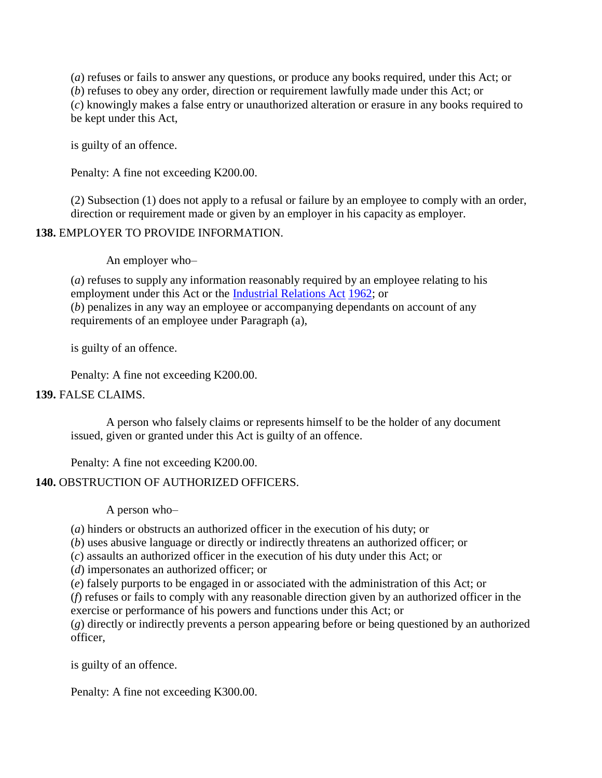(*a*) refuses or fails to answer any questions, or produce any books required, under this Act; or (*b*) refuses to obey any order, direction or requirement lawfully made under this Act; or (*c*) knowingly makes a false entry or unauthorized alteration or erasure in any books required to be kept under this Act,

is guilty of an offence.

Penalty: A fine not exceeding K200.00.

(2) Subsection (1) does not apply to a refusal or failure by an employee to comply with an order, direction or requirement made or given by an employer in his capacity as employer.

#### **138.** EMPLOYER TO PROVIDE INFORMATION.

An employer who–

(*a*) refuses to supply any information reasonably required by an employee relating to his employment under this Act or the [Industrial Relations Act](http://www.paclii.org/pg/legis/consol_act/ira1962242/) [1962;](http://www.paclii.org/pg/legis/consol_act/ira1962242/) or (*b*) penalizes in any way an employee or accompanying dependants on account of any requirements of an employee under Paragraph (a),

is guilty of an offence.

Penalty: A fine not exceeding K200.00.

#### **139.** FALSE CLAIMS.

A person who falsely claims or represents himself to be the holder of any document issued, given or granted under this Act is guilty of an offence.

Penalty: A fine not exceeding K200.00.

### **140.** OBSTRUCTION OF AUTHORIZED OFFICERS.

A person who–

(*a*) hinders or obstructs an authorized officer in the execution of his duty; or

(*b*) uses abusive language or directly or indirectly threatens an authorized officer; or

(*c*) assaults an authorized officer in the execution of his duty under this Act; or

(*d*) impersonates an authorized officer; or

(*e*) falsely purports to be engaged in or associated with the administration of this Act; or

(*f*) refuses or fails to comply with any reasonable direction given by an authorized officer in the exercise or performance of his powers and functions under this Act; or

(*g*) directly or indirectly prevents a person appearing before or being questioned by an authorized officer,

is guilty of an offence.

Penalty: A fine not exceeding K300.00.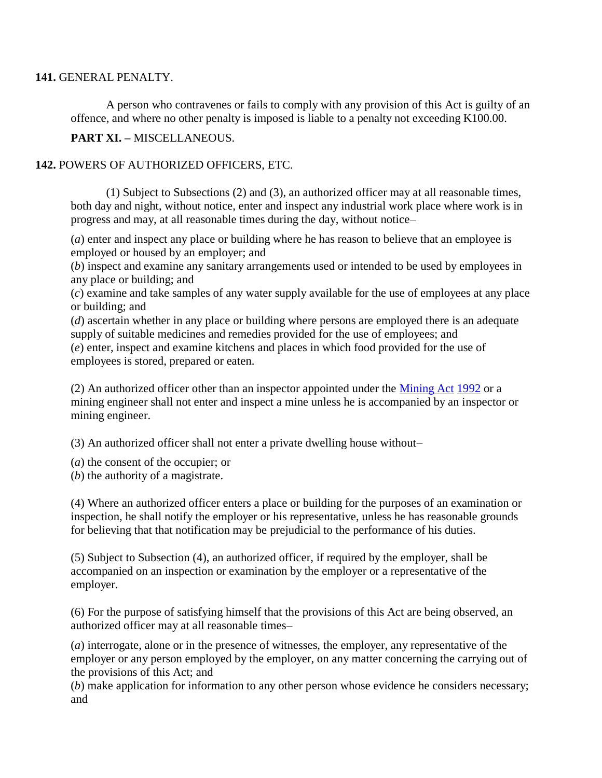#### **141.** GENERAL PENALTY.

A person who contravenes or fails to comply with any provision of this Act is guilty of an offence, and where no other penalty is imposed is liable to a penalty not exceeding K100.00.

**PART XI. –** MISCELLANEOUS.

#### **142.** POWERS OF AUTHORIZED OFFICERS, ETC.

(1) Subject to Subsections (2) and (3), an authorized officer may at all reasonable times, both day and night, without notice, enter and inspect any industrial work place where work is in progress and may, at all reasonable times during the day, without notice–

(*a*) enter and inspect any place or building where he has reason to believe that an employee is employed or housed by an employer; and

(*b*) inspect and examine any sanitary arrangements used or intended to be used by employees in any place or building; and

(*c*) examine and take samples of any water supply available for the use of employees at any place or building; and

(*d*) ascertain whether in any place or building where persons are employed there is an adequate supply of suitable medicines and remedies provided for the use of employees; and (*e*) enter, inspect and examine kitchens and places in which food provided for the use of employees is stored, prepared or eaten.

(2) An authorized officer other than an inspector appointed under the [Mining Act](http://www.paclii.org/pg/legis/consol_act/ma199281/) [1992](http://www.paclii.org/pg/legis/consol_act/ma199281/) or a mining engineer shall not enter and inspect a mine unless he is accompanied by an inspector or mining engineer.

(3) An authorized officer shall not enter a private dwelling house without–

- (*a*) the consent of the occupier; or
- (*b*) the authority of a magistrate.

(4) Where an authorized officer enters a place or building for the purposes of an examination or inspection, he shall notify the employer or his representative, unless he has reasonable grounds for believing that that notification may be prejudicial to the performance of his duties.

(5) Subject to Subsection (4), an authorized officer, if required by the employer, shall be accompanied on an inspection or examination by the employer or a representative of the employer.

(6) For the purpose of satisfying himself that the provisions of this Act are being observed, an authorized officer may at all reasonable times–

(*a*) interrogate, alone or in the presence of witnesses, the employer, any representative of the employer or any person employed by the employer, on any matter concerning the carrying out of the provisions of this Act; and

(*b*) make application for information to any other person whose evidence he considers necessary; and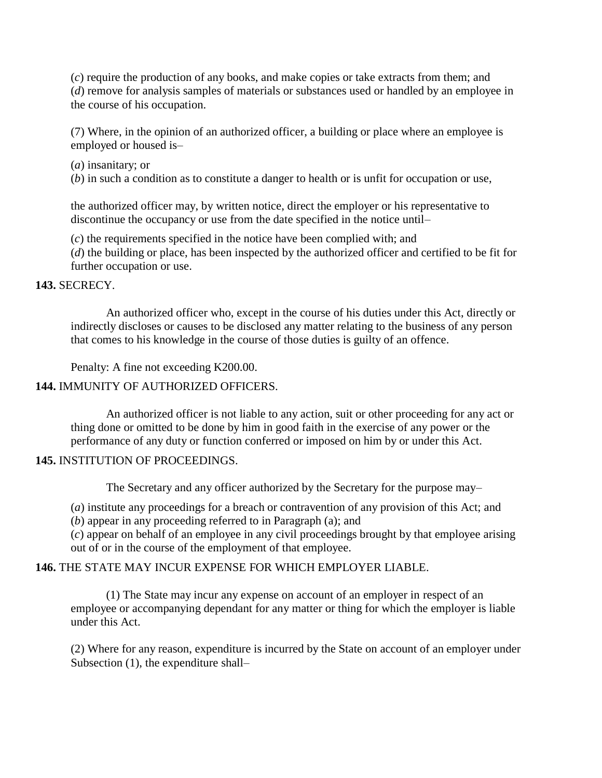(*c*) require the production of any books, and make copies or take extracts from them; and (*d*) remove for analysis samples of materials or substances used or handled by an employee in the course of his occupation.

(7) Where, in the opinion of an authorized officer, a building or place where an employee is employed or housed is–

(*a*) insanitary; or

(*b*) in such a condition as to constitute a danger to health or is unfit for occupation or use,

the authorized officer may, by written notice, direct the employer or his representative to discontinue the occupancy or use from the date specified in the notice until–

(*c*) the requirements specified in the notice have been complied with; and

(*d*) the building or place, has been inspected by the authorized officer and certified to be fit for further occupation or use.

#### **143.** SECRECY.

An authorized officer who, except in the course of his duties under this Act, directly or indirectly discloses or causes to be disclosed any matter relating to the business of any person that comes to his knowledge in the course of those duties is guilty of an offence.

Penalty: A fine not exceeding K200.00.

#### **144.** IMMUNITY OF AUTHORIZED OFFICERS.

An authorized officer is not liable to any action, suit or other proceeding for any act or thing done or omitted to be done by him in good faith in the exercise of any power or the performance of any duty or function conferred or imposed on him by or under this Act.

#### **145.** INSTITUTION OF PROCEEDINGS.

The Secretary and any officer authorized by the Secretary for the purpose may–

(*a*) institute any proceedings for a breach or contravention of any provision of this Act; and

(*b*) appear in any proceeding referred to in Paragraph (a); and

(*c*) appear on behalf of an employee in any civil proceedings brought by that employee arising out of or in the course of the employment of that employee.

#### **146.** THE STATE MAY INCUR EXPENSE FOR WHICH EMPLOYER LIABLE.

(1) The State may incur any expense on account of an employer in respect of an employee or accompanying dependant for any matter or thing for which the employer is liable under this Act.

(2) Where for any reason, expenditure is incurred by the State on account of an employer under Subsection (1), the expenditure shall–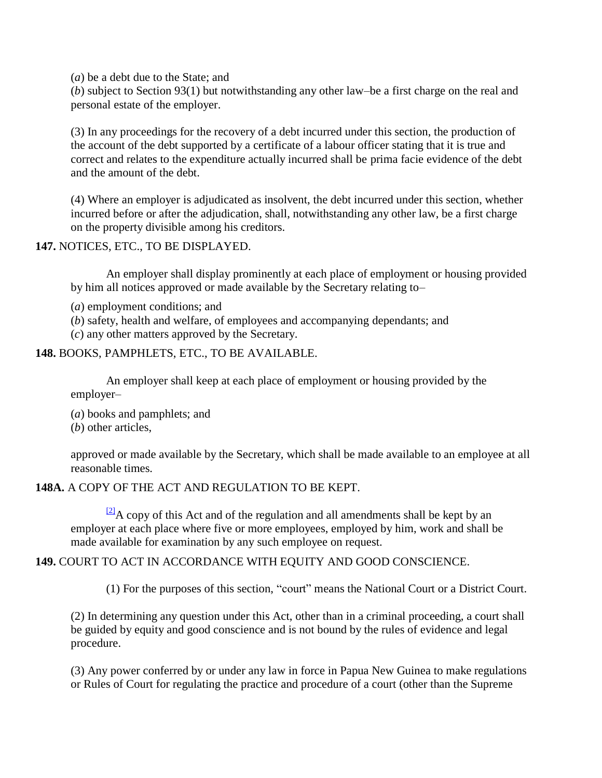(*a*) be a debt due to the State; and

(*b*) subject to Section 93(1) but notwithstanding any other law–be a first charge on the real and personal estate of the employer.

(3) In any proceedings for the recovery of a debt incurred under this section, the production of the account of the debt supported by a certificate of a labour officer stating that it is true and correct and relates to the expenditure actually incurred shall be prima facie evidence of the debt and the amount of the debt.

(4) Where an employer is adjudicated as insolvent, the debt incurred under this section, whether incurred before or after the adjudication, shall, notwithstanding any other law, be a first charge on the property divisible among his creditors.

**147.** NOTICES, ETC., TO BE DISPLAYED.

An employer shall display prominently at each place of employment or housing provided by him all notices approved or made available by the Secretary relating to–

- (*a*) employment conditions; and
- (*b*) safety, health and welfare, of employees and accompanying dependants; and
- (*c*) any other matters approved by the Secretary.

#### **148.** BOOKS, PAMPHLETS, ETC., TO BE AVAILABLE.

An employer shall keep at each place of employment or housing provided by the employer–

(*a*) books and pamphlets; and

(*b*) other articles,

approved or made available by the Secretary, which shall be made available to an employee at all reasonable times.

#### **148A.** A COPY OF THE ACT AND REGULATION TO BE KEPT.

 $\frac{21}{2}A$  copy of this Act and of the regulation and all amendments shall be kept by an employer at each place where five or more employees, employed by him, work and shall be made available for examination by any such employee on request.

### **149.** COURT TO ACT IN ACCORDANCE WITH EQUITY AND GOOD CONSCIENCE.

(1) For the purposes of this section, "court" means the National Court or a District Court.

(2) In determining any question under this Act, other than in a criminal proceeding, a court shall be guided by equity and good conscience and is not bound by the rules of evidence and legal procedure.

(3) Any power conferred by or under any law in force in Papua New Guinea to make regulations or Rules of Court for regulating the practice and procedure of a court (other than the Supreme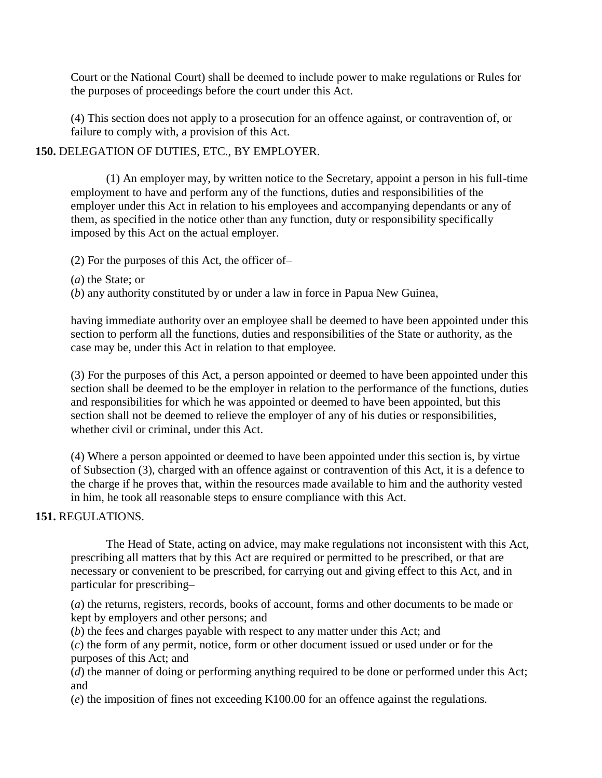Court or the National Court) shall be deemed to include power to make regulations or Rules for the purposes of proceedings before the court under this Act.

(4) This section does not apply to a prosecution for an offence against, or contravention of, or failure to comply with, a provision of this Act.

#### **150.** DELEGATION OF DUTIES, ETC., BY EMPLOYER.

(1) An employer may, by written notice to the Secretary, appoint a person in his full-time employment to have and perform any of the functions, duties and responsibilities of the employer under this Act in relation to his employees and accompanying dependants or any of them, as specified in the notice other than any function, duty or responsibility specifically imposed by this Act on the actual employer.

(2) For the purposes of this Act, the officer of–

(*a*) the State; or

(*b*) any authority constituted by or under a law in force in Papua New Guinea,

having immediate authority over an employee shall be deemed to have been appointed under this section to perform all the functions, duties and responsibilities of the State or authority, as the case may be, under this Act in relation to that employee.

(3) For the purposes of this Act, a person appointed or deemed to have been appointed under this section shall be deemed to be the employer in relation to the performance of the functions, duties and responsibilities for which he was appointed or deemed to have been appointed, but this section shall not be deemed to relieve the employer of any of his duties or responsibilities, whether civil or criminal, under this Act.

(4) Where a person appointed or deemed to have been appointed under this section is, by virtue of Subsection (3), charged with an offence against or contravention of this Act, it is a defence to the charge if he proves that, within the resources made available to him and the authority vested in him, he took all reasonable steps to ensure compliance with this Act.

### **151.** REGULATIONS.

The Head of State, acting on advice, may make regulations not inconsistent with this Act, prescribing all matters that by this Act are required or permitted to be prescribed, or that are necessary or convenient to be prescribed, for carrying out and giving effect to this Act, and in particular for prescribing–

(*a*) the returns, registers, records, books of account, forms and other documents to be made or kept by employers and other persons; and

(*b*) the fees and charges payable with respect to any matter under this Act; and

(*c*) the form of any permit, notice, form or other document issued or used under or for the purposes of this Act; and

(*d*) the manner of doing or performing anything required to be done or performed under this Act; and

(*e*) the imposition of fines not exceeding K100.00 for an offence against the regulations.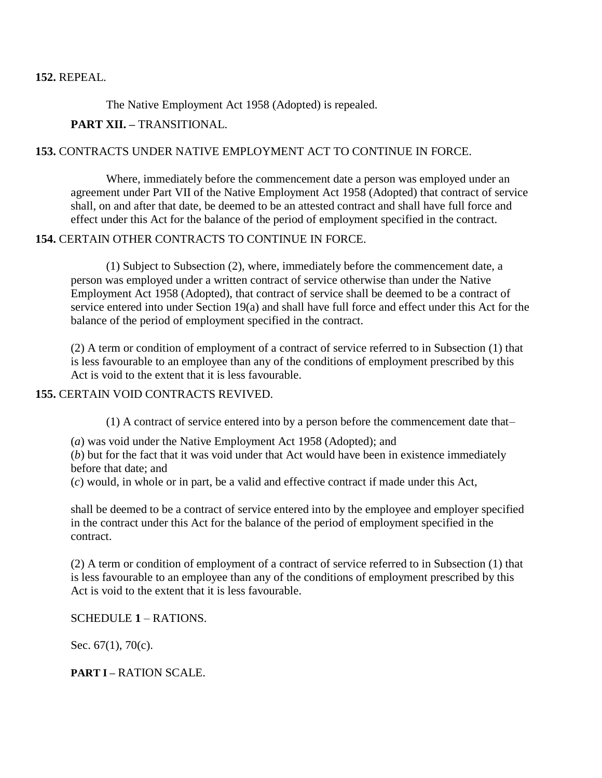#### **152.** REPEAL.

The Native Employment Act 1958 (Adopted) is repealed.

#### **PART XII. –** TRANSITIONAL.

#### **153.** CONTRACTS UNDER NATIVE EMPLOYMENT ACT TO CONTINUE IN FORCE.

Where, immediately before the commencement date a person was employed under an agreement under Part VII of the Native Employment Act 1958 (Adopted) that contract of service shall, on and after that date, be deemed to be an attested contract and shall have full force and effect under this Act for the balance of the period of employment specified in the contract.

### **154.** CERTAIN OTHER CONTRACTS TO CONTINUE IN FORCE.

(1) Subject to Subsection (2), where, immediately before the commencement date, a person was employed under a written contract of service otherwise than under the Native Employment Act 1958 (Adopted), that contract of service shall be deemed to be a contract of service entered into under Section 19(a) and shall have full force and effect under this Act for the balance of the period of employment specified in the contract.

(2) A term or condition of employment of a contract of service referred to in Subsection (1) that is less favourable to an employee than any of the conditions of employment prescribed by this Act is void to the extent that it is less favourable.

#### **155.** CERTAIN VOID CONTRACTS REVIVED.

(1) A contract of service entered into by a person before the commencement date that–

(*a*) was void under the Native Employment Act 1958 (Adopted); and

(*b*) but for the fact that it was void under that Act would have been in existence immediately before that date; and

(*c*) would, in whole or in part, be a valid and effective contract if made under this Act,

shall be deemed to be a contract of service entered into by the employee and employer specified in the contract under this Act for the balance of the period of employment specified in the contract.

(2) A term or condition of employment of a contract of service referred to in Subsection (1) that is less favourable to an employee than any of the conditions of employment prescribed by this Act is void to the extent that it is less favourable.

SCHEDULE **1** – RATIONS.

Sec. 67(1), 70(c).

**PART I –** RATION SCALE.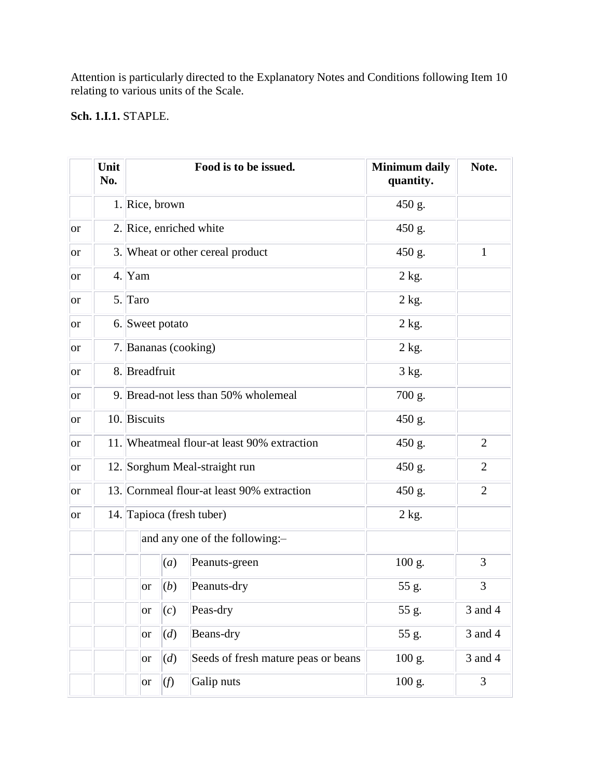Attention is particularly directed to the Explanatory Notes and Conditions following Item 10 relating to various units of the Scale.

# **Sch. 1.I.1.** STAPLE.

|               | Unit<br>No. |                 |                                             | Food is to be issued.                      | <b>Minimum daily</b><br>quantity. | Note.          |
|---------------|-------------|-----------------|---------------------------------------------|--------------------------------------------|-----------------------------------|----------------|
|               |             | 1. Rice, brown  |                                             |                                            | 450 g.                            |                |
| <b>or</b>     |             |                 |                                             | 2. Rice, enriched white                    | 450 g.                            |                |
| <sub>or</sub> |             |                 |                                             | 3. Wheat or other cereal product           | 450 g.                            | $\mathbf{1}$   |
| <sub>or</sub> |             | $4.$ Yam        |                                             |                                            | 2 kg.                             |                |
| <sub>or</sub> |             | 5. Taro         |                                             |                                            | 2 kg.                             |                |
| <sub>or</sub> |             | 6. Sweet potato |                                             |                                            | 2 kg.                             |                |
| <sub>or</sub> |             |                 |                                             | 7. Bananas (cooking)                       | 2 kg.                             |                |
| <b>or</b>     |             | 8. Breadfruit   |                                             |                                            | 3 kg.                             |                |
| <sub>or</sub> |             |                 |                                             | 9. Bread-not less than 50% wholemeal       | 700 g.                            |                |
| <sub>or</sub> |             |                 | 10. Biscuits                                |                                            | 450 g.                            |                |
| <sub>or</sub> |             |                 | 11. Wheatmeal flour-at least 90% extraction |                                            | 450 g.                            | $\overline{2}$ |
| <sub>or</sub> |             |                 |                                             | 12. Sorghum Meal-straight run              | 450 g.                            | $\overline{2}$ |
| <sub>or</sub> |             |                 |                                             | 13. Cornmeal flour-at least 90% extraction | 450 g.                            | $\overline{2}$ |
| <b>or</b>     |             |                 |                                             | 14. Tapioca (fresh tuber)                  | 2 kg.                             |                |
|               |             |                 |                                             | and any one of the following:-             |                                   |                |
|               |             |                 | (a)                                         | Peanuts-green                              | 100 g.                            | 3              |
|               |             | or              | (b)                                         | Peanuts-dry                                | 55 g.                             | 3              |
|               |             | <b>or</b>       | (c)                                         | Peas-dry                                   | 55 g.                             | 3 and 4        |
|               |             | <sub>or</sub>   | (d)                                         | Beans-dry                                  | 55 g.                             | 3 and 4        |
|               |             | <b>or</b>       | (d)                                         | Seeds of fresh mature peas or beans        | 100 g.                            | 3 and 4        |
|               |             | <sub>or</sub>   | (f)                                         | Galip nuts                                 | 100 g.                            | 3              |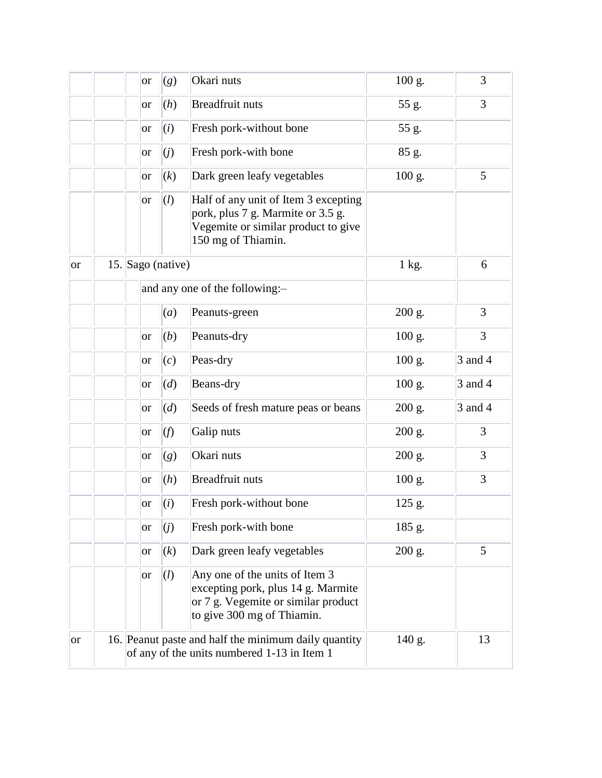|               |  | <sub>or</sub> | (g)               | Okari nuts                                                                                                                                | $100$ g. | 3       |
|---------------|--|---------------|-------------------|-------------------------------------------------------------------------------------------------------------------------------------------|----------|---------|
|               |  | <sub>or</sub> | (h)               | <b>Breadfruit nuts</b>                                                                                                                    | 55 g.    | 3       |
|               |  | <sub>or</sub> | (i)               | Fresh pork-without bone                                                                                                                   | 55 g.    |         |
|               |  | <b>or</b>     | (j)               | Fresh pork-with bone                                                                                                                      | 85 g.    |         |
|               |  | <b>or</b>     | (k)               | Dark green leafy vegetables                                                                                                               | $100$ g. | 5       |
|               |  | <sub>or</sub> | (l)               | Half of any unit of Item 3 excepting<br>pork, plus 7 g. Marmite or 3.5 g.<br>Vegemite or similar product to give<br>150 mg of Thiamin.    |          |         |
| <b>or</b>     |  |               | 15. Sago (native) |                                                                                                                                           | 1 kg.    | 6       |
|               |  |               |                   | and any one of the following:-                                                                                                            |          |         |
|               |  |               | (a)               | Peanuts-green                                                                                                                             | 200 g.   | 3       |
|               |  | <b>or</b>     | (b)               | Peanuts-dry                                                                                                                               | $100$ g. | 3       |
|               |  | or            | (c)               | Peas-dry                                                                                                                                  | $100$ g. | 3 and 4 |
|               |  | or            | (d)               | Beans-dry                                                                                                                                 | $100$ g. | 3 and 4 |
|               |  | or            | (d)               | Seeds of fresh mature peas or beans                                                                                                       | 200 g.   | 3 and 4 |
|               |  | or            | (f)               | Galip nuts                                                                                                                                | 200 g.   | 3       |
|               |  | or            | (g)               | Okari nuts                                                                                                                                | 200 g.   | 3       |
|               |  | <b>or</b>     | (h)               | <b>Breadfruit nuts</b>                                                                                                                    | 100 g.   | 3       |
|               |  | <b>or</b>     | (i)               | Fresh pork-without bone                                                                                                                   | 125 g.   |         |
|               |  | <b>or</b>     | (j)               | Fresh pork-with bone                                                                                                                      | 185 g.   |         |
|               |  | <sub>or</sub> | (k)               | Dark green leafy vegetables                                                                                                               | 200 g.   | 5       |
|               |  | <sub>or</sub> | (l)               | Any one of the units of Item 3<br>excepting pork, plus 14 g. Marmite<br>or 7 g. Vegemite or similar product<br>to give 300 mg of Thiamin. |          |         |
| <sub>or</sub> |  |               |                   | 16. Peanut paste and half the minimum daily quantity<br>of any of the units numbered 1-13 in Item 1                                       | 140 g.   | 13      |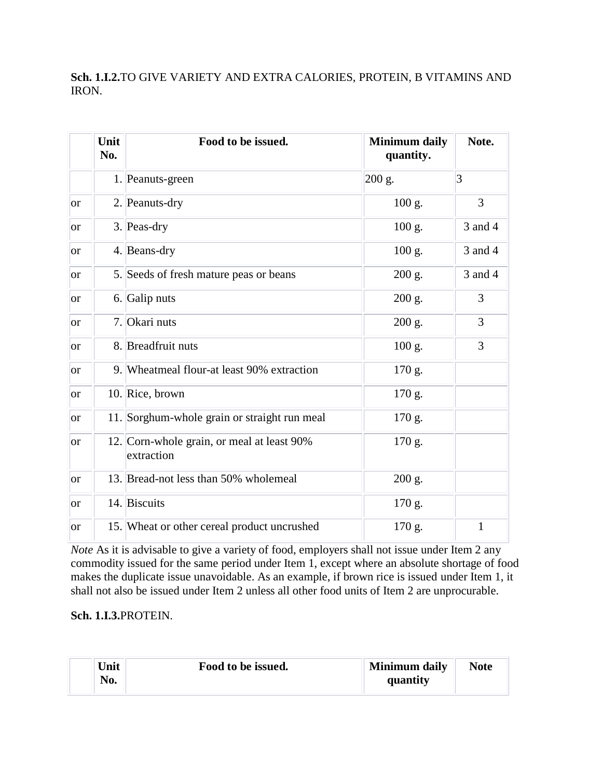# **Sch. 1.I.2.**TO GIVE VARIETY AND EXTRA CALORIES, PROTEIN, B VITAMINS AND IRON.

|               | Unit<br>No. | Food to be issued.                                       | <b>Minimum daily</b><br>quantity. | Note.   |
|---------------|-------------|----------------------------------------------------------|-----------------------------------|---------|
|               |             | 1. Peanuts-green                                         | 200 g.                            | 3       |
| lor           |             | 2. Peanuts-dry                                           | $100 \text{ g}$ .                 | 3       |
| <sub>or</sub> |             | 3. Peas-dry                                              | 100 g.                            | 3 and 4 |
| lor.          |             | 4. Beans-dry                                             | 100 g.                            | 3 and 4 |
| lor.          |             | 5. Seeds of fresh mature peas or beans                   | 200 g.                            | 3 and 4 |
| lor           |             | 6. Galip nuts                                            | 200 g.                            | 3       |
| lor.          |             | 7. Okari nuts                                            | 200 g.                            | 3       |
| <sub>or</sub> |             | 8. Breadfruit nuts                                       | $100$ g.                          | 3       |
| lor           |             | 9. Wheatmeal flour-at least 90% extraction               | 170 g.                            |         |
| lor.          |             | 10. Rice, brown                                          | 170 g.                            |         |
| lor           |             | 11. Sorghum-whole grain or straight run meal             | 170 g.                            |         |
| <sub>or</sub> |             | 12. Corn-whole grain, or meal at least 90%<br>extraction | 170 g.                            |         |
| lor           |             | 13. Bread-not less than 50% wholemeal                    | 200 g.                            |         |
| <b>or</b>     |             | 14. Biscuits                                             | 170 g.                            |         |
| lor.          |             | 15. Wheat or other cereal product uncrushed              | 170 g.                            | 1       |

*Note* As it is advisable to give a variety of food, employers shall not issue under Item 2 any commodity issued for the same period under Item 1, except where an absolute shortage of food makes the duplicate issue unavoidable. As an example, if brown rice is issued under Item 1, it shall not also be issued under Item 2 unless all other food units of Item 2 are unprocurable.

### **Sch. 1.I.3.**PROTEIN.

| Unit | Food to be issued. | <b>Minimum daily</b> | <b>Note</b> |
|------|--------------------|----------------------|-------------|
| No.  |                    | quantity             |             |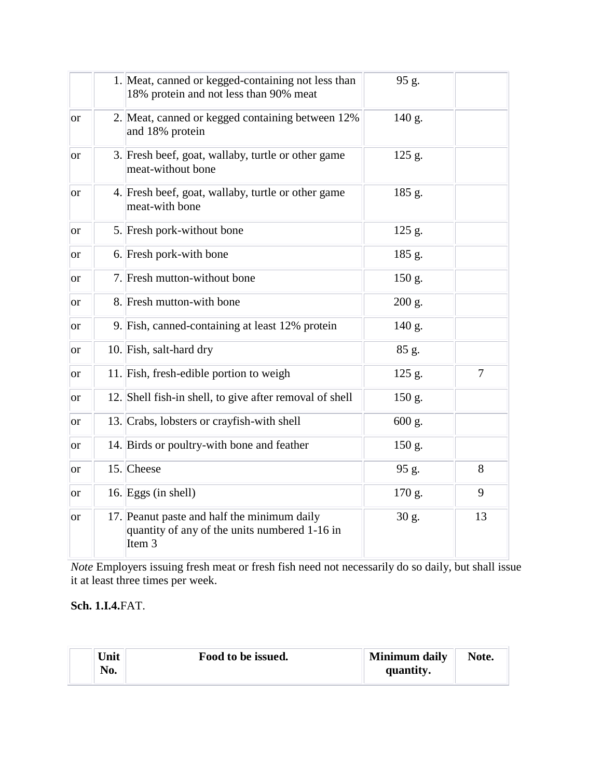|               | 1. Meat, canned or kegged-containing not less than<br>18% protein and not less than 90% meat                      | 95 g.    |    |
|---------------|-------------------------------------------------------------------------------------------------------------------|----------|----|
| or            | 2. Meat, canned or kegged containing between 12%<br>and 18% protein                                               | 140 g.   |    |
| or            | 3. Fresh beef, goat, wallaby, turtle or other game<br>meat-without bone                                           | 125 g.   |    |
| or            | 4. Fresh beef, goat, wallaby, turtle or other game<br>meat-with bone                                              | 185 g.   |    |
| or            | 5. Fresh pork-without bone                                                                                        | $125$ g. |    |
| or            | 6. Fresh pork-with bone                                                                                           | 185 g.   |    |
| <sub>or</sub> | 7. Fresh mutton-without bone                                                                                      | 150 g.   |    |
| <b>or</b>     | 8. Fresh mutton-with bone                                                                                         | 200 g.   |    |
| or            | 9. Fish, canned-containing at least 12% protein                                                                   | 140 g.   |    |
| or            | 10. Fish, salt-hard dry                                                                                           | 85 g.    |    |
| or            | 11. Fish, fresh-edible portion to weigh                                                                           | 125 g.   | 7  |
| or            | 12. Shell fish-in shell, to give after removal of shell                                                           | 150 g.   |    |
| or            | 13. Crabs, lobsters or crayfish-with shell                                                                        | 600 g.   |    |
| or            | 14. Birds or poultry-with bone and feather                                                                        | 150 g.   |    |
| or            | 15. Cheese                                                                                                        | 95 g.    | 8  |
| or            | 16. Eggs (in shell)                                                                                               | 170 g.   | 9  |
| <sub>or</sub> | 17. Peanut paste and half the minimum daily<br>quantity of any of the units numbered 1-16 in<br>Item <sub>3</sub> | 30 g.    | 13 |

*Note* Employers issuing fresh meat or fresh fish need not necessarily do so daily, but shall issue it at least three times per week.

### **Sch. 1.I.4.**FAT.

| Unit | Food to be issued. | Minimum daily | Note. |
|------|--------------------|---------------|-------|
| No.  |                    | quantity.     |       |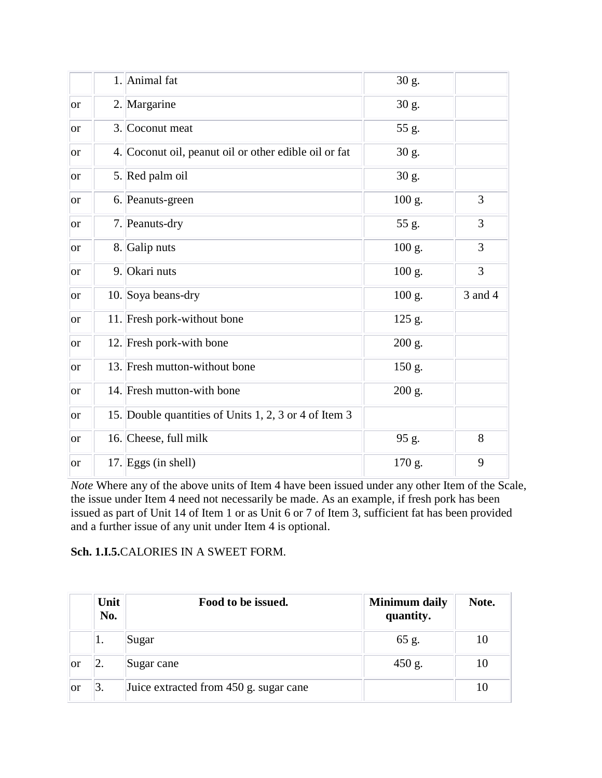|               | 1. Animal fat                                         | 30 g.  |         |
|---------------|-------------------------------------------------------|--------|---------|
| <sub>or</sub> | 2. Margarine                                          | 30 g.  |         |
| <b>or</b>     | 3. Coconut meat                                       | 55 g.  |         |
| <b>or</b>     | 4. Coconut oil, peanut oil or other edible oil or fat | 30 g.  |         |
| <sub>or</sub> | 5. Red palm oil                                       | 30 g.  |         |
| <b>or</b>     | 6. Peanuts-green                                      | 100 g. | 3       |
| <sub>or</sub> | 7. Peanuts-dry                                        | 55 g.  | 3       |
| <sub>or</sub> | 8. Galip nuts                                         | 100 g. | 3       |
| <sub>or</sub> | 9. Okari nuts                                         | 100 g. | 3       |
| <sub>or</sub> | 10. Soya beans-dry                                    | 100 g. | 3 and 4 |
| <b>or</b>     | 11. Fresh pork-without bone                           | 125 g. |         |
| <b>or</b>     | 12. Fresh pork-with bone                              | 200 g. |         |
| <sub>or</sub> | 13. Fresh mutton-without bone                         | 150 g. |         |
| <b>or</b>     | 14. Fresh mutton-with bone                            | 200 g. |         |
| <b>or</b>     | 15. Double quantities of Units 1, 2, 3 or 4 of Item 3 |        |         |
| <b>or</b>     | 16. Cheese, full milk                                 | 95 g.  | 8       |
| <sub>or</sub> | 17. Eggs (in shell)                                   | 170 g. | 9       |

*Note* Where any of the above units of Item 4 have been issued under any other Item of the Scale, the issue under Item 4 need not necessarily be made. As an example, if fresh pork has been issued as part of Unit 14 of Item 1 or as Unit 6 or 7 of Item 3, sufficient fat has been provided and a further issue of any unit under Item 4 is optional.

### **Sch. 1.I.5.**CALORIES IN A SWEET FORM.

|    | Unit<br>No. | Food to be issued.                     | <b>Minimum daily</b><br>quantity. | Note. |
|----|-------------|----------------------------------------|-----------------------------------|-------|
|    | ı.          | Sugar                                  | 65 g.                             | 10    |
| or | 2.          | Sugar cane                             | $450$ g.                          | 10    |
| or | 3.          | Juice extracted from 450 g. sugar cane |                                   | 10    |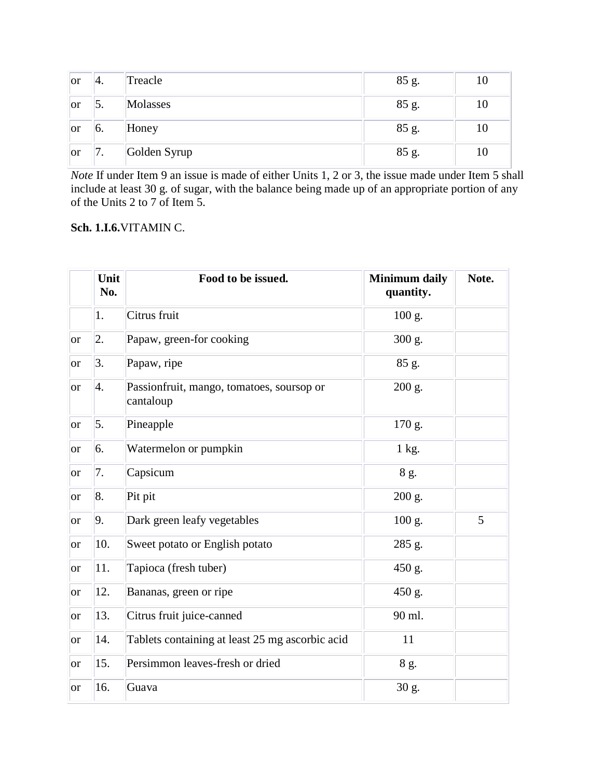| or        | $^{\prime\prime}4.$ | Treacle      | 85 g. | 10 |
|-----------|---------------------|--------------|-------|----|
| lor       | 5.                  | Molasses     | 85 g. | 10 |
| <b>or</b> | 6.                  | Honey        | 85 g. | 10 |
| lor       | 7.                  | Golden Syrup | 85 g. | 10 |

*Note* If under Item 9 an issue is made of either Units 1, 2 or 3, the issue made under Item 5 shall include at least 30 g. of sugar, with the balance being made up of an appropriate portion of any of the Units 2 to 7 of Item 5.

# **Sch. 1.I.6.**VITAMIN C.

|                 | Unit<br>No. | Food to be issued.                                     | <b>Minimum daily</b><br>quantity. | Note. |
|-----------------|-------------|--------------------------------------------------------|-----------------------------------|-------|
|                 | 1.          | Citrus fruit                                           | 100 g.                            |       |
| <b>or</b>       | 2.          | Papaw, green-for cooking                               | 300 g.                            |       |
| <b>or</b>       | 3.          | Papaw, ripe                                            | 85 g.                             |       |
| <sub>or</sub>   | 4.          | Passionfruit, mango, tomatoes, soursop or<br>cantaloup | 200 g.                            |       |
| <b>or</b>       | 5.          | Pineapple                                              | 170 g.                            |       |
| <sub>or</sub>   | 6.          | Watermelon or pumpkin                                  | 1 kg.                             |       |
| <b>or</b>       | 7.          | Capsicum                                               | 8 g.                              |       |
| <b>or</b>       | 8.          | Pit pit                                                | 200 g.                            |       |
| <b>or</b>       | 9.          | Dark green leafy vegetables                            | 100 g.                            | 5     |
| <sub>or</sub>   | 10.         | Sweet potato or English potato                         | 285 g.                            |       |
| <b>or</b>       | 11.         | Tapioca (fresh tuber)                                  | 450 g.                            |       |
| <b>or</b>       | 12.         | Bananas, green or ripe                                 | 450 g.                            |       |
| <sub>or</sub>   | 13.         | Citrus fruit juice-canned                              | 90 ml.                            |       |
| <sub>or</sub>   | 14.         | Tablets containing at least 25 mg ascorbic acid        | 11                                |       |
| <b>or</b>       | 15.         | Persimmon leaves-fresh or dried                        | 8 g.                              |       |
| <sub>l</sub> or | 16.         | Guava                                                  | 30 g.                             |       |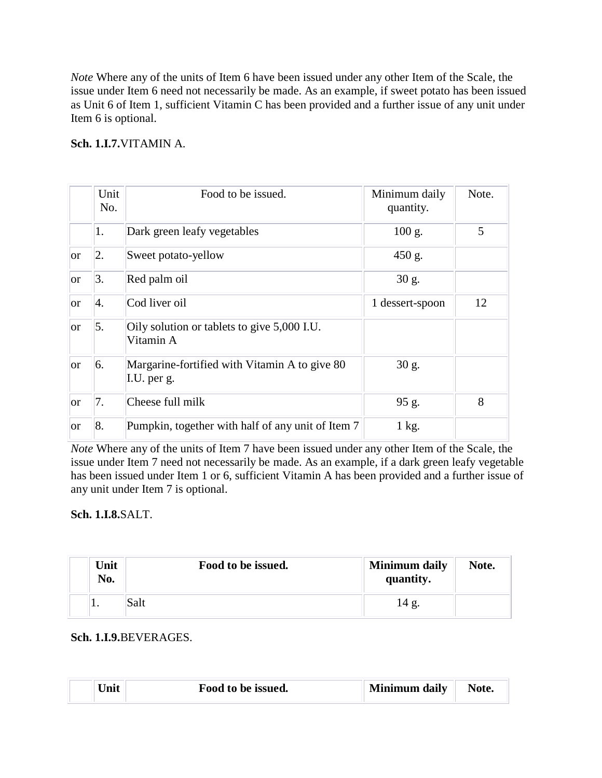*Note* Where any of the units of Item 6 have been issued under any other Item of the Scale, the issue under Item 6 need not necessarily be made. As an example, if sweet potato has been issued as Unit 6 of Item 1, sufficient Vitamin C has been provided and a further issue of any unit under Item 6 is optional.

# **Sch. 1.I.7.**VITAMIN A.

|      | Unit<br>No. | Food to be issued.                                           | Minimum daily<br>quantity. | Note. |
|------|-------------|--------------------------------------------------------------|----------------------------|-------|
|      | 1.          | Dark green leafy vegetables                                  | $100 \text{ g}$ .          | 5     |
| lor  | 2.          | Sweet potato-yellow                                          | 450 g.                     |       |
| lor. | 3.          | Red palm oil                                                 | $30$ g.                    |       |
| lor. | 4.          | Cod liver oil                                                | 1 dessert-spoon            | 12    |
| lor  | 5.          | Oily solution or tablets to give 5,000 I.U.<br>Vitamin A     |                            |       |
| lor  | 6.          | Margarine-fortified with Vitamin A to give 80<br>I.U. per g. | 30 g.                      |       |
| lor  | 7.          | Cheese full milk                                             | 95 g.                      | 8     |
| or   | 8.          | Pumpkin, together with half of any unit of Item 7            | 1 kg.                      |       |

*Note* Where any of the units of Item 7 have been issued under any other Item of the Scale, the issue under Item 7 need not necessarily be made. As an example, if a dark green leafy vegetable has been issued under Item 1 or 6, sufficient Vitamin A has been provided and a further issue of any unit under Item 7 is optional.

### **Sch. 1.I.8.**SALT.

| Unit<br>No. | Food to be issued. | <b>Minimum daily</b><br>quantity. | Note. |
|-------------|--------------------|-----------------------------------|-------|
|             | Salt               | 14 g.                             |       |

### **Sch. 1.I.9.**BEVERAGES.

| <b>Minimum daily</b><br>Jnit<br>Food to be issued. | Note. |
|----------------------------------------------------|-------|
|----------------------------------------------------|-------|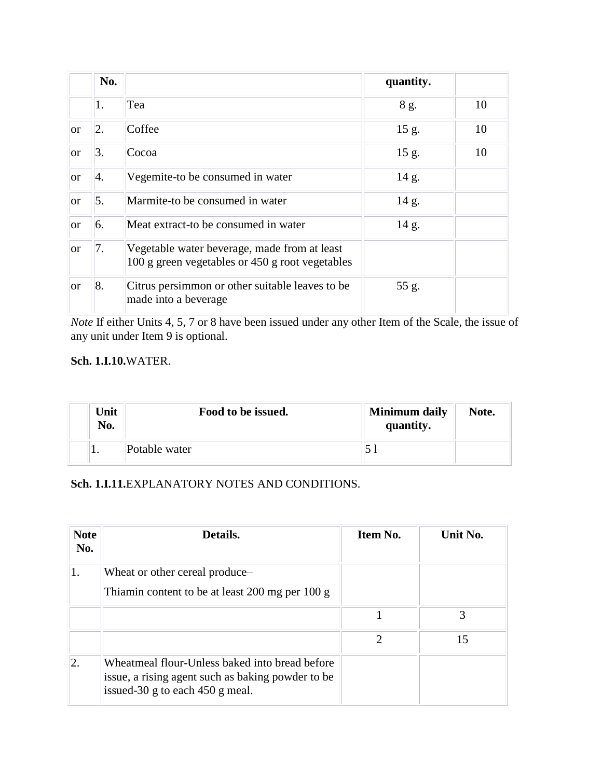|               | No. |                                                                                                 | quantity. |    |
|---------------|-----|-------------------------------------------------------------------------------------------------|-----------|----|
|               | 1.  | Tea                                                                                             | 8 g.      | 10 |
| lor           | 2.  | Coffee                                                                                          | 15 g.     | 10 |
| <sub>or</sub> | 3.  | Cocoa                                                                                           | 15 g.     | 10 |
| <sub>or</sub> | 4.  | Vegemite-to be consumed in water                                                                | 14 g.     |    |
| <sub>or</sub> | 5.  | Marmite-to be consumed in water                                                                 | 14 g.     |    |
| <sub>or</sub> | 6.  | Meat extract-to be consumed in water                                                            | 14 g.     |    |
| <sub>or</sub> | 7.  | Vegetable water beverage, made from at least<br>100 g green vegetables or 450 g root vegetables |           |    |
| <sub>or</sub> | 8.  | Citrus persimmon or other suitable leaves to be<br>made into a beverage                         | 55 g.     |    |

*Note* If either Units 4, 5, 7 or 8 have been issued under any other Item of the Scale, the issue of any unit under Item 9 is optional.

### **Sch. 1.I.10.**WATER.

| Unit<br>No. | Food to be issued. | <b>Minimum daily</b><br>quantity. | Note. |
|-------------|--------------------|-----------------------------------|-------|
| . .         | Potable water      |                                   |       |

# **Sch. 1.I.11.**EXPLANATORY NOTES AND CONDITIONS.

| <b>Note</b><br>No. | Details.                                                                                                                                 | Item No.                    | Unit No. |
|--------------------|------------------------------------------------------------------------------------------------------------------------------------------|-----------------------------|----------|
| 1.                 | Wheat or other cereal produce-<br>Thiamin content to be at least 200 mg per 100 g                                                        |                             |          |
|                    |                                                                                                                                          |                             | 3        |
|                    |                                                                                                                                          | $\mathcal{D}_{\mathcal{L}}$ | 15       |
| 2.                 | Wheatmeal flour-Unless baked into bread before<br>issue, a rising agent such as baking powder to be<br>issued-30 g to each $450$ g meal. |                             |          |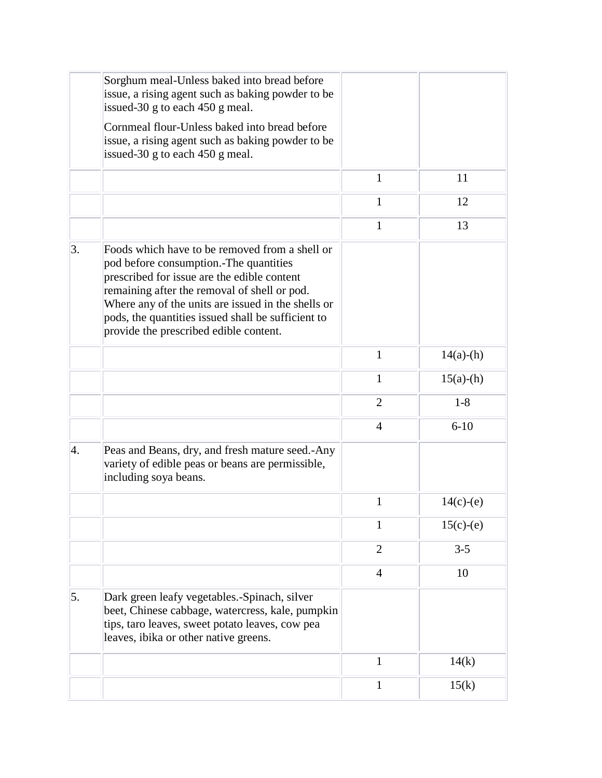|    | Sorghum meal-Unless baked into bread before<br>issue, a rising agent such as baking powder to be<br>issued-30 g to each 450 g meal.                                                                                                                                                                                                           |                |             |
|----|-----------------------------------------------------------------------------------------------------------------------------------------------------------------------------------------------------------------------------------------------------------------------------------------------------------------------------------------------|----------------|-------------|
|    | Cornmeal flour-Unless baked into bread before<br>issue, a rising agent such as baking powder to be<br>issued-30 g to each 450 g meal.                                                                                                                                                                                                         |                |             |
|    |                                                                                                                                                                                                                                                                                                                                               | $\mathbf{1}$   | 11          |
|    |                                                                                                                                                                                                                                                                                                                                               | 1              | 12          |
|    |                                                                                                                                                                                                                                                                                                                                               | 1              | 13          |
| 3. | Foods which have to be removed from a shell or<br>pod before consumption.-The quantities<br>prescribed for issue are the edible content<br>remaining after the removal of shell or pod.<br>Where any of the units are issued in the shells or<br>pods, the quantities issued shall be sufficient to<br>provide the prescribed edible content. |                |             |
|    |                                                                                                                                                                                                                                                                                                                                               | $\mathbf{1}$   | $14(a)-(h)$ |
|    |                                                                                                                                                                                                                                                                                                                                               | 1              | $15(a)-(h)$ |
|    |                                                                                                                                                                                                                                                                                                                                               | $\overline{2}$ | $1-8$       |
|    |                                                                                                                                                                                                                                                                                                                                               | $\overline{4}$ | $6 - 10$    |
| 4. | Peas and Beans, dry, and fresh mature seed.-Any<br>variety of edible peas or beans are permissible,<br>including soya beans.                                                                                                                                                                                                                  |                |             |
|    |                                                                                                                                                                                                                                                                                                                                               | 1              | $14(c)-(e)$ |
|    |                                                                                                                                                                                                                                                                                                                                               | 1              | $15(c)-(e)$ |
|    |                                                                                                                                                                                                                                                                                                                                               | $\overline{2}$ | $3 - 5$     |
|    |                                                                                                                                                                                                                                                                                                                                               | $\overline{4}$ | 10          |
| 5. | Dark green leafy vegetables.-Spinach, silver<br>beet, Chinese cabbage, watercress, kale, pumpkin<br>tips, taro leaves, sweet potato leaves, cow pea<br>leaves, ibika or other native greens.                                                                                                                                                  |                |             |
|    |                                                                                                                                                                                                                                                                                                                                               | 1              | 14(k)       |
|    |                                                                                                                                                                                                                                                                                                                                               | 1              | 15(k)       |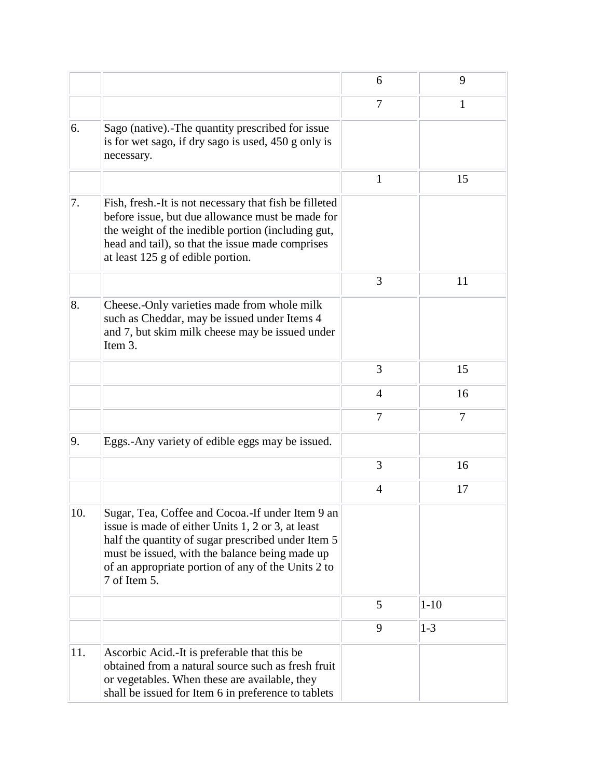|     |                                                                                                                                                                                                                                                                                     | 6              | 9              |
|-----|-------------------------------------------------------------------------------------------------------------------------------------------------------------------------------------------------------------------------------------------------------------------------------------|----------------|----------------|
|     |                                                                                                                                                                                                                                                                                     | 7              | 1              |
| 6.  | Sago (native). The quantity prescribed for issue<br>is for wet sago, if dry sago is used, 450 g only is<br>necessary.                                                                                                                                                               |                |                |
|     |                                                                                                                                                                                                                                                                                     | 1              | 15             |
| 7.  | Fish, fresh. It is not necessary that fish be filleted<br>before issue, but due allowance must be made for<br>the weight of the inedible portion (including gut,<br>head and tail), so that the issue made comprises<br>at least 125 g of edible portion.                           |                |                |
|     |                                                                                                                                                                                                                                                                                     | 3              | 11             |
| 8.  | Cheese.-Only varieties made from whole milk<br>such as Cheddar, may be issued under Items 4<br>and 7, but skim milk cheese may be issued under<br>Item 3.                                                                                                                           |                |                |
|     |                                                                                                                                                                                                                                                                                     | 3              | 15             |
|     |                                                                                                                                                                                                                                                                                     | $\overline{4}$ | 16             |
|     |                                                                                                                                                                                                                                                                                     | $\overline{7}$ | $\overline{7}$ |
| 9.  | Eggs.-Any variety of edible eggs may be issued.                                                                                                                                                                                                                                     |                |                |
|     |                                                                                                                                                                                                                                                                                     | 3              | 16             |
|     |                                                                                                                                                                                                                                                                                     | $\overline{4}$ | 17             |
| 10. | Sugar, Tea, Coffee and Cocoa.-If under Item 9 an<br>issue is made of either Units 1, 2 or 3, at least<br>half the quantity of sugar prescribed under Item 5<br>must be issued, with the balance being made up<br>of an appropriate portion of any of the Units 2 to<br>7 of Item 5. |                |                |
|     |                                                                                                                                                                                                                                                                                     | 5              | $1 - 10$       |
|     |                                                                                                                                                                                                                                                                                     | 9              | $1 - 3$        |
| 11. | Ascorbic Acid.-It is preferable that this be<br>obtained from a natural source such as fresh fruit<br>or vegetables. When these are available, they<br>shall be issued for Item 6 in preference to tablets                                                                          |                |                |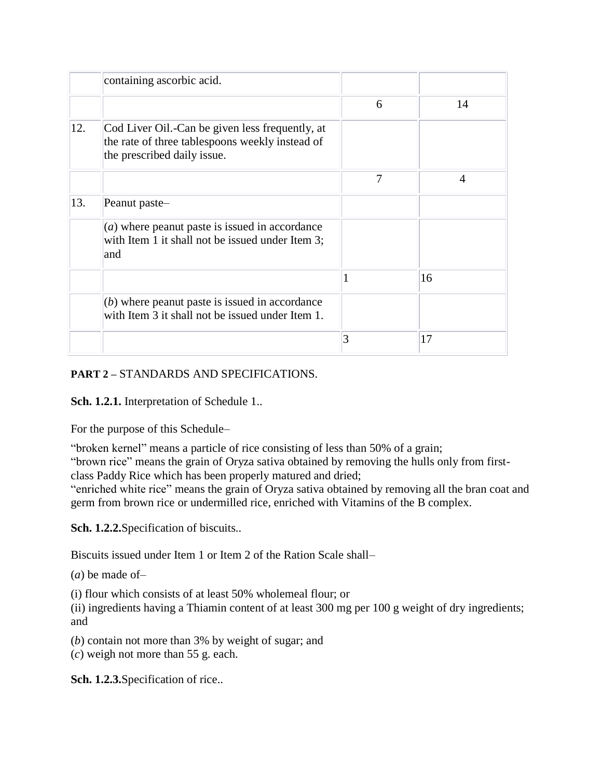|     | containing ascorbic acid.                                                                                                         |   |    |
|-----|-----------------------------------------------------------------------------------------------------------------------------------|---|----|
|     |                                                                                                                                   | 6 | 14 |
| 12. | Cod Liver Oil.-Can be given less frequently, at<br>the rate of three tablespoons weekly instead of<br>the prescribed daily issue. |   |    |
|     |                                                                                                                                   | 7 | 4  |
| 13. | Peanut paste-                                                                                                                     |   |    |
|     | $(a)$ where peanut paste is issued in accordance<br>with Item 1 it shall not be issued under Item 3;<br>and                       |   |    |
|     |                                                                                                                                   |   | 16 |
|     | (b) where peanut paste is issued in accordance<br>with Item 3 it shall not be issued under Item 1.                                |   |    |
|     |                                                                                                                                   | 3 | 17 |

# **PART 2 –** STANDARDS AND SPECIFICATIONS.

**Sch. 1.2.1.** Interpretation of Schedule 1..

For the purpose of this Schedule–

"broken kernel" means a particle of rice consisting of less than 50% of a grain;

"brown rice" means the grain of Oryza sativa obtained by removing the hulls only from firstclass Paddy Rice which has been properly matured and dried;

"enriched white rice" means the grain of Oryza sativa obtained by removing all the bran coat and germ from brown rice or undermilled rice, enriched with Vitamins of the B complex.

**Sch. 1.2.2.**Specification of biscuits..

Biscuits issued under Item 1 or Item 2 of the Ration Scale shall–

(*a*) be made of–

(i) flour which consists of at least 50% wholemeal flour; or

(ii) ingredients having a Thiamin content of at least 300 mg per 100 g weight of dry ingredients; and

(*b*) contain not more than 3% by weight of sugar; and (*c*) weigh not more than 55 g. each.

**Sch. 1.2.3.**Specification of rice..